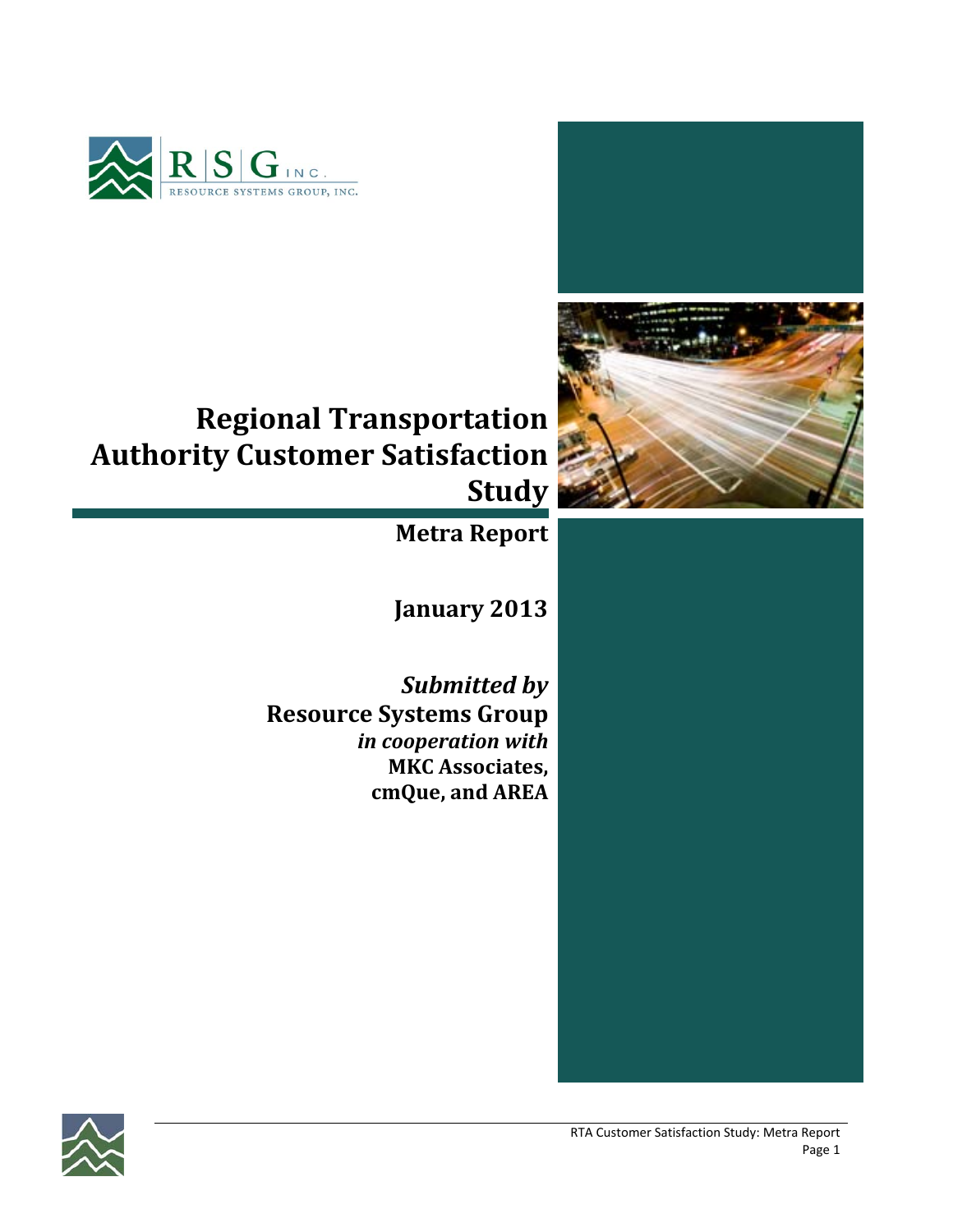





# **Regional Transportation Authority Customer Satisfaction Study**

**Metra Report**

**January 2013**

*Submitted by* **Resource Systems Group** *in cooperation with* **MKC Associates, cmQue, and AREA**

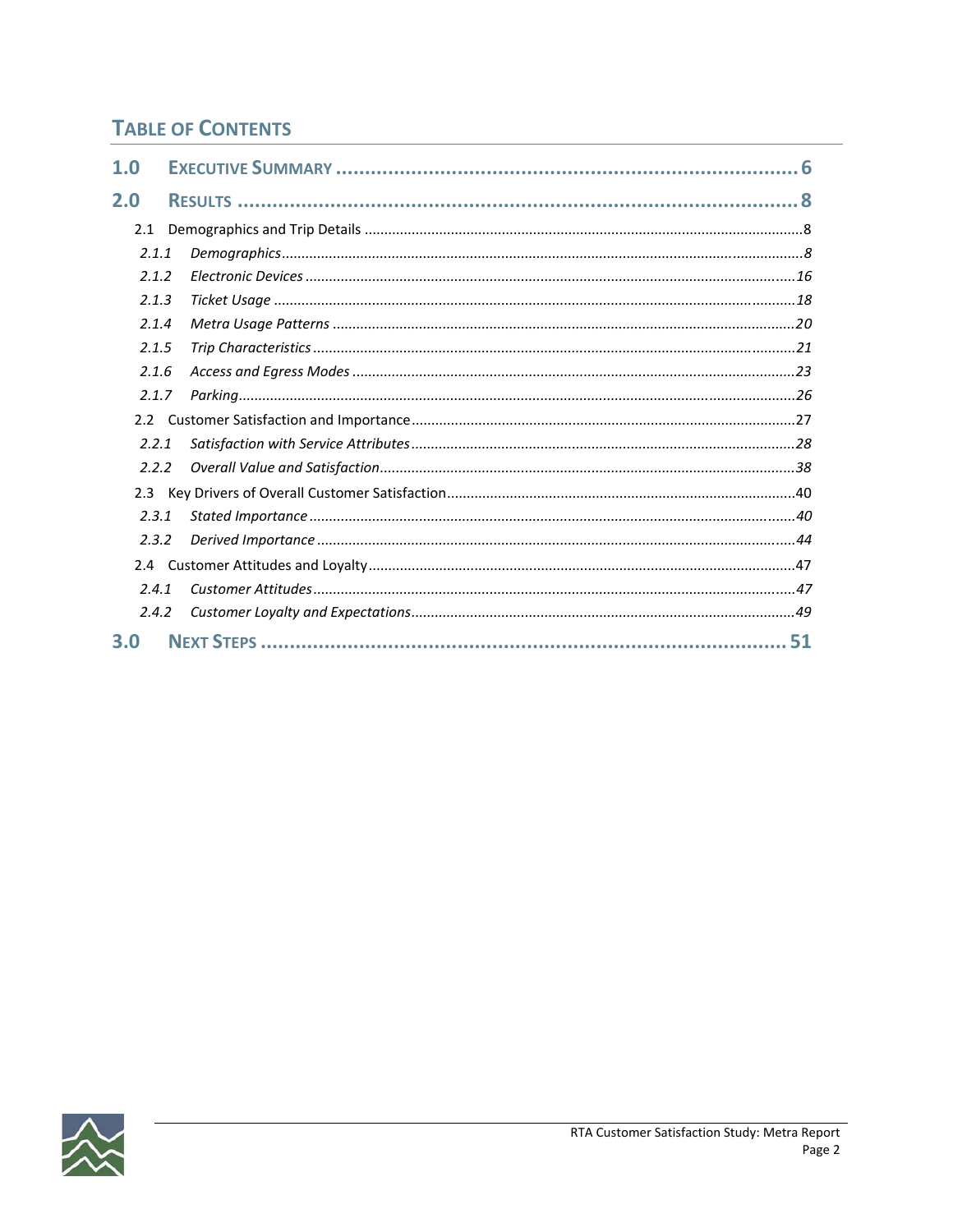### **TABLE OF CONTENTS**

| 1.0   |    |
|-------|----|
| 2.0   |    |
| 2.1   |    |
| 2.1.1 |    |
| 2.1.2 |    |
| 2.1.3 |    |
| 2.1.4 |    |
| 2.1.5 |    |
| 2.1.6 |    |
| 2.1.7 |    |
| 2.2   |    |
| 2.2.1 |    |
| 2.2.2 |    |
| 2.3   |    |
| 2.3.1 |    |
| 2.3.2 |    |
|       |    |
| 2.4.1 |    |
| 2.4.2 |    |
| 3.0   | 51 |

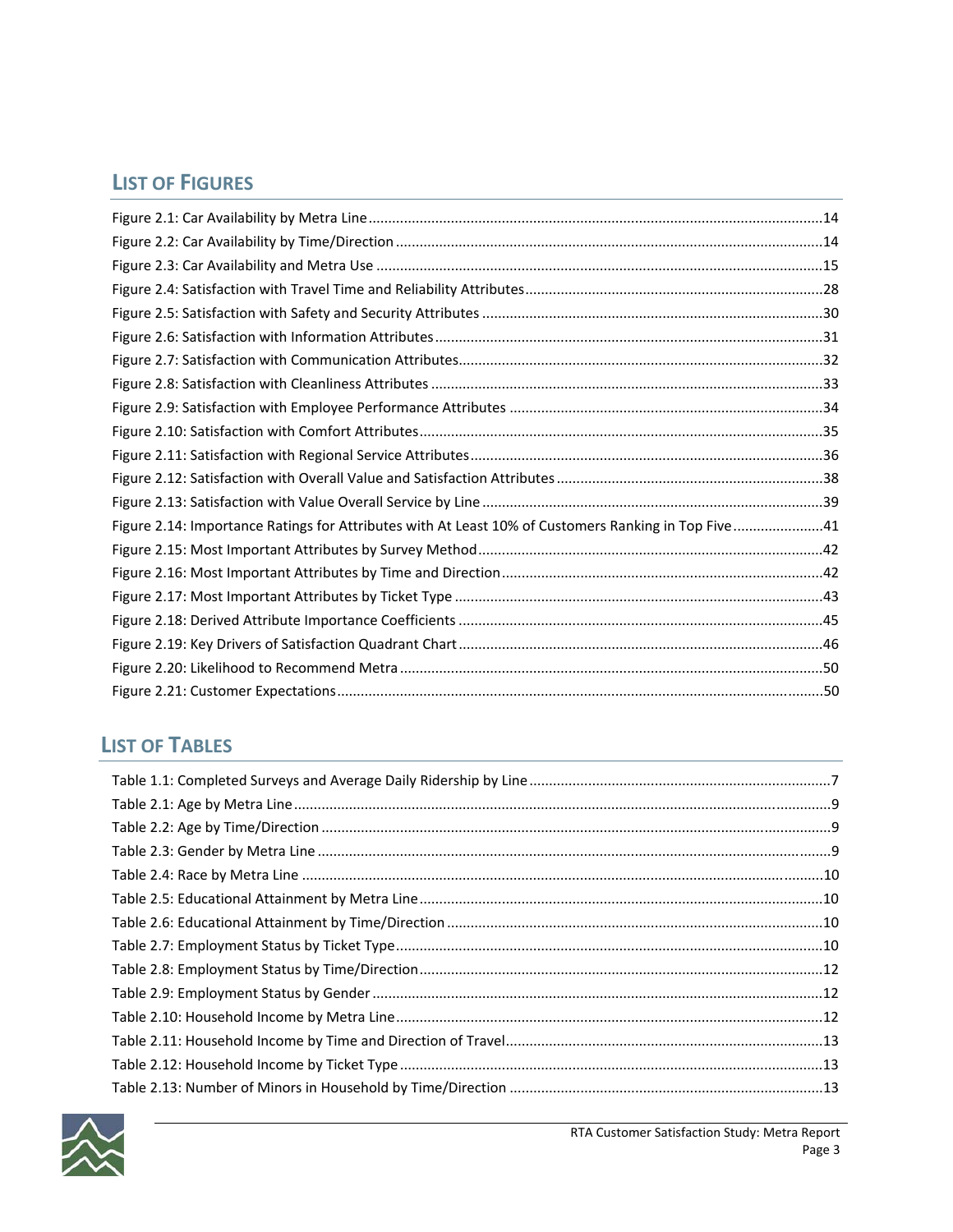### **LIST OF FIGURES**

| Figure 2.14: Importance Ratings for Attributes with At Least 10% of Customers Ranking in Top Five41 |  |
|-----------------------------------------------------------------------------------------------------|--|
|                                                                                                     |  |
|                                                                                                     |  |
|                                                                                                     |  |
|                                                                                                     |  |
|                                                                                                     |  |
|                                                                                                     |  |
|                                                                                                     |  |

### **LIST OF TABLES**

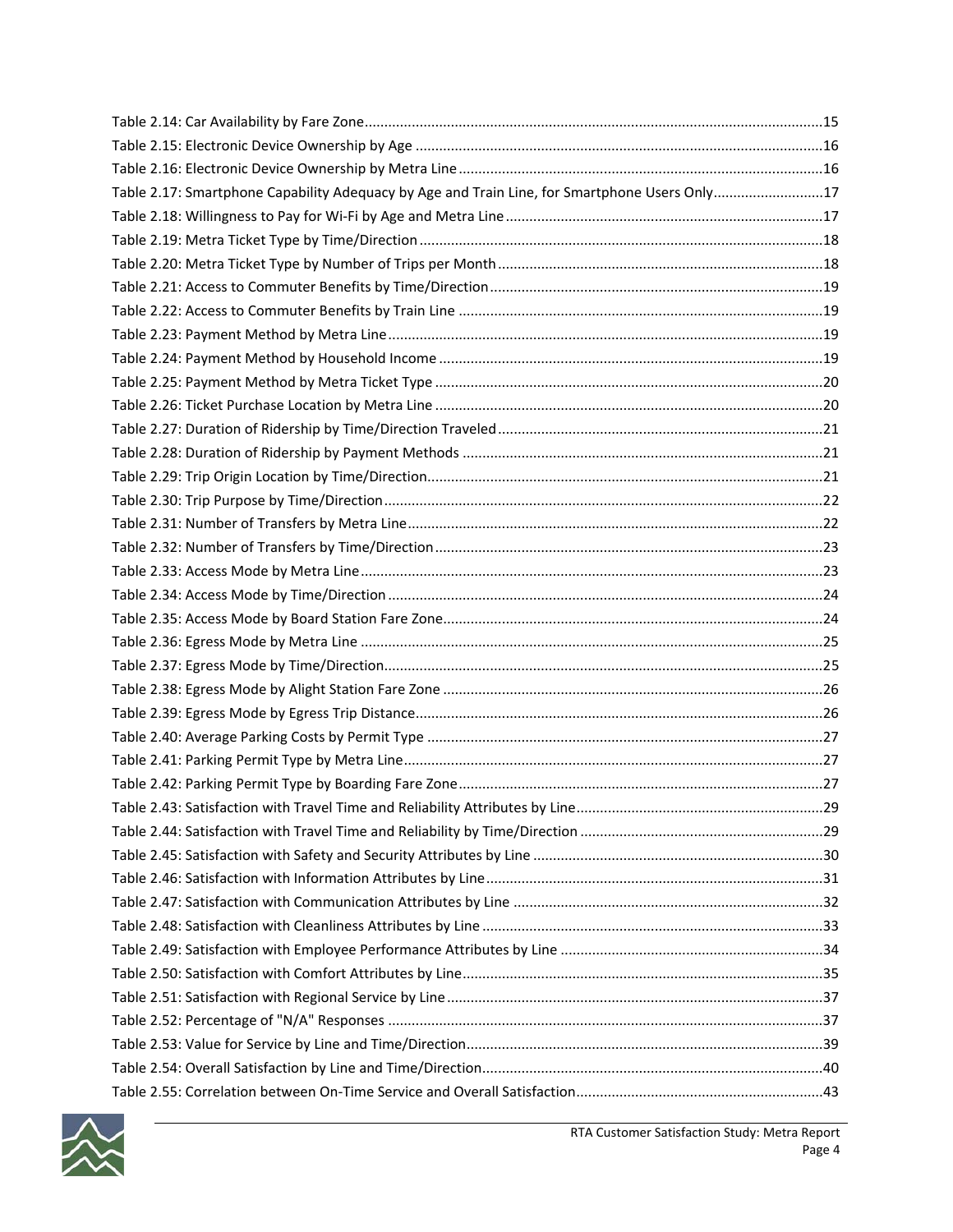| Table 2.17: Smartphone Capability Adequacy by Age and Train Line, for Smartphone Users Only17 |    |
|-----------------------------------------------------------------------------------------------|----|
|                                                                                               |    |
|                                                                                               |    |
|                                                                                               |    |
|                                                                                               |    |
|                                                                                               |    |
|                                                                                               |    |
|                                                                                               |    |
|                                                                                               |    |
|                                                                                               |    |
|                                                                                               |    |
|                                                                                               |    |
|                                                                                               |    |
|                                                                                               |    |
|                                                                                               |    |
|                                                                                               |    |
|                                                                                               |    |
|                                                                                               |    |
|                                                                                               |    |
|                                                                                               |    |
|                                                                                               |    |
|                                                                                               |    |
|                                                                                               |    |
|                                                                                               |    |
|                                                                                               |    |
|                                                                                               |    |
|                                                                                               | 29 |
|                                                                                               |    |
|                                                                                               |    |
|                                                                                               |    |
|                                                                                               |    |
|                                                                                               |    |
|                                                                                               |    |
|                                                                                               |    |
|                                                                                               |    |
|                                                                                               |    |
|                                                                                               |    |
|                                                                                               |    |
|                                                                                               |    |

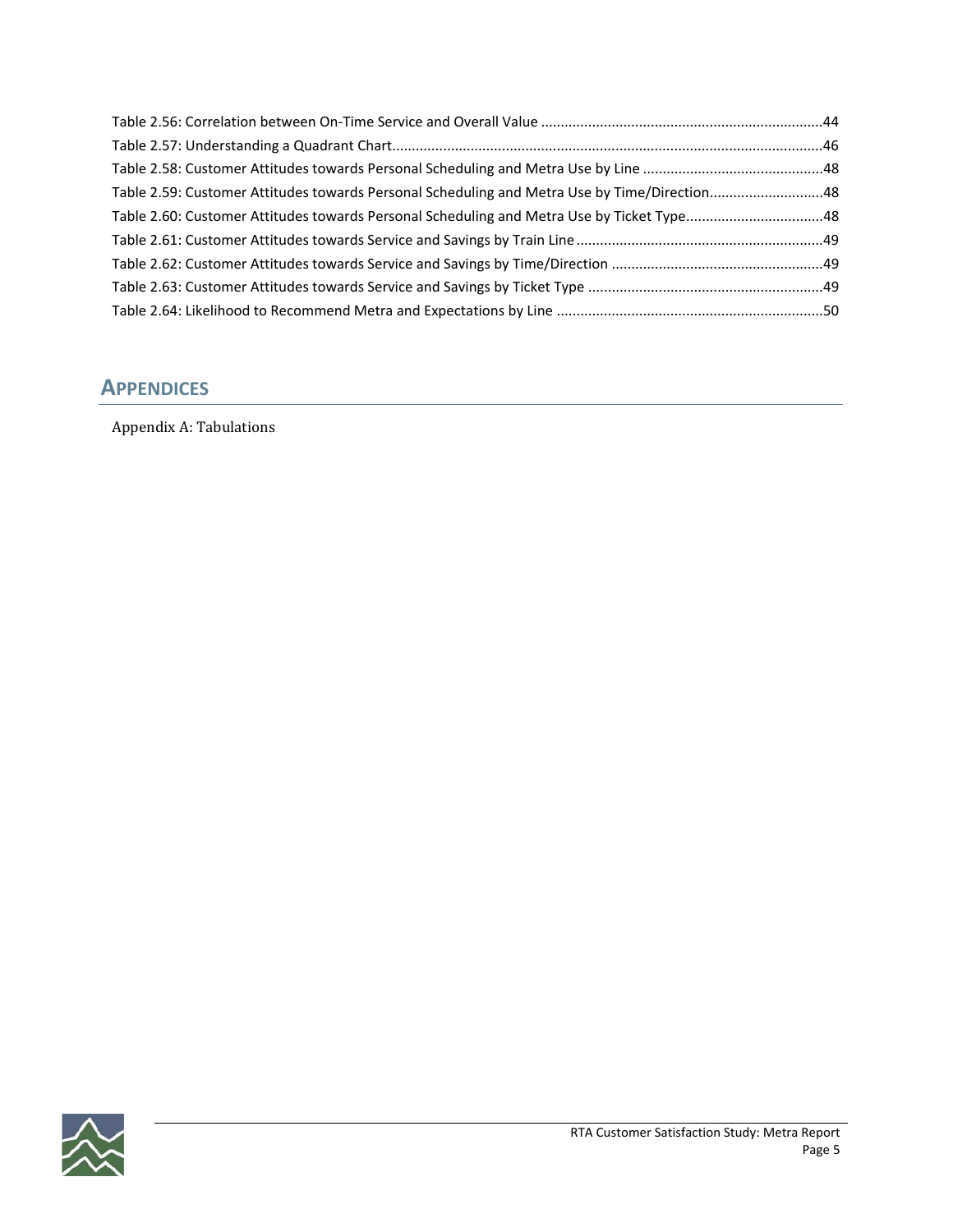| Table 2.59: Customer Attitudes towards Personal Scheduling and Metra Use by Time/Direction48 |  |
|----------------------------------------------------------------------------------------------|--|
| Table 2.60: Customer Attitudes towards Personal Scheduling and Metra Use by Ticket Type48    |  |
|                                                                                              |  |
|                                                                                              |  |
|                                                                                              |  |
|                                                                                              |  |

### **APPENDICES**

Appendix A: Tabulations

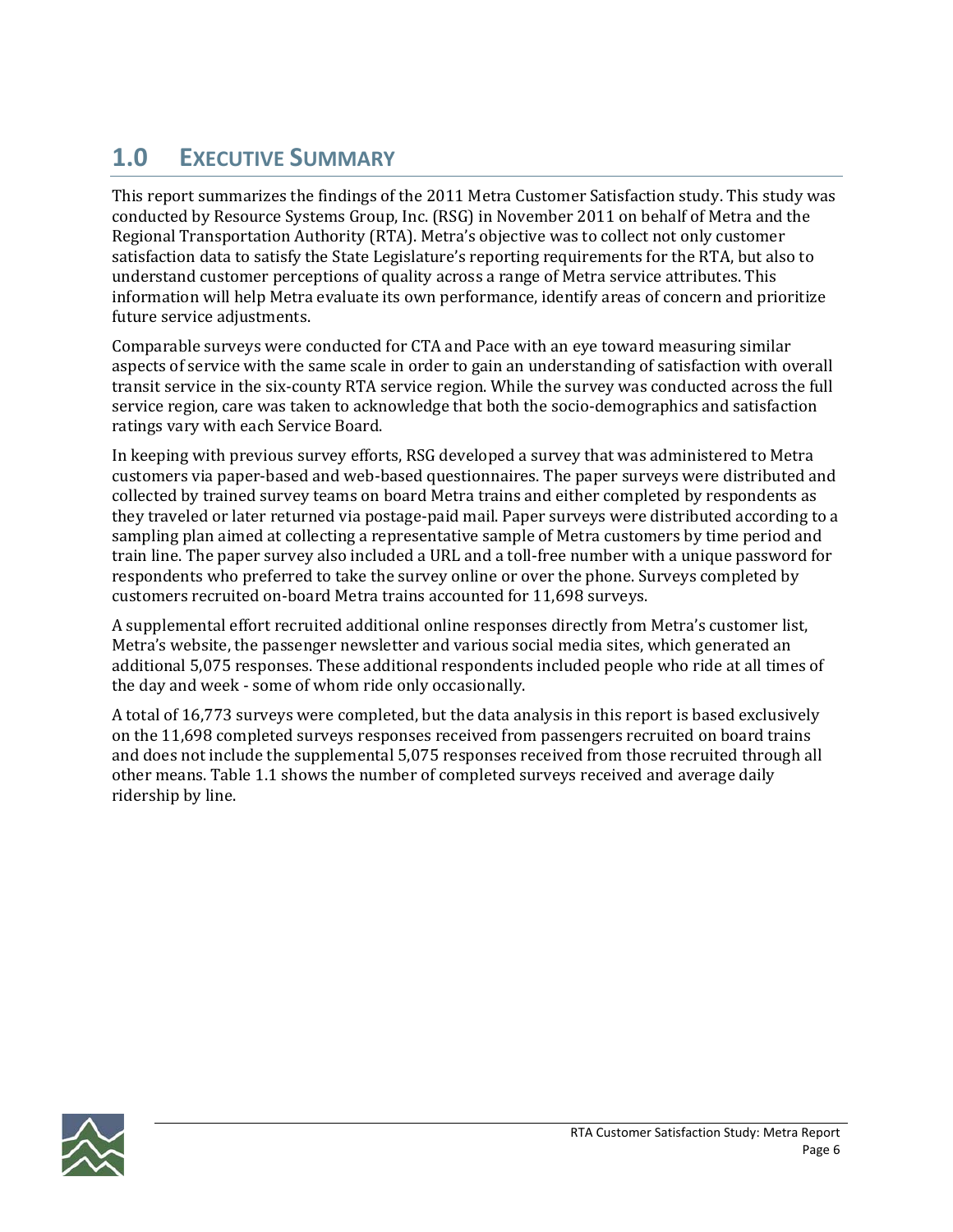# **1.0 EXECUTIVE SUMMARY**

This report summarizes the findings of the 2011 Metra Customer Satisfaction study. This study was conducted by Resource Systems Group, Inc. (RSG) in November 2011 on behalf of Metra and the Regional Transportation Authority (RTA). Metra's objective was to collect not only customer satisfaction data to satisfy the State Legislature's reporting requirements for the RTA, but also to understand customer perceptions of quality across a range of Metra service attributes. This information will help Metra evaluate its own performance, identify areas of concern and prioritize future service adjustments.

Comparable surveys were conducted for CTA and Pace with an eye toward measuring similar aspects of service with the same scale in order to gain an understanding of satisfaction with overall transit service in the six‐county RTA service region. While the survey was conducted across the full service region, care was taken to acknowledge that both the socio-demographics and satisfaction ratings vary with each Service Board.

In keeping with previous survey efforts, RSG developed a survey that was administered to Metra customers via paper‐based and web‐based questionnaires. The paper surveys were distributed and collected by trained survey teams on board Metra trains and either completed by respondents as they traveled or later returned via postage‐paid mail. Paper surveys were distributed according to a sampling plan aimed at collecting a representative sample of Metra customers by time period and train line. The paper survey also included a URL and a toll‐free number with a unique password for respondents who preferred to take the survey online or over the phone. Surveys completed by customers recruited on‐board Metra trains accounted for 11,698 surveys.

A supplemental effort recruited additional online responses directly from Metra's customer list, Metra's website, the passenger newsletter and various social media sites, which generated an additional 5,075 responses. These additional respondents included people who ride at all times of the day and week ‐ some of whom ride only occasionally.

A total of 16,773 surveys were completed, but the data analysis in this report is based exclusively on the 11,698 completed surveys responses received from passengers recruited on board trains and does not include the supplemental 5,075 responses received from those recruited through all other means. Table 1.1 shows the number of completed surveys received and average daily ridership by line.

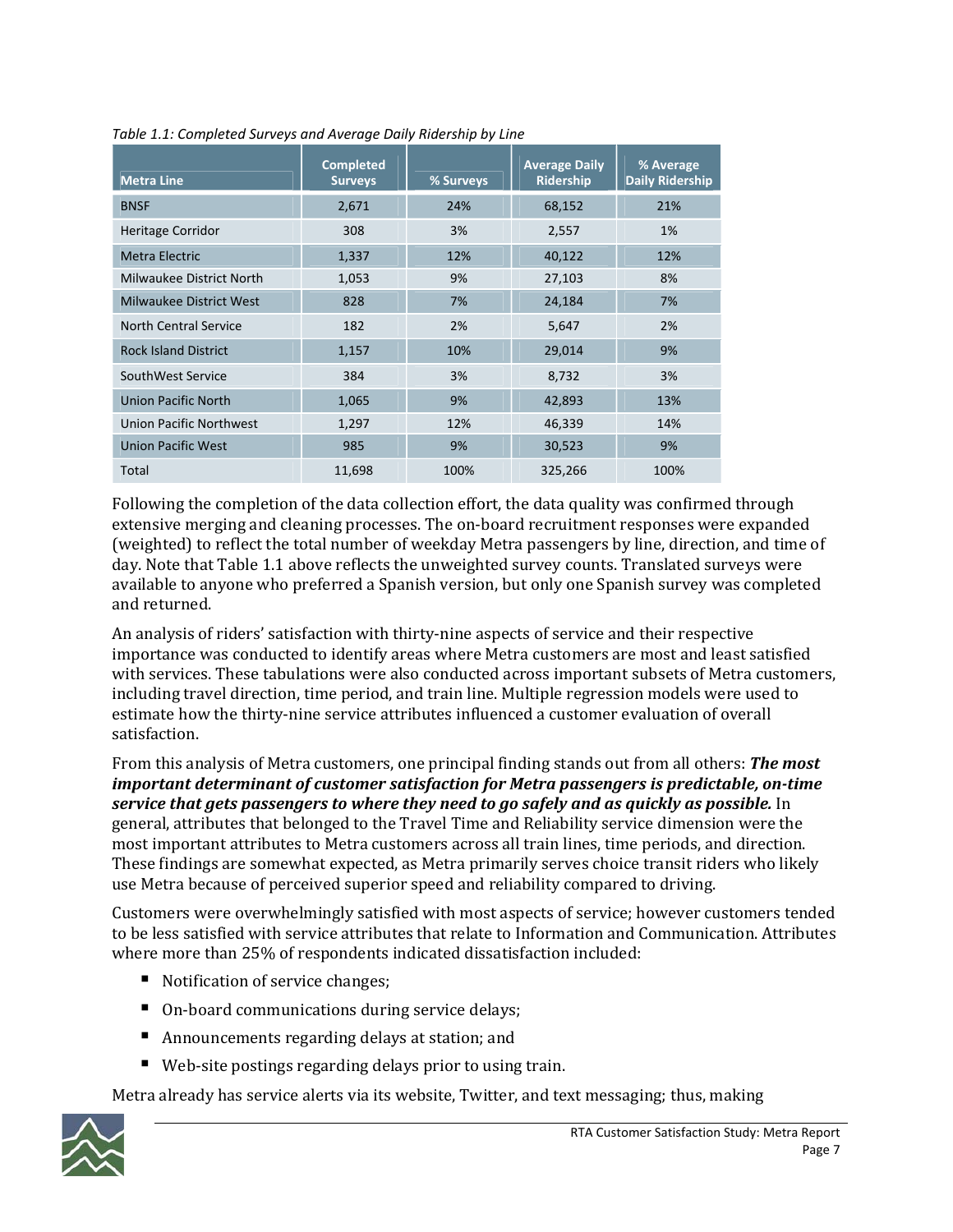| <b>Metra Line</b>           | <b>Completed</b><br><b>Surveys</b> | % Surveys | <b>Average Daily</b><br><b>Ridership</b> | % Average<br><b>Daily Ridership</b> |
|-----------------------------|------------------------------------|-----------|------------------------------------------|-------------------------------------|
| <b>BNSF</b>                 | 2,671                              | 24%       | 68,152                                   | 21%                                 |
| <b>Heritage Corridor</b>    | 308                                | 3%        | 2,557                                    | 1%                                  |
| Metra Electric              | 1,337                              | 12%       | 40,122                                   | 12%                                 |
| Milwaukee District North    | 1,053                              | 9%        | 27,103                                   | 8%                                  |
| Milwaukee District West     | 828                                | 7%        | 24,184                                   | 7%                                  |
| North Central Service       | 182                                | 2%        | 5,647                                    | 2%                                  |
| <b>Rock Island District</b> | 1,157                              | 10%       | 29,014                                   | 9%                                  |
| SouthWest Service           | 384                                | 3%        | 8,732                                    | 3%                                  |
| <b>Union Pacific North</b>  | 1,065                              | 9%        | 42,893                                   | 13%                                 |
| Union Pacific Northwest     | 1,297                              | 12%       | 46,339                                   | 14%                                 |
| <b>Union Pacific West</b>   | 985                                | 9%        | 30,523                                   | 9%                                  |
| Total                       | 11,698                             | 100%      | 325,266                                  | 100%                                |

*Table 1.1: Completed Surveys and Average Daily Ridership by Line*

Following the completion of the data collection effort, the data quality was confirmed through extensive merging and cleaning processes. The on‐board recruitment responses were expanded (weighted) to reflect the total number of weekday Metra passengers by line, direction, and time of day. Note that Table 1.1 above reflects the unweighted survey counts. Translated surveys were available to anyone who preferred a Spanish version, but only one Spanish survey was completed and returned.

An analysis of riders' satisfaction with thirty-nine aspects of service and their respective importance was conducted to identify areas where Metra customers are most and least satisfied with services. These tabulations were also conducted across important subsets of Metra customers, including travel direction, time period, and train line. Multiple regression models were used to estimate how the thirty‐nine service attributes influenced a customer evaluation of overall satisfaction.

From this analysis of Metra customers, one principal finding stands out from all others: *The most important determinant of customer satisfaction for Metra passengers is predictable, ontime service that gets passengers to where they need to go safely and as quickly as possible.* In general, attributes that belonged to the Travel Time and Reliability service dimension were the most important attributes to Metra customers across all train lines, time periods, and direction. These findings are somewhat expected, as Metra primarily serves choice transit riders who likely use Metra because of perceived superior speed and reliability compared to driving.

Customers were overwhelmingly satisfied with most aspects of service; however customers tended to be less satisfied with service attributes that relate to Information and Communication. Attributes where more than 25% of respondents indicated dissatisfaction included:

- Notification of service changes;
- On-board communications during service delays;
- Announcements regarding delays at station; and
- Web-site postings regarding delays prior to using train.

Metra already has service alerts via its website, Twitter, and text messaging; thus, making

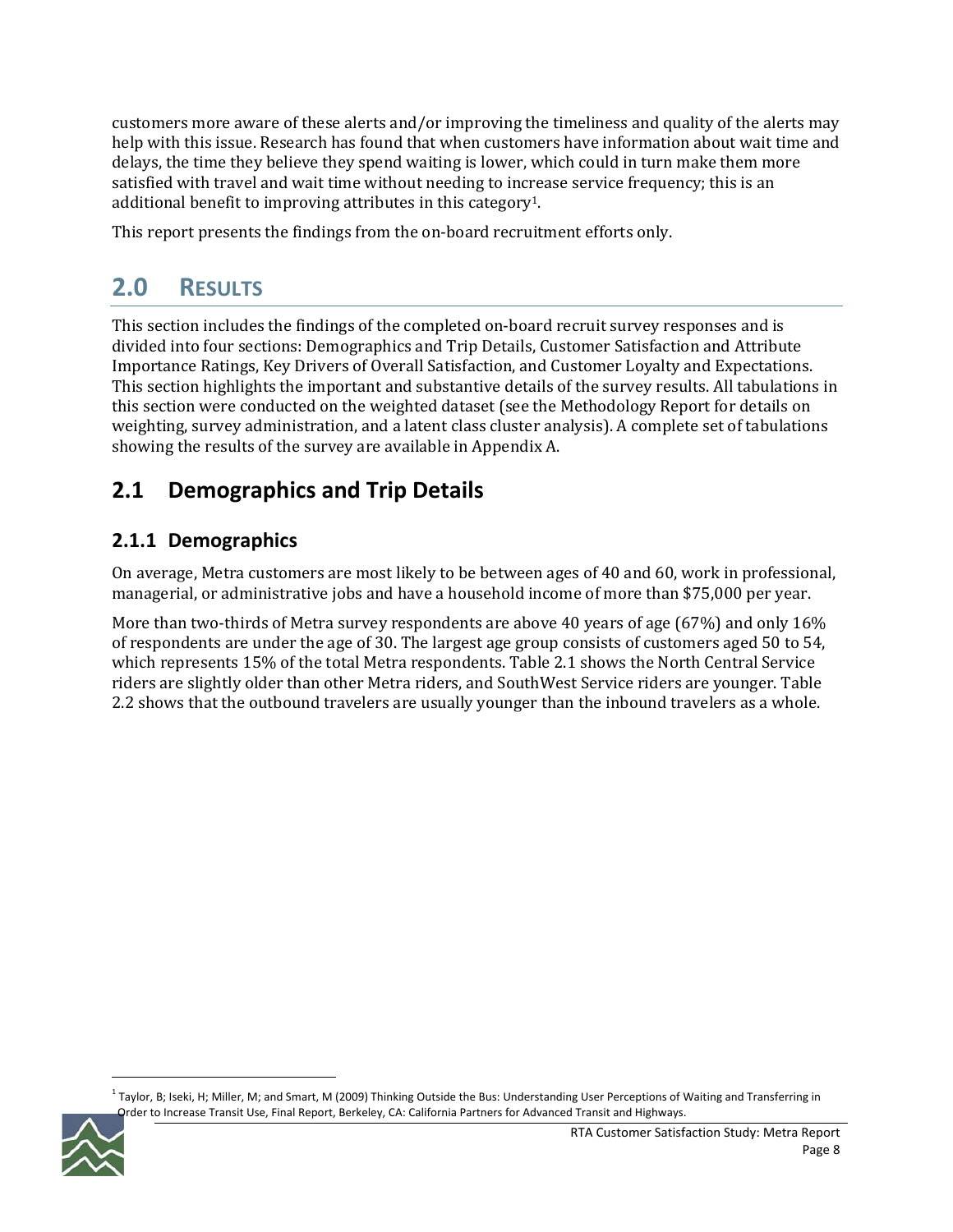customers more aware of these alerts and/or improving the timeliness and quality of the alerts may help with this issue. Research has found that when customers have information about wait time and delays, the time they believe they spend waiting is lower, which could in turn make them more satisfied with travel and wait time without needing to increase service frequency; this is an additional benefit to improving attributes in this category1.

This report presents the findings from the on-board recruitment efforts only.

# **2.0 RESULTS**

This section includes the findings of the completed on-board recruit survey responses and is divided into four sections: Demographics and Trip Details, Customer Satisfaction and Attribute Importance Ratings, Key Drivers of Overall Satisfaction, and Customer Loyalty and Expectations. This section highlights the important and substantive details of the survey results. All tabulations in this section were conducted on the weighted dataset (see the Methodology Report for details on weighting, survey administration, and a latent class cluster analysis). A complete set of tabulations showing the results of the survey are available in Appendix A.

# **2.1 Demographics and Trip Details**

### **2.1.1 Demographics**

On average, Metra customers are most likely to be between ages of 40 and 60, work in professional, managerial, or administrative jobs and have a household income of more than \$75,000 per year.

More than two-thirds of Metra survey respondents are above 40 years of age (67%) and only 16% of respondents are under the age of 30. The largest age group consists of customers aged 50 to 54, which represents 15% of the total Metra respondents. Table 2.1 shows the North Central Service riders are slightly older than other Metra riders, and SouthWest Service riders are younger. Table 2.2 shows that the outbound travelers are usually younger than the inbound travelers as a whole.

 $1$  Taylor, B; Iseki, H; Miller, M; and Smart, M (2009) Thinking Outside the Bus: Understanding User Perceptions of Waiting and Transferring in Order to Increase Transit Use, Final Report, Berkeley, CA: California Partners for Advanced Transit and Highways.

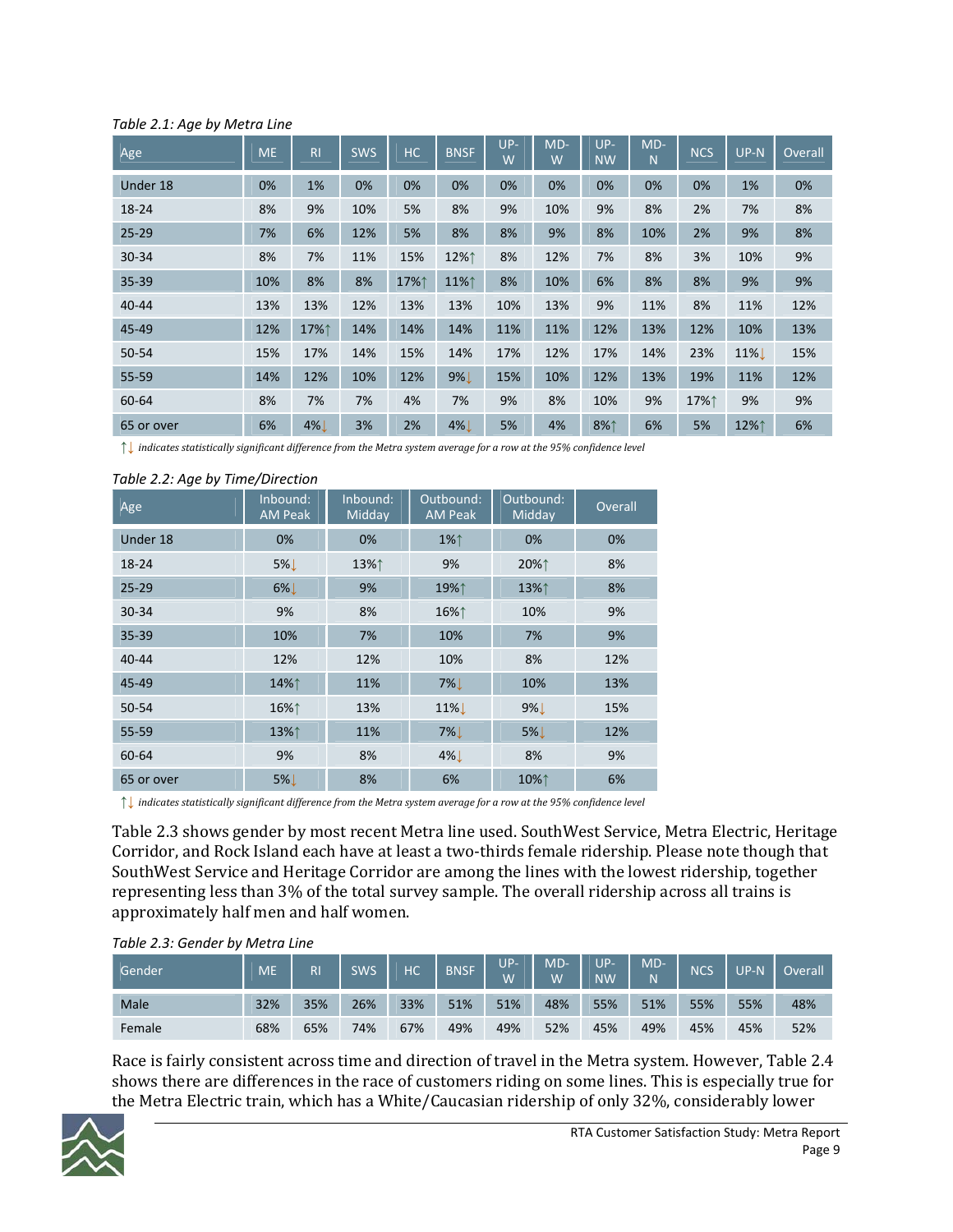| ر۔ ۔ ت     |           |                |            |      |             |            |            |                  |                       |            |              |         |
|------------|-----------|----------------|------------|------|-------------|------------|------------|------------------|-----------------------|------------|--------------|---------|
| Age        | <b>ME</b> | R <sub>l</sub> | <b>SWS</b> | HC   | <b>BNSF</b> | $UP-$<br>W | $MD-$<br>W | UP-<br><b>NW</b> | $MD-$<br>$\mathsf{N}$ | <b>NCS</b> | $UP-N$       | Overall |
| Under 18   | 0%        | 1%             | 0%         | 0%   | 0%          | 0%         | 0%         | 0%               | 0%                    | 0%         | 1%           | 0%      |
| 18-24      | 8%        | 9%             | 10%        | 5%   | 8%          | 9%         | 10%        | 9%               | 8%                    | 2%         | 7%           | 8%      |
| $25 - 29$  | 7%        | 6%             | 12%        | 5%   | 8%          | 8%         | 9%         | 8%               | 10%                   | 2%         | 9%           | 8%      |
| 30-34      | 8%        | 7%             | 11%        | 15%  | 12%↑        | 8%         | 12%        | 7%               | 8%                    | 3%         | 10%          | 9%      |
| 35-39      | 10%       | 8%             | 8%         | 17%↑ | 11%↑        | 8%         | 10%        | 6%               | 8%                    | 8%         | 9%           | 9%      |
| $40 - 44$  | 13%       | 13%            | 12%        | 13%  | 13%         | 10%        | 13%        | 9%               | 11%                   | 8%         | 11%          | 12%     |
| 45-49      | 12%       | 17%↑           | 14%        | 14%  | 14%         | 11%        | 11%        | 12%              | 13%                   | 12%        | 10%          | 13%     |
| $50 - 54$  | 15%       | 17%            | 14%        | 15%  | 14%         | 17%        | 12%        | 17%              | 14%                   | 23%        | 11% <b>L</b> | 15%     |
| 55-59      | 14%       | 12%            | 10%        | 12%  | $9\%$       | 15%        | 10%        | 12%              | 13%                   | 19%        | 11%          | 12%     |
| 60-64      | 8%        | 7%             | 7%         | 4%   | 7%          | 9%         | 8%         | 10%              | 9%                    | 17%↑       | 9%           | 9%      |
| 65 or over | 6%        | $4\%$          | 3%         | 2%   | $4\%$       | 5%         | 4%         | 8%1              | 6%                    | 5%         | 12%↑         | 6%      |

#### *Table 2.1: Age by Metra Line*

 $\uparrow$  indicates statistically significant difference from the Metra system average for a row at the 95% confidence level

| Age        | Inbound:<br><b>AM Peak</b> | Inbound:<br>Midday | Outbound:<br><b>AM Peak</b> | Outbound:<br>Midday | Overall |
|------------|----------------------------|--------------------|-----------------------------|---------------------|---------|
| Under 18   | 0%                         | 0%                 | 1%↑                         | 0%                  | 0%      |
| 18-24      | $5\%$                      | 13%↑               | 9%                          | 20%↑                | 8%      |
| $25 - 29$  | $6\%$                      | 9%                 | 19%↑                        | 13%↑                | 8%      |
| 30-34      | 9%                         | 8%                 | 16%↑                        | 10%                 | 9%      |
| $35 - 39$  | 10%                        | 7%                 | 10%                         | 7%                  | 9%      |
| $40 - 44$  | 12%                        | 12%                | 10%                         | 8%                  | 12%     |
| 45-49      | 14%↑                       | 11%                | $7\%$                       | 10%                 | 13%     |
| 50-54      | 16%↑                       | 13%                | 11% <b>L</b>                | $9\%$               | 15%     |
| $55 - 59$  | 13%↑                       | 11%                | $7\%$                       | $5\%$               | 12%     |
| 60-64      | 9%                         | 8%                 | $4\%$                       | 8%                  | 9%      |
| 65 or over | 5%!                        | 8%                 | 6%                          | 10%↑                | 6%      |

#### *Table 2.2: Age by Time/Direction*

 $\uparrow\downarrow$  indicates statistically significant difference from the Metra system average for a row at the 95% confidence level

Table 2.3 shows gender by most recent Metra line used. SouthWest Service, Metra Electric, Heritage Corridor, and Rock Island each have at least a two-thirds female ridership. Please note though that SouthWest Service and Heritage Corridor are among the lines with the lowest ridership, together representing less than 3% of the total survey sample. The overall ridership across all trains is approximately half men and half women.

| Table 2.3: Gender by Metra Line |  |  |
|---------------------------------|--|--|
|                                 |  |  |

| Gender | <b>ME</b> | <b>R</b> | <b>SWS</b> | НC  | <b>BNSF</b> | UP-<br>Ŵ | MD<br>W | <b>ID</b><br><b>NW</b> | MD-<br>N | NCS | <b>ID</b> | Overall |
|--------|-----------|----------|------------|-----|-------------|----------|---------|------------------------|----------|-----|-----------|---------|
| Male   | 32%       | 35%      | 26%        | 33% | 51%         | 51%      | 48%     | 55%                    | 51%      | 55% | 55%       | 48%     |
| Female | 68%       | 65%      | 74%        | 67% | 49%         | 49%      | 52%     | 45%                    | 49%      | 45% | 45%       | 52%     |

Race is fairly consistent across time and direction of travel in the Metra system. However, Table 2.4 shows there are differences in the race of customers riding on some lines. This is especially true for the Metra Electric train, which has a White/Caucasian ridership of only 32%, considerably lower

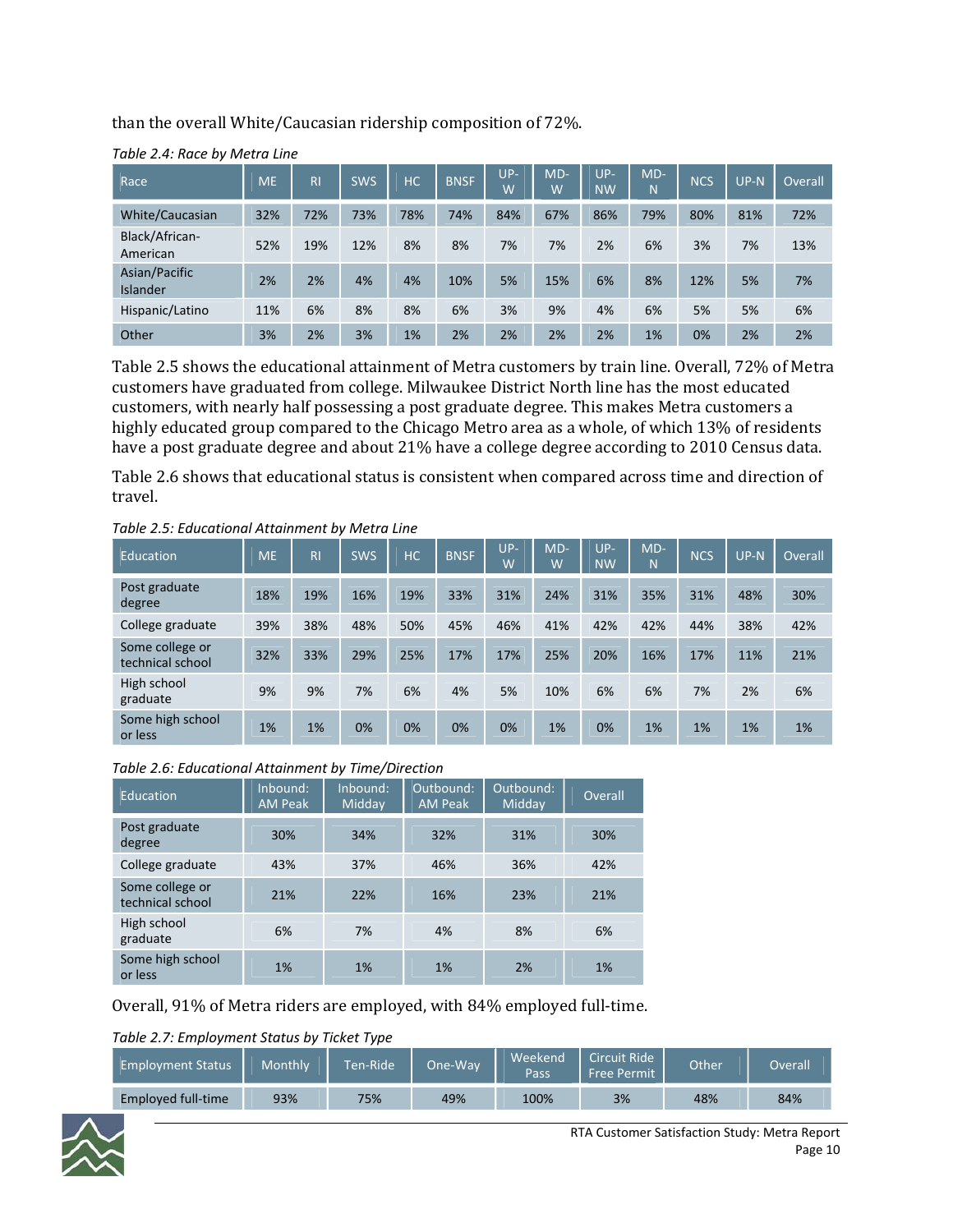than the overall White/Caucasian ridership composition of 72%.

| Race                             | <b>ME</b> | R <sub>l</sub> | <b>SWS</b> | <b>HC</b> | <b>BNSF</b> | $UP-$<br>W | MD-<br>W | $UP-$<br><b>NW</b> | $MD-$<br>N | <b>NCS</b> | $UP-N$ | Overall |
|----------------------------------|-----------|----------------|------------|-----------|-------------|------------|----------|--------------------|------------|------------|--------|---------|
| White/Caucasian                  | 32%       | 72%            | 73%        | 78%       | 74%         | 84%        | 67%      | 86%                | 79%        | 80%        | 81%    | 72%     |
| Black/African-<br>American       | 52%       | 19%            | 12%        | 8%        | 8%          | 7%         | 7%       | 2%                 | 6%         | 3%         | 7%     | 13%     |
| Asian/Pacific<br><b>Islander</b> | 2%        | 2%             | 4%         | 4%        | 10%         | 5%         | 15%      | 6%                 | 8%         | 12%        | 5%     | 7%      |
| Hispanic/Latino                  | 11%       | 6%             | 8%         | 8%        | 6%          | 3%         | 9%       | 4%                 | 6%         | 5%         | 5%     | 6%      |
| Other                            | 3%        | 2%             | 3%         | 1%        | 2%          | 2%         | 2%       | 2%                 | 1%         | 0%         | 2%     | 2%      |

*Table 2.4: Race by Metra Line*

Table 2.5 shows the educational attainment of Metra customers by train line. Overall, 72% of Metra customers have graduated from college. Milwaukee District North line has the most educated customers, with nearly half possessing a post graduate degree. This makes Metra customers a highly educated group compared to the Chicago Metro area as a whole, of which 13% of residents have a post graduate degree and about 21% have a college degree according to 2010 Census data.

Table 2.6 shows that educational status is consistent when compared across time and direction of travel.

| Education                           | <b>ME</b> | R <sub>l</sub> | <b>SWS</b> | <b>HC</b> | <b>BNSF</b> | $UP-$<br>W | $MD-$<br>W | $UP-$<br><b>NW</b> | $MD-$<br>N | <b>NCS</b> | $UP-N$ | Overall |
|-------------------------------------|-----------|----------------|------------|-----------|-------------|------------|------------|--------------------|------------|------------|--------|---------|
| Post graduate<br>degree             | 18%       | 19%            | 16%        | 19%       | 33%         | 31%        | 24%        | 31%                | 35%        | 31%        | 48%    | 30%     |
| College graduate                    | 39%       | 38%            | 48%        | 50%       | 45%         | 46%        | 41%        | 42%                | 42%        | 44%        | 38%    | 42%     |
| Some college or<br>technical school | 32%       | 33%            | 29%        | 25%       | 17%         | 17%        | 25%        | 20%                | 16%        | 17%        | 11%    | 21%     |
| High school<br>graduate             | 9%        | 9%             | 7%         | 6%        | 4%          | 5%         | 10%        | 6%                 | 6%         | 7%         | 2%     | 6%      |
| Some high school<br>or less         | 1%        | 1%             | 0%         | 0%        | 0%          | 0%         | 1%         | 0%                 | 1%         | 1%         | 1%     | 1%      |

*Table 2.5: Educational Attainment by Metra Line*

#### *Table 2.6: Educational Attainment by Time/Direction*

| <b>Education</b>                    | Inbound:<br><b>AM Peak</b> | Inbound:<br>Midday | Outbound:<br><b>AM Peak</b> | Outbound:<br>Midday | Overall |
|-------------------------------------|----------------------------|--------------------|-----------------------------|---------------------|---------|
| Post graduate<br>degree             | 30%                        | 34%                | 32%                         | 31%                 | 30%     |
| College graduate                    | 43%                        | 37%                | 46%                         | 36%                 | 42%     |
| Some college or<br>technical school | 21%                        | 22%                | 16%                         | 23%                 | 21%     |
| High school<br>graduate             | 6%                         | 7%                 | 4%                          | 8%                  | 6%      |
| Some high school<br>or less         | 1%                         | 1%                 | 1%                          | 2%                  | 1%      |

Overall, 91% of Metra riders are employed, with 84% employed full‐time.

#### *Table 2.7: Employment Status by Ticket Type*

| <b>Employment Status</b> | Monthly | Ten-Ride | One-Wav | Weekend<br>Pass | Circuit Ride<br><b>Free Permit</b> | Other | Overall |
|--------------------------|---------|----------|---------|-----------------|------------------------------------|-------|---------|
| Employed full-time       | 93%     | 75%      | 49%     | 100%            | 3%                                 | 48%   | 84%     |

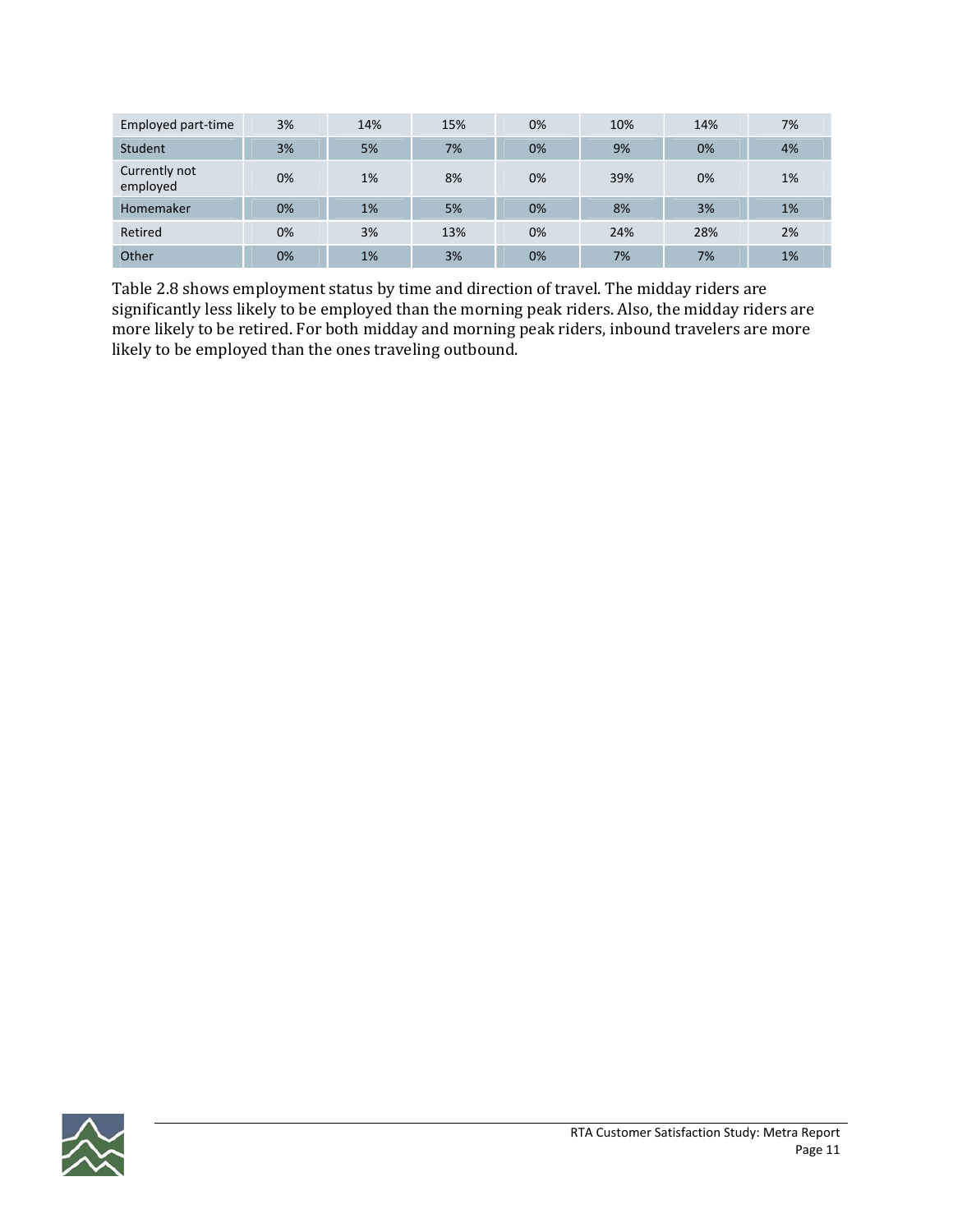| Employed part-time        | 3%    | 14% | 15% | 0% | 10% | 14% | 7% |
|---------------------------|-------|-----|-----|----|-----|-----|----|
| Student                   | 3%    | 5%  | 7%  | 0% | 9%  | 0%  | 4% |
| Currently not<br>employed | 0%    | 1%  | 8%  | 0% | 39% | 0%  | 1% |
| Homemaker                 | $0\%$ | 1%  | 5%  | 0% | 8%  | 3%  | 1% |
| Retired                   | 0%    | 3%  | 13% | 0% | 24% | 28% | 2% |
| Other                     | 0%    | 1%  | 3%  | 0% | 7%  | 7%  | 1% |

Table 2.8 shows employment status by time and direction of travel. The midday riders are significantly less likely to be employed than the morning peak riders. Also, the midday riders are more likely to be retired. For both midday and morning peak riders, inbound travelers are more likely to be employed than the ones traveling outbound.

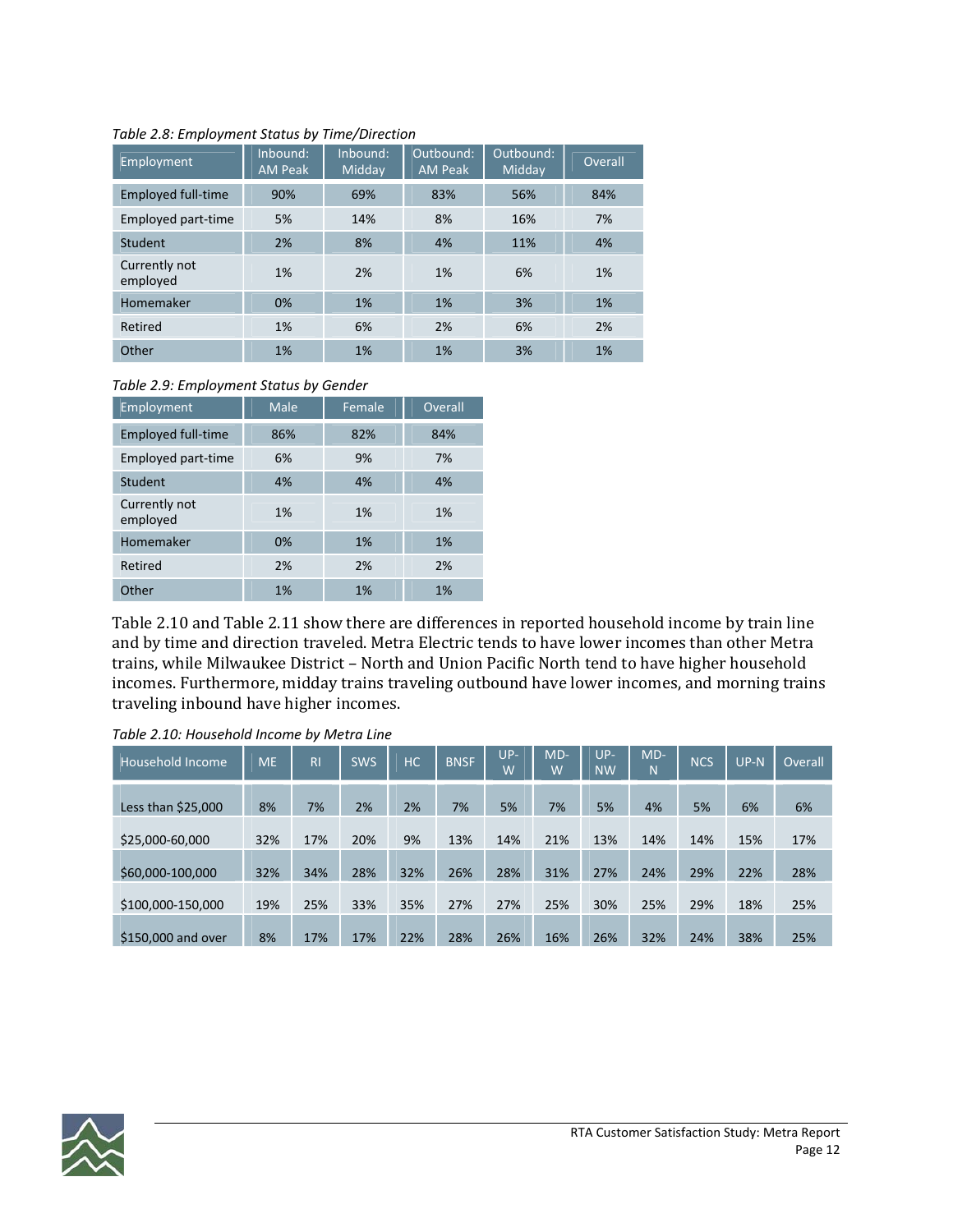| Employment                | Inbound:<br><b>AM Peak</b> | Inbound:<br>Midday | Outbound:<br><b>AM Peak</b> | Outbound:<br>Midday | Overall |
|---------------------------|----------------------------|--------------------|-----------------------------|---------------------|---------|
| <b>Employed full-time</b> | 90%                        | 69%                | 83%                         | 56%                 | 84%     |
| Employed part-time        | 5%                         | 14%                | 8%                          | 16%                 | 7%      |
| Student                   | 2%                         | 8%                 | 4%                          | 11%                 | 4%      |
| Currently not<br>employed | 1%                         | 2%                 | 1%                          | 6%                  | 1%      |
| Homemaker                 | 0%                         | 1%                 | 1%                          | 3%                  | 1%      |
| Retired                   | 1%                         | 6%                 | 2%                          | 6%                  | 2%      |
| Other                     | 1%                         | 1%                 | 1%                          | 3%                  | 1%      |

#### *Table 2.8: Employment Status by Time/Direction*

#### *Table 2.9: Employment Status by Gender*

| Employment                | Male | Female | Overall |
|---------------------------|------|--------|---------|
| <b>Employed full-time</b> | 86%  | 82%    | 84%     |
| Employed part-time        | 6%   | 9%     | 7%      |
| Student                   | 4%   | 4%     | 4%      |
| Currently not<br>employed | 1%   | 1%     | 1%      |
| Homemaker                 | 0%   | 1%     | 1%      |
| Retired                   | 2%   | 2%     | 2%      |
| Other                     | 1%   | 1%     | 1%      |

Table 2.10 and Table 2.11 show there are differences in reported household income by train line and by time and direction traveled. Metra Electric tends to have lower incomes than other Metra trains, while Milwaukee District – North and Union Pacific North tend to have higher household incomes. Furthermore, midday trains traveling outbound have lower incomes, and morning trains traveling inbound have higher incomes.

| Household Income    | <b>ME</b> | R <sub>l</sub> | <b>SWS</b> | <b>HC</b> | <b>BNSF</b> | $UP-$<br>W | $MD-$<br>W | $UP-$<br><b>NW</b> | $MD-$<br>N | <b>NCS</b> | $UP-N$ | Overall |
|---------------------|-----------|----------------|------------|-----------|-------------|------------|------------|--------------------|------------|------------|--------|---------|
| Less than $$25,000$ | 8%        | 7%             | 2%         | 2%        | 7%          | 5%         | 7%         | 5%                 | 4%         | 5%         | 6%     | 6%      |
| \$25,000-60,000     | 32%       | 17%            | 20%        | 9%        | 13%         | 14%        | 21%        | 13%                | 14%        | 14%        | 15%    | 17%     |
| \$60,000-100,000    | 32%       | 34%            | 28%        | 32%       | 26%         | 28%        | 31%        | 27%                | 24%        | 29%        | 22%    | 28%     |
| \$100,000-150,000   | 19%       | 25%            | 33%        | 35%       | 27%         | 27%        | 25%        | 30%                | 25%        | 29%        | 18%    | 25%     |
| \$150,000 and over  | 8%        | 17%            | 17%        | 22%       | 28%         | 26%        | 16%        | 26%                | 32%        | 24%        | 38%    | 25%     |

*Table 2.10: Household Income by Metra Line*

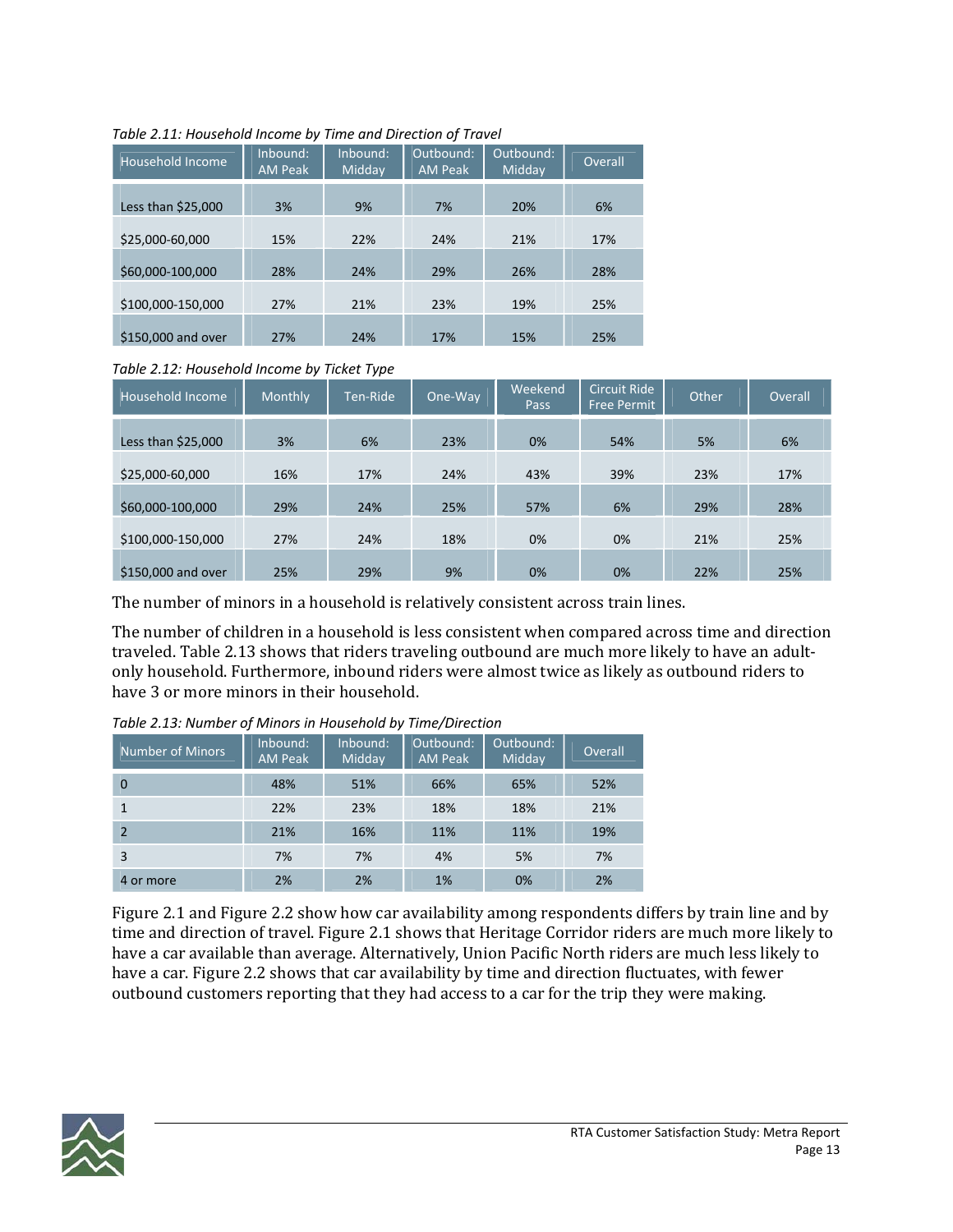| Household Income   | Inbound:<br><b>AM Peak</b> | Inbound:<br>Midday | Outbound:<br><b>AM Peak</b> | Outbound:<br>Midday | Overall |
|--------------------|----------------------------|--------------------|-----------------------------|---------------------|---------|
| Less than \$25,000 | 3%                         | 9%                 | 7%                          | 20%                 | 6%      |
| \$25,000-60,000    | 15%                        | 22%                | 24%                         | 21%                 | 17%     |
| \$60,000-100,000   | 28%                        | 24%                | 29%                         | 26%                 | 28%     |
| \$100.000-150.000  | 27%                        | 21%                | 23%                         | 19%                 | 25%     |
| \$150,000 and over | 27%                        | 24%                | 17%                         | 15%                 | 25%     |

#### *Table 2.11: Household Income by Time and Direction of Travel*

*Table 2.12: Household Income by Ticket Type*

| Household Income    | <b>Monthly</b> | Ten-Ride | One-Way | Weekend<br>Pass | <b>Circuit Ride</b><br><b>Free Permit</b> | Other | Overall |
|---------------------|----------------|----------|---------|-----------------|-------------------------------------------|-------|---------|
| Less than $$25,000$ | 3%             | 6%       | 23%     | 0%              | 54%                                       | 5%    | 6%      |
| \$25,000-60,000     | 16%            | 17%      | 24%     | 43%             | 39%                                       | 23%   | 17%     |
| \$60,000-100,000    | 29%            | 24%      | 25%     | 57%             | 6%                                        | 29%   | 28%     |
| \$100,000-150,000   | 27%            | 24%      | 18%     | 0%              | 0%                                        | 21%   | 25%     |
| \$150,000 and over  | 25%            | 29%      | 9%      | 0%              | 0%                                        | 22%   | 25%     |

The number of minors in a household is relatively consistent across train lines.

The number of children in a household is less consistent when compared across time and direction traveled. Table 2.13 shows that riders traveling outbound are much more likely to have an adult‐ only household. Furthermore, inbound riders were almost twice as likely as outbound riders to have 3 or more minors in their household.

| Number of Minors | Inbound:<br><b>AM Peak</b> | Inbound:<br>Midday | Outbound:<br><b>AM Peak</b> | Outbound:<br>Midday | Overall |
|------------------|----------------------------|--------------------|-----------------------------|---------------------|---------|
| $\Omega$         | 48%                        | 51%                | 66%                         | 65%                 | 52%     |
|                  | 22%                        | 23%                | 18%                         | 18%                 | 21%     |
|                  | 21%                        | 16%                | 11%                         | 11%                 | 19%     |
| 3                | 7%                         | 7%                 | 4%                          | 5%                  | 7%      |
| 4 or more        | 2%                         | 2%                 | 1%                          | 0%                  | 2%      |

*Table 2.13: Number of Minors in Household by Time/Direction*

Figure 2.1 and Figure 2.2 show how car availability among respondents differs by train line and by time and direction of travel. Figure 2.1 shows that Heritage Corridor riders are much more likely to have a car available than average. Alternatively, Union Pacific North riders are much less likely to have a car. Figure 2.2 shows that car availability by time and direction fluctuates, with fewer outbound customers reporting that they had access to a car for the trip they were making.

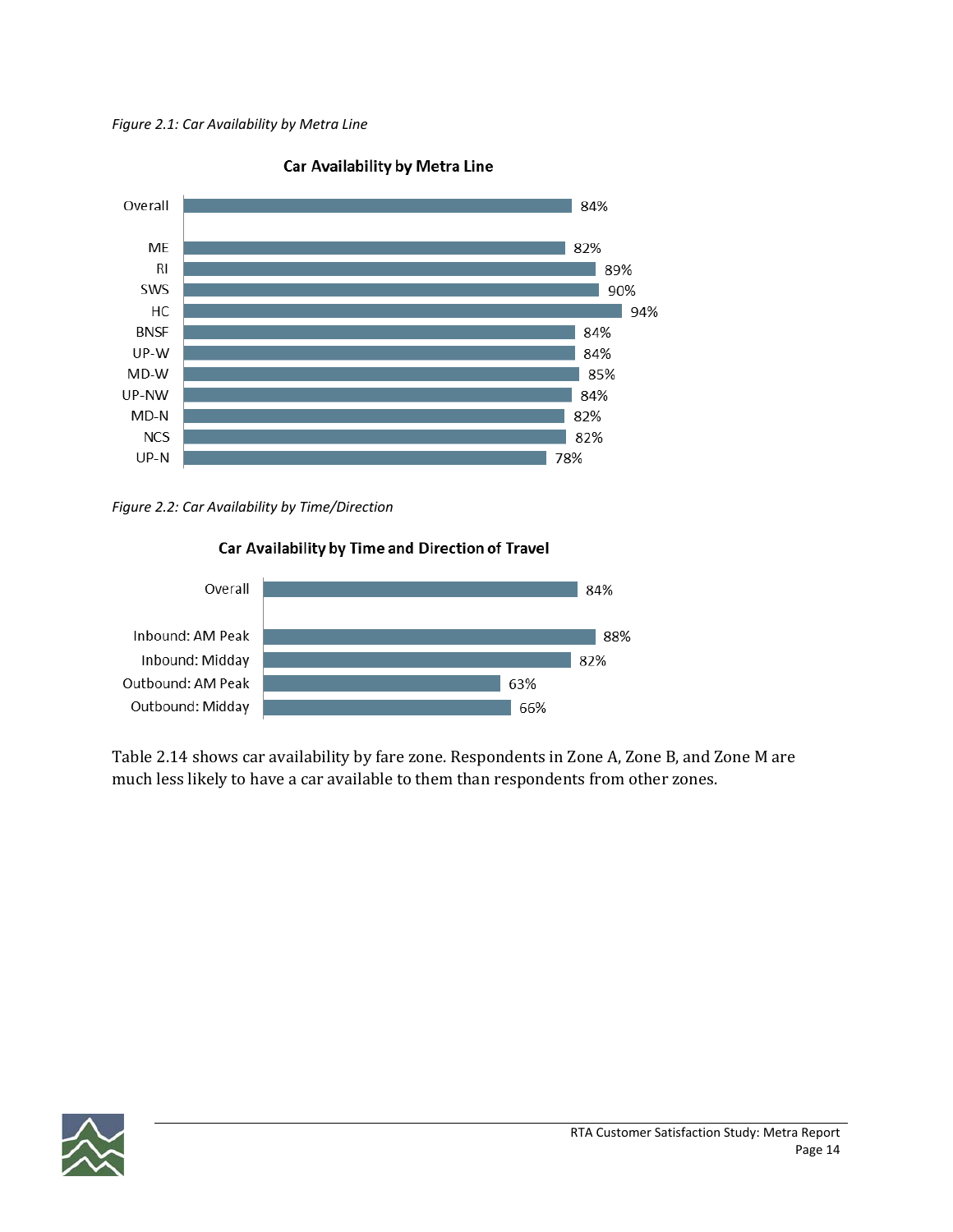*Figure 2.1: Car Availability by Metra Line*



### Car Availability by Metra Line

*Figure 2.2: Car Availability by Time/Direction*



# Car Availability by Time and Direction of Travel

Table 2.14 shows car availability by fare zone. Respondents in Zone A, Zone B, and Zone M are much less likely to have a car available to them than respondents from other zones.

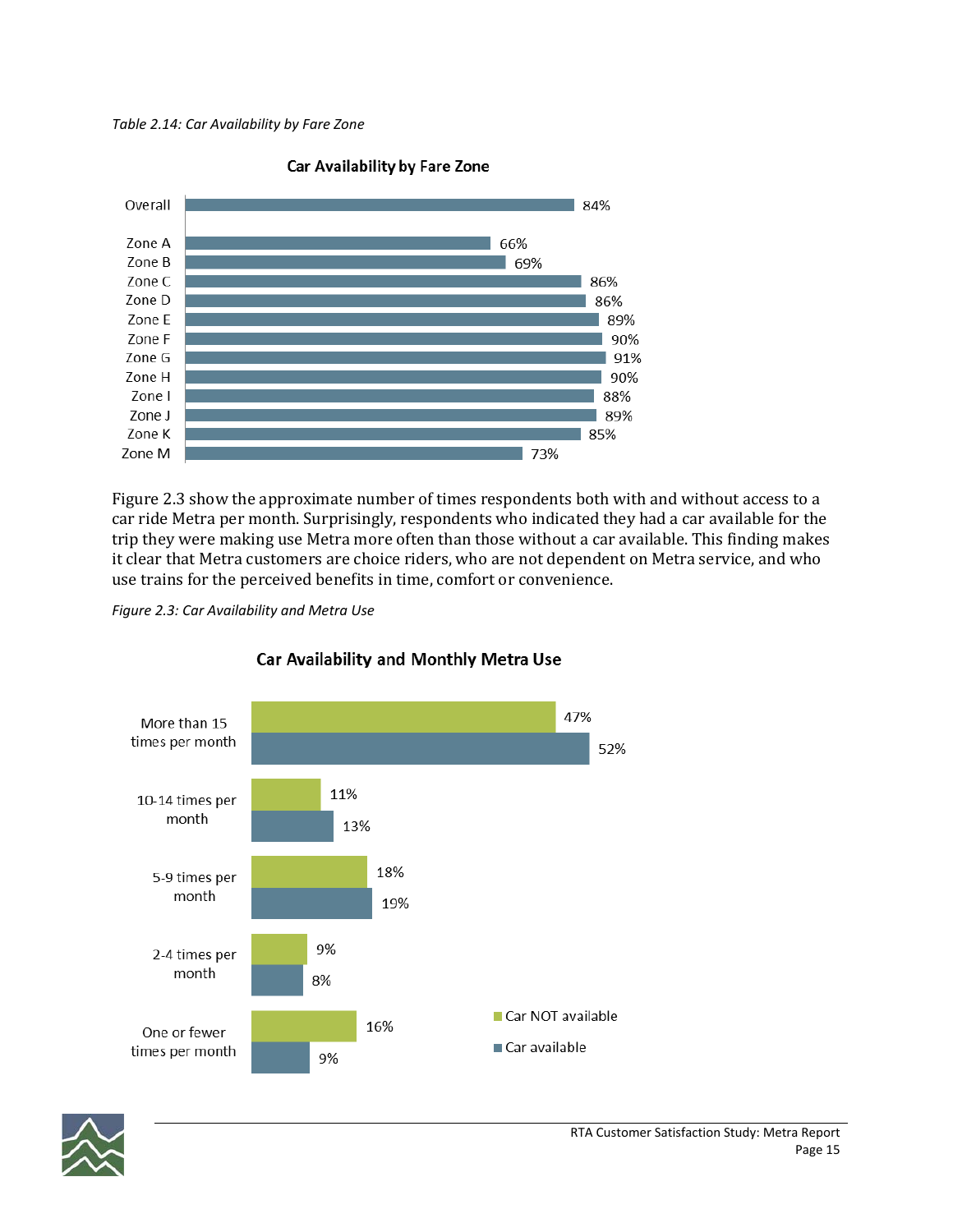*Table 2.14: Car Availability by Fare Zone*



Car Availability by Fare Zone

Figure 2.3 show the approximate number of times respondents both with and without access to a car ride Metra per month. Surprisingly, respondents who indicated they had a car available for the trip they were making use Metra more often than those without a car available. This finding makes it clear that Metra customers are choice riders, who are not dependent on Metra service, and who use trains for the perceived benefits in time, comfort or convenience.

*Figure 2.3: Car Availability and Metra Use*



### Car Availability and Monthly Metra Use

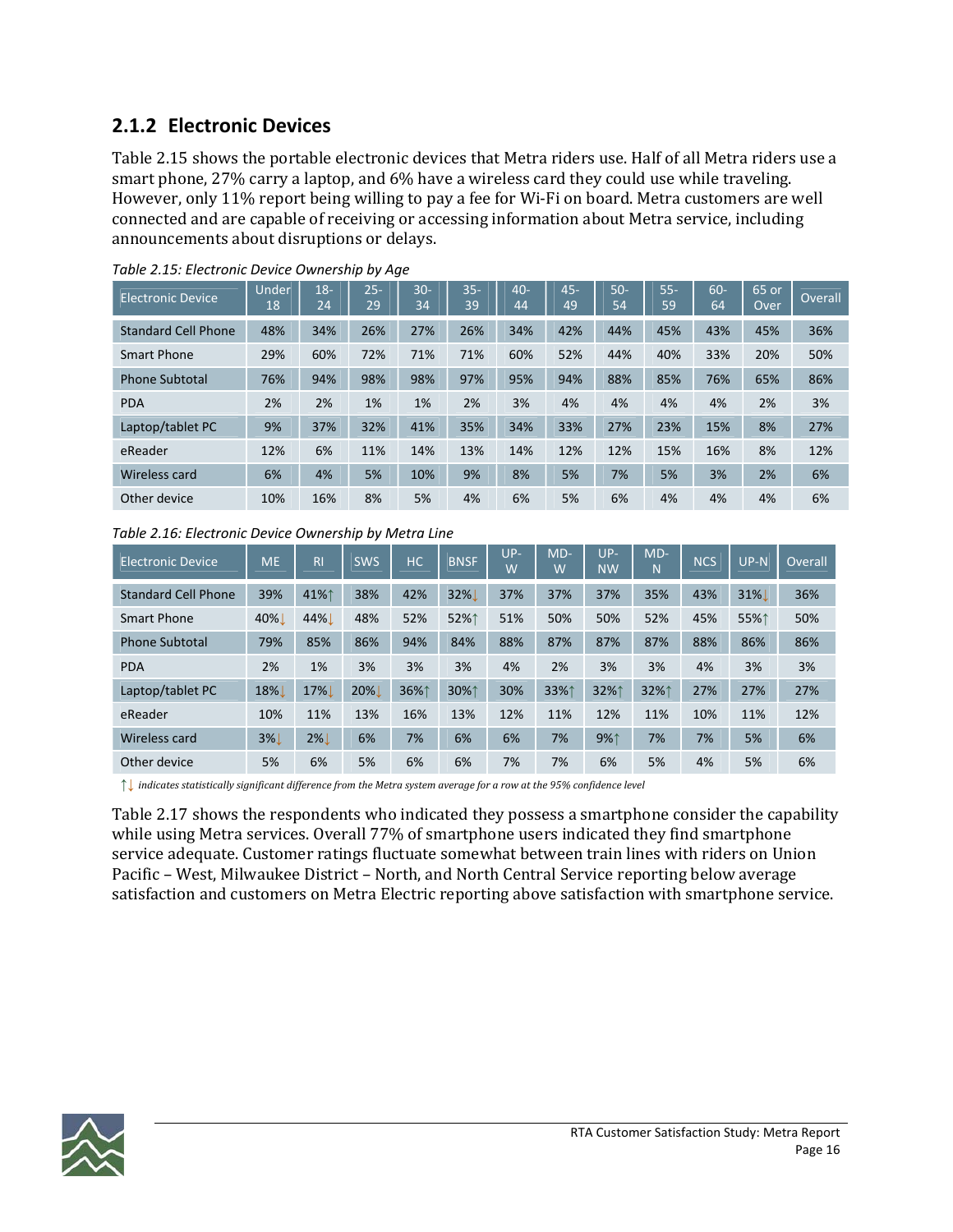### **2.1.2 Electronic Devices**

Table 2.15 shows the portable electronic devices that Metra riders use. Half of all Metra riders use a smart phone, 27% carry a laptop, and 6% have a wireless card they could use while traveling. However, only 11% report being willing to pay a fee for Wi‐Fi on board. Metra customers are well connected and are capable of receiving or accessing information about Metra service, including announcements about disruptions or delays.

| Electronic Device          | Under<br>18 | $18-$<br>24 | $25-$<br>29 | $30 -$<br>$\overline{3}4$ | $35 -$<br>39 | $40 -$<br>44 | $45 -$<br>49 | $50-$<br>54 | $55 -$<br>59 | 60-<br>64 | 65 or<br>Over | Overall |
|----------------------------|-------------|-------------|-------------|---------------------------|--------------|--------------|--------------|-------------|--------------|-----------|---------------|---------|
| <b>Standard Cell Phone</b> | 48%         | 34%         | 26%         | 27%                       | 26%          | 34%          | 42%          | 44%         | 45%          | 43%       | 45%           | 36%     |
| Smart Phone                | 29%         | 60%         | 72%         | 71%                       | 71%          | 60%          | 52%          | 44%         | 40%          | 33%       | 20%           | 50%     |
| <b>Phone Subtotal</b>      | 76%         | 94%         | 98%         | 98%                       | 97%          | 95%          | 94%          | 88%         | 85%          | 76%       | 65%           | 86%     |
| <b>PDA</b>                 | 2%          | 2%          | 1%          | 1%                        | 2%           | 3%           | 4%           | 4%          | 4%           | 4%        | 2%            | 3%      |
| Laptop/tablet PC           | 9%          | 37%         | 32%         | 41%                       | 35%          | 34%          | 33%          | 27%         | 23%          | 15%       | 8%            | 27%     |
| eReader                    | 12%         | 6%          | 11%         | 14%                       | 13%          | 14%          | 12%          | 12%         | 15%          | 16%       | 8%            | 12%     |
| Wireless card              | 6%          | 4%          | 5%          | 10%                       | 9%           | 8%           | 5%           | 7%          | 5%           | 3%        | 2%            | 6%      |
| Other device               | 10%         | 16%         | 8%          | 5%                        | 4%           | 6%           | 5%           | 6%          | 4%           | 4%        | 4%            | 6%      |

*Table 2.15: Electronic Device Ownership by Age*

*Table 2.16: Electronic Device Ownership by Metra Line*

| Electronic Device          | <b>ME</b> | <b>RI</b> | <b>SWS</b> | HC.  | <b>BNSF</b> | $UP-$<br>W | $MD-$<br>W | $UP-$<br><b>NW</b> | $MD-$<br>Ñ | <b>NCS</b> | $UP-N$ | Overall |
|----------------------------|-----------|-----------|------------|------|-------------|------------|------------|--------------------|------------|------------|--------|---------|
| <b>Standard Cell Phone</b> | 39%       | 41%↑      | 38%        | 42%  | 32%         | 37%        | 37%        | 37%                | 35%        | 43%        | 31%L   | 36%     |
| Smart Phone                | 40%       | 44%       | 48%        | 52%  | 52%↑        | 51%        | 50%        | 50%                | 52%        | 45%        | 55%↑   | 50%     |
| <b>Phone Subtotal</b>      | 79%       | 85%       | 86%        | 94%  | 84%         | 88%        | 87%        | 87%                | 87%        | 88%        | 86%    | 86%     |
| <b>PDA</b>                 | 2%        | 1%        | 3%         | 3%   | 3%          | 4%         | 2%         | 3%                 | 3%         | 4%         | 3%     | 3%      |
| Laptop/tablet PC           | 18%       | 17%       | 20%        | 36%1 | 30%↑        | 30%        | 33%↑       | 32%1               | 32%1       | 27%        | 27%    | 27%     |
| eReader                    | 10%       | 11%       | 13%        | 16%  | 13%         | 12%        | 11%        | 12%                | 11%        | 10%        | 11%    | 12%     |
| Wireless card              | <b>3%</b> | $2\%$     | 6%         | 7%   | 6%          | 6%         | 7%         | 9%1                | 7%         | 7%         | 5%     | 6%      |
| Other device               | 5%        | 6%        | 5%         | 6%   | 6%          | 7%         | 7%         | 6%                 | 5%         | 4%         | 5%     | 6%      |

↑↓ indicates statistically significant difference from the Metra system average for a row at the 95% confidence level

Table 2.17 shows the respondents who indicated they possess a smartphone consider the capability while using Metra services. Overall 77% of smartphone users indicated they find smartphone service adequate. Customer ratings fluctuate somewhat between train lines with riders on Union Pacific – West, Milwaukee District – North, and North Central Service reporting below average satisfaction and customers on Metra Electric reporting above satisfaction with smartphone service.

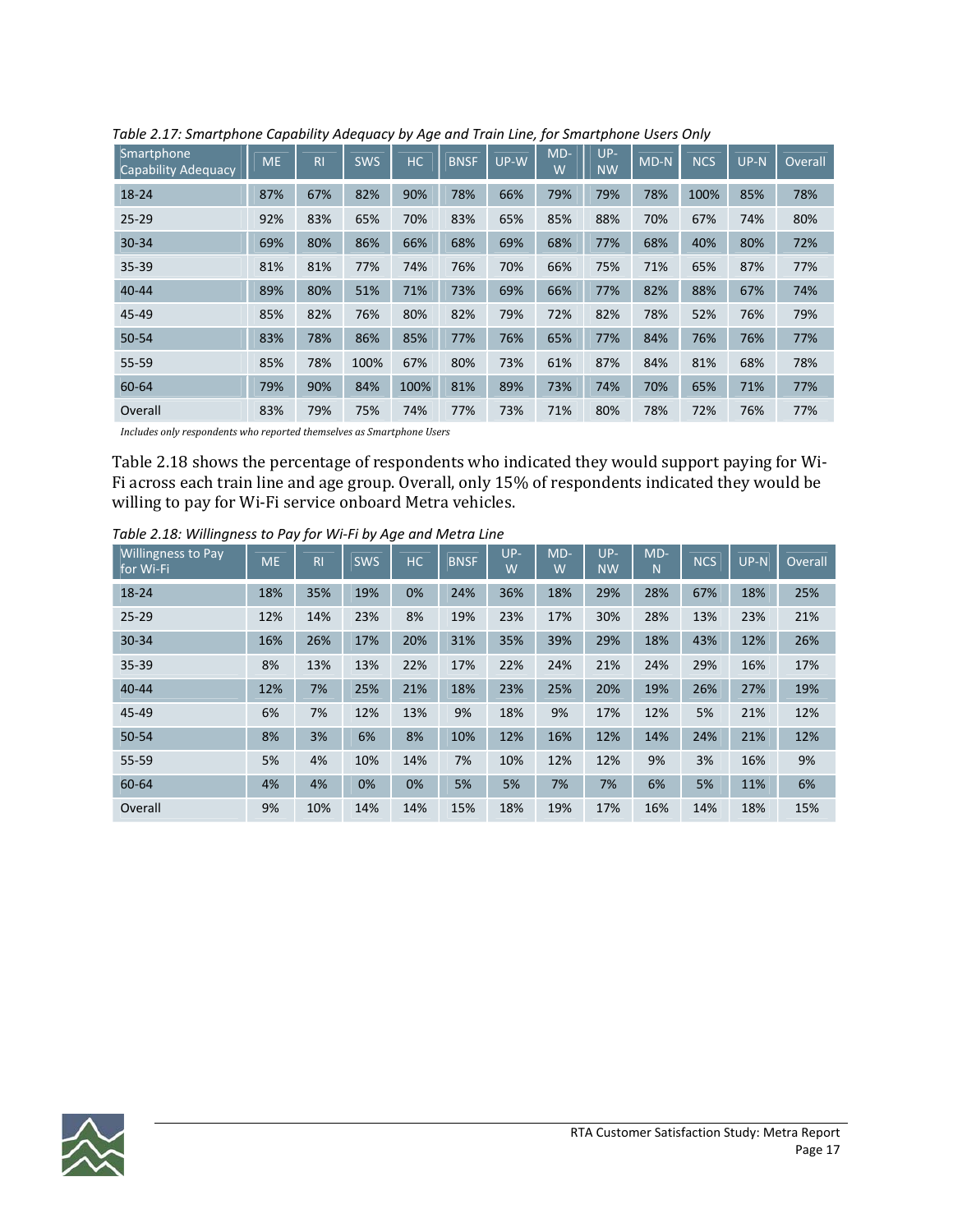| Smartphone<br><b>Capability Adequacy</b> | <b>ME</b> | R <sub>l</sub> | <b>SWS</b> | HC   | <b>BNSF</b> | $UP-W$ | $MD-$<br>W | UP-<br><b>NW</b> | $MD-N$ | <b>NCS</b> | $UP-N$ | Overall |
|------------------------------------------|-----------|----------------|------------|------|-------------|--------|------------|------------------|--------|------------|--------|---------|
| 18-24                                    | 87%       | 67%            | 82%        | 90%  | 78%         | 66%    | 79%        | 79%              | 78%    | 100%       | 85%    | 78%     |
| $25 - 29$                                | 92%       | 83%            | 65%        | 70%  | 83%         | 65%    | 85%        | 88%              | 70%    | 67%        | 74%    | 80%     |
| $30 - 34$                                | 69%       | 80%            | 86%        | 66%  | 68%         | 69%    | 68%        | 77%              | 68%    | 40%        | 80%    | 72%     |
| 35-39                                    | 81%       | 81%            | 77%        | 74%  | 76%         | 70%    | 66%        | 75%              | 71%    | 65%        | 87%    | 77%     |
| $40 - 44$                                | 89%       | 80%            | 51%        | 71%  | 73%         | 69%    | 66%        | 77%              | 82%    | 88%        | 67%    | 74%     |
| 45-49                                    | 85%       | 82%            | 76%        | 80%  | 82%         | 79%    | 72%        | 82%              | 78%    | 52%        | 76%    | 79%     |
| 50-54                                    | 83%       | 78%            | 86%        | 85%  | 77%         | 76%    | 65%        | 77%              | 84%    | 76%        | 76%    | 77%     |
| 55-59                                    | 85%       | 78%            | 100%       | 67%  | 80%         | 73%    | 61%        | 87%              | 84%    | 81%        | 68%    | 78%     |
| 60-64                                    | 79%       | 90%            | 84%        | 100% | 81%         | 89%    | 73%        | 74%              | 70%    | 65%        | 71%    | 77%     |
| Overall                                  | 83%       | 79%            | 75%        | 74%  | 77%         | 73%    | 71%        | 80%              | 78%    | 72%        | 76%    | 77%     |

*Table 2.17: Smartphone Capability Adequacy by Age and Train Line, for Smartphone Users Only*

*Includes only respondents who reported themselves as Smartphone Users* 

Table 2.18 shows the percentage of respondents who indicated they would support paying for Wi‐ Fi across each train line and age group. Overall, only 15% of respondents indicated they would be willing to pay for Wi-Fi service onboard Metra vehicles.

| <b>Willingness to Pay</b><br>for Wi-Fi | <b>ME</b> | R <sub>l</sub> | <b>SWS</b> | HC. | <b>BNSF</b> | $UP-$<br>W | $MD-$<br>W | $UP-$<br><b>NW</b> | $MD-$<br>N | <b>NCS</b> | $UP-N$ | Overall |
|----------------------------------------|-----------|----------------|------------|-----|-------------|------------|------------|--------------------|------------|------------|--------|---------|
| 18-24                                  | 18%       | 35%            | 19%        | 0%  | 24%         | 36%        | 18%        | 29%                | 28%        | 67%        | 18%    | 25%     |
| $25 - 29$                              | 12%       | 14%            | 23%        | 8%  | 19%         | 23%        | 17%        | 30%                | 28%        | 13%        | 23%    | 21%     |
| $30 - 34$                              | 16%       | 26%            | 17%        | 20% | 31%         | 35%        | 39%        | 29%                | 18%        | 43%        | 12%    | 26%     |
| $35 - 39$                              | 8%        | 13%            | 13%        | 22% | 17%         | 22%        | 24%        | 21%                | 24%        | 29%        | 16%    | 17%     |
| $40 - 44$                              | 12%       | 7%             | 25%        | 21% | 18%         | 23%        | 25%        | 20%                | 19%        | 26%        | 27%    | 19%     |
| 45-49                                  | 6%        | 7%             | 12%        | 13% | 9%          | 18%        | 9%         | 17%                | 12%        | 5%         | 21%    | 12%     |
| $50 - 54$                              | 8%        | 3%             | 6%         | 8%  | 10%         | 12%        | 16%        | 12%                | 14%        | 24%        | 21%    | 12%     |
| 55-59                                  | 5%        | 4%             | 10%        | 14% | 7%          | 10%        | 12%        | 12%                | 9%         | 3%         | 16%    | 9%      |
| 60-64                                  | 4%        | 4%             | 0%         | 0%  | 5%          | 5%         | 7%         | 7%                 | 6%         | 5%         | 11%    | 6%      |
| Overall                                | 9%        | 10%            | 14%        | 14% | 15%         | 18%        | 19%        | 17%                | 16%        | 14%        | 18%    | 15%     |

*Table 2.18: Willingness to Pay for Wi‐Fi by Age and Metra Line*

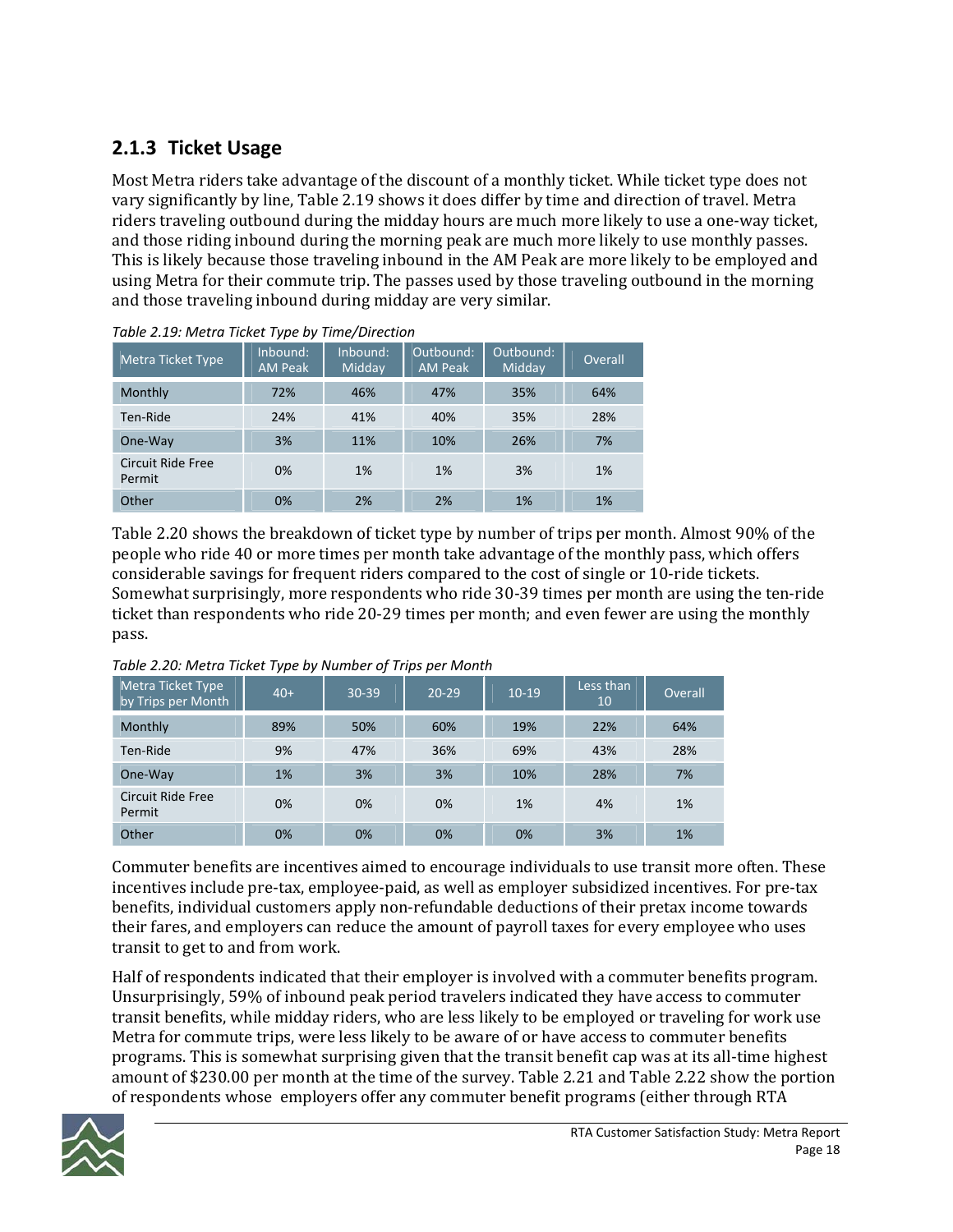### **2.1.3 Ticket Usage**

Most Metra riders take advantage of the discount of a monthly ticket. While ticket type does not vary significantly by line, Table 2.19 shows it does differ by time and direction of travel. Metra riders traveling outbound during the midday hours are much more likely to use a one‐way ticket, and those riding inbound during the morning peak are much more likely to use monthly passes. This is likely because those traveling inbound in the AM Peak are more likely to be employed and using Metra for their commute trip. The passes used by those traveling outbound in the morning and those traveling inbound during midday are very similar.

| Metra Ticket Type                  | Inbound:<br><b>AM Peak</b> | Inbound:<br>Midday | Outbound:<br><b>AM Peak</b> | Outbound:<br>Midday | Overall |
|------------------------------------|----------------------------|--------------------|-----------------------------|---------------------|---------|
| Monthly                            | 72%                        | 46%                | 47%                         | 35%                 | 64%     |
| Ten-Ride                           | 24%                        | 41%                | 40%                         | 35%                 | 28%     |
| One-Way                            | 3%                         | 11%                | 10%                         | 26%                 | 7%      |
| <b>Circuit Ride Free</b><br>Permit | 0%                         | 1%                 | 1%                          | 3%                  | 1%      |
| Other                              | 0%                         | 2%                 | 2%                          | 1%                  | 1%      |

Table 2.20 shows the breakdown of ticket type by number of trips per month. Almost 90% of the people who ride 40 or more times per month take advantage of the monthly pass, which offers considerable savings for frequent riders compared to the cost of single or 10‐ride tickets. Somewhat surprisingly, more respondents who ride 30‐39 times per month are using the ten‐ride ticket than respondents who ride 20‐29 times per month; and even fewer are using the monthly pass.

| <b>Metra Ticket Type</b><br>by Trips per Month | $40+$ | $30 - 39$ | $20 - 29$ | $10-19$ | Less than<br>10 | Overall |
|------------------------------------------------|-------|-----------|-----------|---------|-----------------|---------|
| Monthly                                        | 89%   | 50%       | 60%       | 19%     | 22%             | 64%     |
| Ten-Ride                                       | 9%    | 47%       | 36%       | 69%     | 43%             | 28%     |
| One-Way                                        | 1%    | 3%        | 3%        | 10%     | 28%             | 7%      |
| <b>Circuit Ride Free</b><br>Permit             | 0%    | 0%        | 0%        | 1%      | 4%              | 1%      |
| Other                                          | 0%    | 0%        | 0%        | 0%      | 3%              | 1%      |

*Table 2.20: Metra Ticket Type by Number of Trips per Month*

Commuter benefits are incentives aimed to encourage individuals to use transit more often. These incentives include pre‐tax, employee‐paid, as well as employer subsidized incentives. For pre‐tax benefits, individual customers apply non‐refundable deductions of their pretax income towards their fares, and employers can reduce the amount of payroll taxes for every employee who uses transit to get to and from work.

Half of respondents indicated that their employer is involved with a commuter benefits program. Unsurprisingly, 59% of inbound peak period travelers indicated they have access to commuter transit benefits, while midday riders, who are less likely to be employed or traveling for work use Metra for commute trips, were less likely to be aware of or have access to commuter benefits programs. This is somewhat surprising given that the transit benefit cap was at its all‐time highest amount of \$230.00 per month at the time of the survey. Table 2.21 and Table 2.22 show the portion of respondents whose employers offer any commuter benefit programs (either through RTA

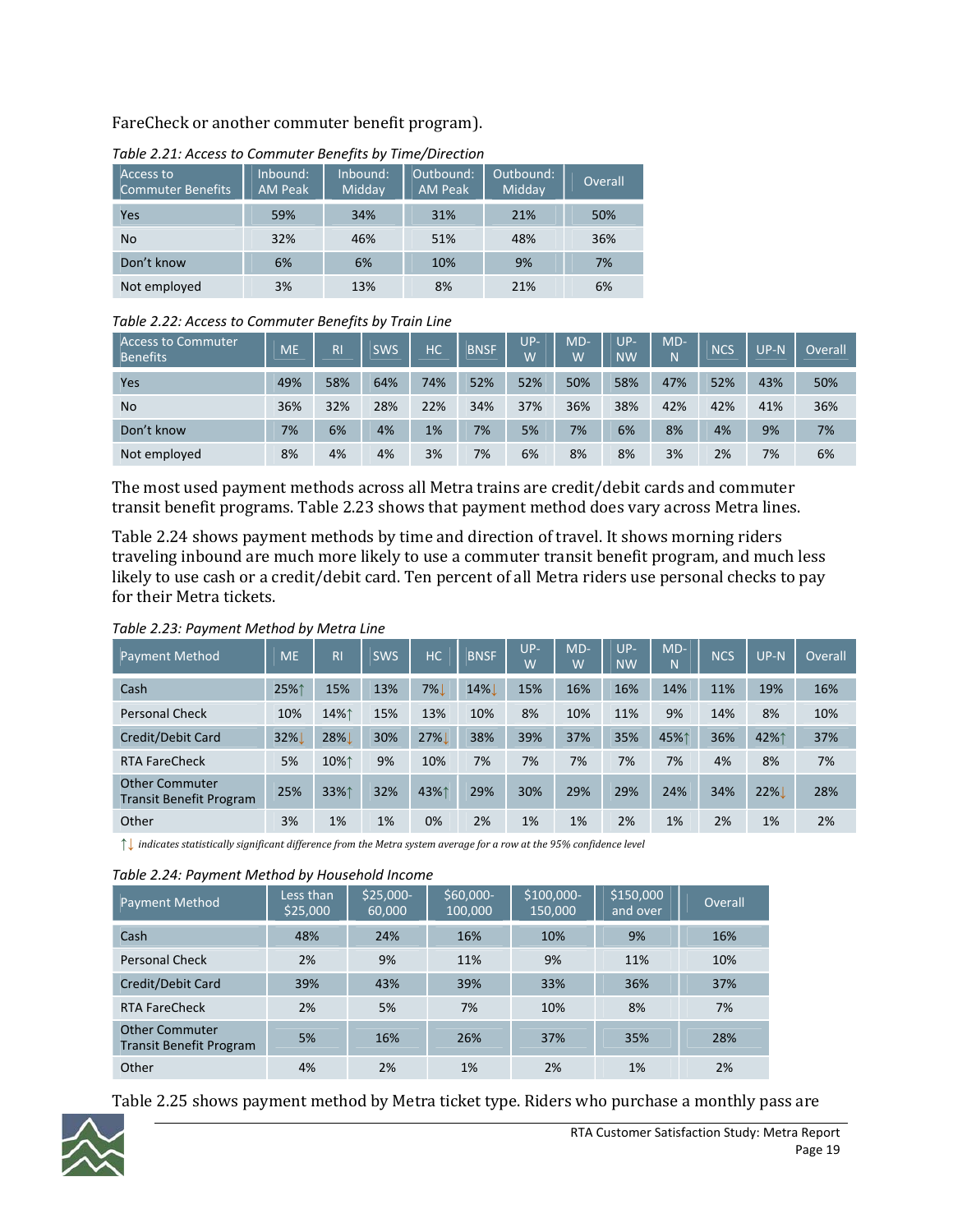### FareCheck or another commuter benefit program).

| Access to<br>Commuter Benefits | Inbound:<br><b>AM Peak</b> | Inbound:<br>Midday | Outbound:<br><b>AM Peak</b> | Outbound:<br>Midday | Overall |
|--------------------------------|----------------------------|--------------------|-----------------------------|---------------------|---------|
| Yes                            | 59%                        | 34%                | 31%                         | 21%                 | 50%     |
| <b>No</b>                      | 32%                        | 46%                | 51%                         | 48%                 | 36%     |
| Don't know                     | 6%                         | 6%                 | 10%                         | 9%                  | 7%      |
| Not employed                   | 3%                         | 13%                | 8%                          | 21%                 | 6%      |

#### *Table 2.21: Access to Commuter Benefits by Time/Direction*

#### *Table 2.22: Access to Commuter Benefits by Train Line*

| <b>Access to Commuter</b><br><b>Benefits</b> | <b>ME</b> | R <sub>l</sub> | SWS | <b>HC</b> | <b>BNSF</b> | $UP-$<br>W | $MD-$<br>W | UP-<br><b>NW</b> | $MD-$<br>N | <b>NCS</b> | UP-N | Overall |
|----------------------------------------------|-----------|----------------|-----|-----------|-------------|------------|------------|------------------|------------|------------|------|---------|
| Yes                                          | 49%       | 58%            | 64% | 74%       | 52%         | 52%        | 50%        | 58%              | 47%        | 52%        | 43%  | 50%     |
| <b>No</b>                                    | 36%       | 32%            | 28% | 22%       | 34%         | 37%        | 36%        | 38%              | 42%        | 42%        | 41%  | 36%     |
| Don't know                                   | 7%        | 6%             | 4%  | 1%        | 7%          | 5%         | 7%         | 6%               | 8%         | 4%         | 9%   | 7%      |
| Not employed                                 | 8%        | 4%             | 4%  | 3%        | 7%          | 6%         | 8%         | 8%               | 3%         | 2%         | 7%   | 6%      |

The most used payment methods across all Metra trains are credit/debit cards and commuter transit benefit programs. Table 2.23 shows that payment method does vary across Metra lines.

Table 2.24 shows payment methods by time and direction of travel. It shows morning riders traveling inbound are much more likely to use a commuter transit benefit program, and much less likely to use cash or a credit/debit card. Ten percent of all Metra riders use personal checks to pay for their Metra tickets.

| <b>Payment Method</b>                                   | <b>ME</b> | R <sub>l</sub> | <b>SWS</b> | <b>HC</b> | <b>BNSF</b> | $UP-$<br>W | MD-<br>W | UP-<br><b>NW</b> | $MD-$<br>N | <b>NCS</b> | $UP-N$ | Overall |
|---------------------------------------------------------|-----------|----------------|------------|-----------|-------------|------------|----------|------------------|------------|------------|--------|---------|
| Cash                                                    | 25%1      | 15%            | 13%        | $7\%$     | 14%         | 15%        | 16%      | 16%              | 14%        | 11%        | 19%    | 16%     |
| <b>Personal Check</b>                                   | 10%       | 14%1           | 15%        | 13%       | 10%         | 8%         | 10%      | 11%              | 9%         | 14%        | 8%     | 10%     |
| Credit/Debit Card                                       | 32%       | 28%            | 30%        | 27%       | 38%         | 39%        | 37%      | 35%              | 45%↑       | 36%        | 42%1   | 37%     |
| <b>RTA FareCheck</b>                                    | 5%        | 10%1           | 9%         | 10%       | 7%          | 7%         | 7%       | 7%               | 7%         | 4%         | 8%     | 7%      |
| <b>Other Commuter</b><br><b>Transit Benefit Program</b> | 25%       | 33%1           | 32%        | 43%1      | 29%         | 30%        | 29%      | 29%              | 24%        | 34%        | 22%    | 28%     |
| Other                                                   | 3%        | 1%             | 1%         | 0%        | 2%          | 1%         | 1%       | 2%               | 1%         | 2%         | 1%     | 2%      |

#### *Table 2.23: Payment Method by Metra Line*

| indicates statistically significant difference from the Metra system average for a row at the 95% confidence level

#### *Table 2.24: Payment Method by Household Income*

| <b>Payment Method</b>                                   | Less than<br>\$25,000 | $$25,000-$<br>60,000 | \$60,000-<br>100.000 | \$100,000-<br>150,000 | \$150,000<br>and over | Overall |
|---------------------------------------------------------|-----------------------|----------------------|----------------------|-----------------------|-----------------------|---------|
| Cash                                                    | 48%                   | 24%                  | 16%                  | 10%                   | 9%                    | 16%     |
| <b>Personal Check</b>                                   | 2%                    | 9%                   | 11%                  | 9%                    | 11%                   | 10%     |
| Credit/Debit Card                                       | 39%                   | 43%                  | 39%                  | 33%                   | 36%                   | 37%     |
| <b>RTA FareCheck</b>                                    | 2%                    | 5%                   | 7%                   | 10%                   | 8%                    | 7%      |
| <b>Other Commuter</b><br><b>Transit Benefit Program</b> | 5%                    | 16%                  | 26%                  | 37%                   | 35%                   | 28%     |
| Other                                                   | 4%                    | 2%                   | 1%                   | 2%                    | 1%                    | 2%      |

Table 2.25 shows payment method by Metra ticket type. Riders who purchase a monthly pass are

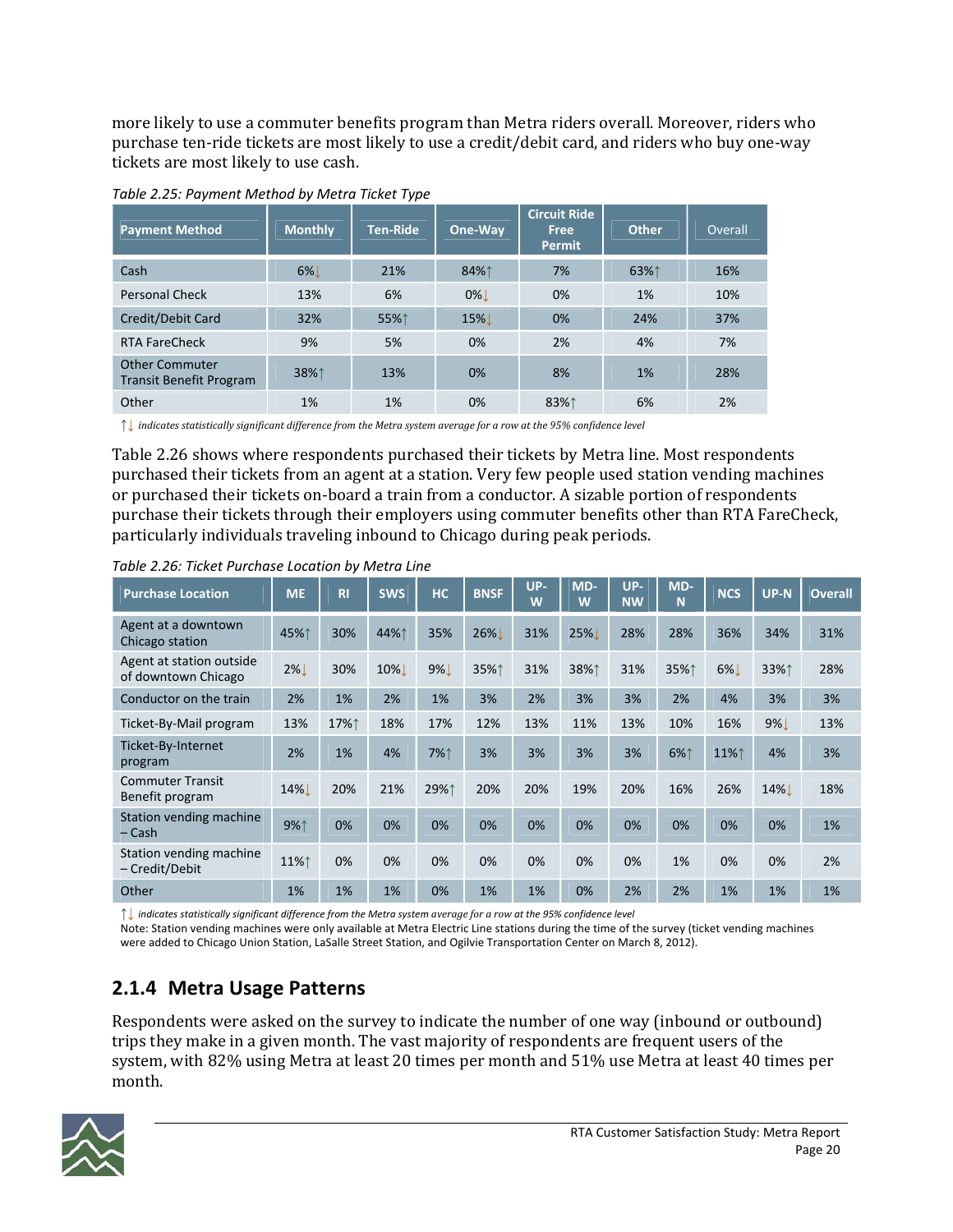more likely to use a commuter benefits program than Metra riders overall. Moreover, riders who purchase ten-ride tickets are most likely to use a credit/debit card, and riders who buy one-way tickets are most likely to use cash.

| <b>Payment Method</b>                                   | <b>Monthly</b> | <b>Ten-Ride</b> | One-Way | <b>Circuit Ride</b><br>Free<br><b>Permit</b> | <b>Other</b> | Overall |
|---------------------------------------------------------|----------------|-----------------|---------|----------------------------------------------|--------------|---------|
| Cash                                                    | 6%             | 21%             | 84%↑    | 7%                                           | 63%↑         | 16%     |
| <b>Personal Check</b>                                   | 13%            | 6%              | $0\%$   | $0\%$                                        | 1%           | 10%     |
| Credit/Debit Card                                       | 32%            | 55%↑            | 15%L    | $0\%$                                        | 24%          | 37%     |
| <b>RTA FareCheck</b>                                    | 9%             | 5%              | 0%      | 2%                                           | 4%           | 7%      |
| <b>Other Commuter</b><br><b>Transit Benefit Program</b> | 38%↑           | 13%             | 0%      | 8%                                           | 1%           | 28%     |
| Other                                                   | 1%             | 1%              | 0%      | 83%↑                                         | 6%           | 2%      |

*Table 2.25: Payment Method by Metra Ticket Type*

 $\uparrow\downarrow$  indicates statistically significant difference from the Metra system average for a row at the 95% confidence level

Table 2.26 shows where respondents purchased their tickets by Metra line. Most respondents purchased their tickets from an agent at a station. Very few people used station vending machines or purchased their tickets on‐board a train from a conductor. A sizable portion of respondents purchase their tickets through their employers using commuter benefits other than RTA FareCheck, particularly individuals traveling inbound to Chicago during peak periods.

| <b>Purchase Location</b>                        | <b>ME</b> | <b>RI</b> | <b>SWS</b>   | HC.         | <b>BNSF</b> | UP-<br>W | MD-<br>W | UP-<br><b>NW</b> | MD-<br>N | <b>NCS</b> | UP-N | <b>Overall</b> |
|-------------------------------------------------|-----------|-----------|--------------|-------------|-------------|----------|----------|------------------|----------|------------|------|----------------|
| Agent at a downtown<br>Chicago station          | 45%↑      | 30%       | 44%1         | 35%         | 26%         | 31%      | 25%」     | 28%              | 28%      | 36%        | 34%  | 31%            |
| Agent at station outside<br>of downtown Chicago | $2\%$     | 30%       | 10% <b>L</b> | 9% <b>L</b> | 35%↑        | 31%      | 38%↑     | 31%              | 35%↑     | $6\%$      | 33%↑ | 28%            |
| Conductor on the train                          | 2%        | 1%        | 2%           | 1%          | 3%          | 2%       | 3%       | 3%               | 2%       | 4%         | 3%   | 3%             |
| Ticket-By-Mail program                          | 13%       | 17%↑      | 18%          | 17%         | 12%         | 13%      | 11%      | 13%              | 10%      | 16%        | 9%   | 13%            |
| Ticket-By-Internet<br>program                   | 2%        | 1%        | 4%           | 7%↑         | 3%          | 3%       | 3%       | 3%               | 6%↑      | 11%1       | 4%   | 3%             |
| <b>Commuter Transit</b><br>Benefit program      | 14%       | 20%       | 21%          | 29%↑        | 20%         | 20%      | 19%      | 20%              | 16%      | 26%        | 14%  | 18%            |
| Station vending machine<br>$-$ Cash             | 9%↑       | 0%        | 0%           | 0%          | 0%          | 0%       | 0%       | 0%               | 0%       | 0%         | 0%   | 1%             |
| Station vending machine<br>- Credit/Debit       | 11%↑      | 0%        | 0%           | 0%          | 0%          | 0%       | 0%       | 0%               | 1%       | 0%         | 0%   | 2%             |
| Other                                           | 1%        | 1%        | 1%           | 0%          | 1%          | 1%       | 0%       | 2%               | 2%       | 1%         | 1%   | 1%             |

*Table 2.26: Ticket Purchase Location by Metra Line*

indicates statistically significant difference from the Metra system average for a row at the 95% confidence level

Note: Station vending machines were only available at Metra Electric Line stations during the time of the survey (ticket vending machines were added to Chicago Union Station, LaSalle Street Station, and Ogilvie Transportation Center on March 8, 2012).

### **2.1.4 Metra Usage Patterns**

Respondents were asked on the survey to indicate the number of one way (inbound or outbound) trips they make in a given month. The vast majority of respondents are frequent users of the system, with 82% using Metra at least 20 times per month and 51% use Metra at least 40 times per month.

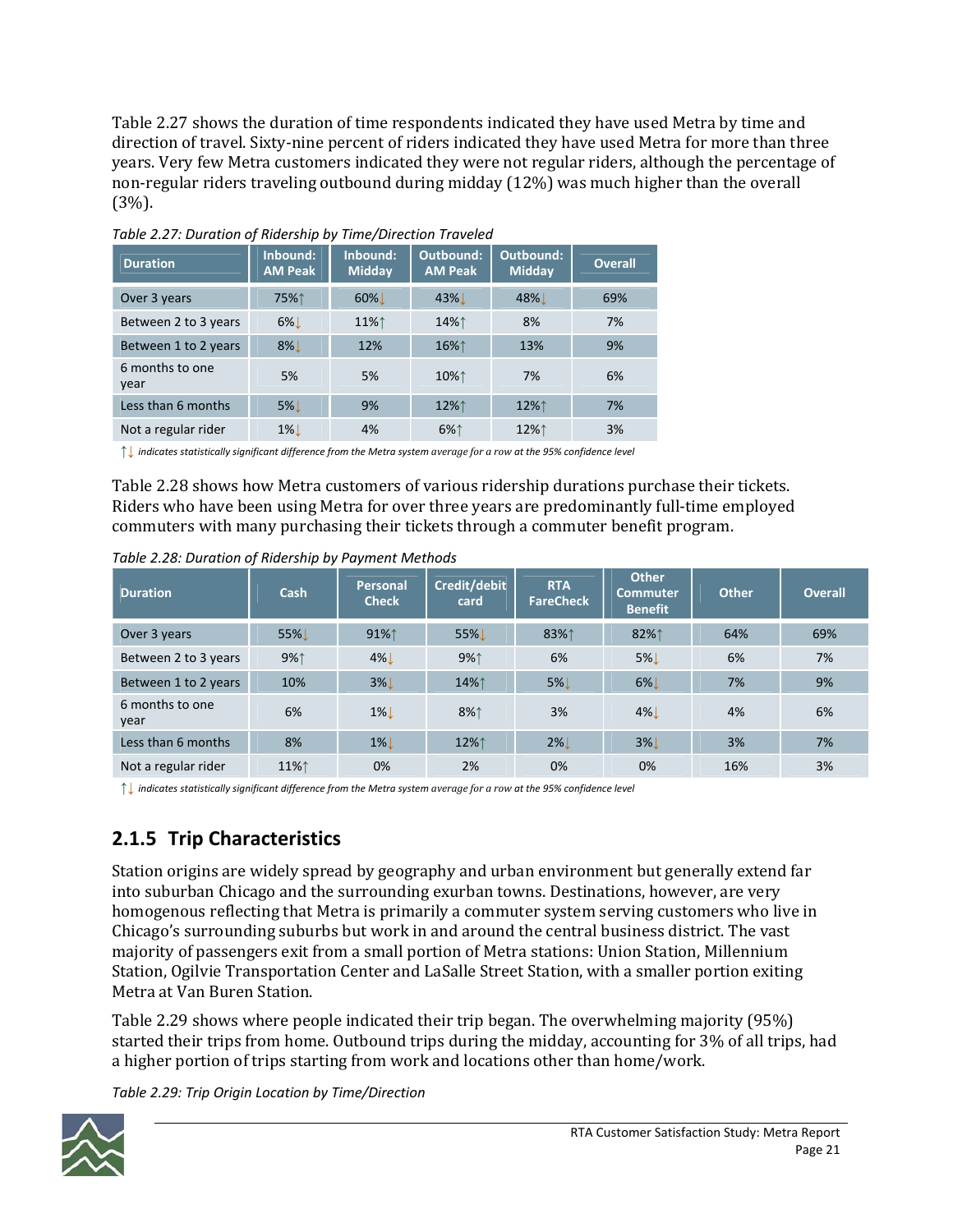Table 2.27 shows the duration of time respondents indicated they have used Metra by time and direction of travel. Sixty-nine percent of riders indicated they have used Metra for more than three years. Very few Metra customers indicated they were not regular riders, although the percentage of non‐regular riders traveling outbound during midday (12%) was much higher than the overall (3%).

| <b>Duration</b>         | Inbound:<br><b>AM Peak</b> | Inbound:<br><b>Midday</b> | <b>Outbound:</b><br><b>AM Peak</b> | Outbound:<br>Midday | <b>Overall</b> |
|-------------------------|----------------------------|---------------------------|------------------------------------|---------------------|----------------|
| Over 3 years            | 75%↑                       | $60\%$                    | 43% <b>L</b>                       | 48% <b>L</b>        | 69%            |
| Between 2 to 3 years    | $6\%$                      | 11%↑                      | 14%↑                               | 8%                  | 7%             |
| Between 1 to 2 years    | $8\%$                      | 12%                       | 16%↑                               | 13%                 | 9%             |
| 6 months to one<br>year | 5%                         | 5%                        | 10%↑                               | 7%                  | 6%             |
| Less than 6 months      | $5\%$                      | 9%                        | 12%↑                               | 12%↑                | 7%             |
| Not a regular rider     | $1\%$                      | 4%                        | 6%↑                                | 12%↑                | 3%             |

*Table 2.27: Duration of Ridership by Time/Direction Traveled*

| indicates statistically significant difference from the Metra system average for a row at the 95% confidence level

Table 2.28 shows how Metra customers of various ridership durations purchase their tickets. Riders who have been using Metra for over three years are predominantly full‐time employed commuters with many purchasing their tickets through a commuter benefit program.

|  |  | Table 2.28: Duration of Ridership by Payment Methods |  |
|--|--|------------------------------------------------------|--|
|  |  |                                                      |  |

| <b>Duration</b>         | Cash | Personal<br><b>Check</b> | Credit/debit<br>card | <b>RTA</b><br><b>FareCheck</b> | <b>Other</b><br><b>Commuter</b><br><b>Benefit</b> | <b>Other</b> | <b>Overall</b> |
|-------------------------|------|--------------------------|----------------------|--------------------------------|---------------------------------------------------|--------------|----------------|
| Over 3 years            | 55%! | 91%↑                     | 55%L                 | 83%↑                           | 82%↑                                              | 64%          | 69%            |
| Between 2 to 3 years    | 9%1  | $4\%$                    | 9%1                  | 6%                             | <b>5%</b>                                         | 6%           | 7%             |
| Between 1 to 2 years    | 10%  | $3\%$                    | 14%↑                 | $5\%$                          | 6%                                                | 7%           | 9%             |
| 6 months to one<br>year | 6%   | $1\%$                    | 8%1                  | 3%                             | $4\%$                                             | 4%           | 6%             |
| Less than 6 months      | 8%   | $1\%$                    | 12%↑                 | $2\%$                          | $3\%$                                             | 3%           | 7%             |
| Not a regular rider     | 11%1 | 0%                       | 2%                   | 0%                             | 0%                                                | 16%          | 3%             |

↑↓ indicates statistically significant difference from the Metra system average for a row at the 95% confidence level

### **2.1.5 Trip Characteristics**

Station origins are widely spread by geography and urban environment but generally extend far into suburban Chicago and the surrounding exurban towns. Destinations, however, are very homogenous reflecting that Metra is primarily a commuter system serving customers who live in Chicago's surrounding suburbs but work in and around the central business district. The vast majority of passengers exit from a small portion of Metra stations: Union Station, Millennium Station, Ogilvie Transportation Center and LaSalle Street Station, with a smaller portion exiting Metra at Van Buren Station.

Table 2.29 shows where people indicated their trip began. The overwhelming majority (95%) started their trips from home. Outbound trips during the midday, accounting for 3% of all trips, had a higher portion of trips starting from work and locations other than home/work.

*Table 2.29: Trip Origin Location by Time/Direction*

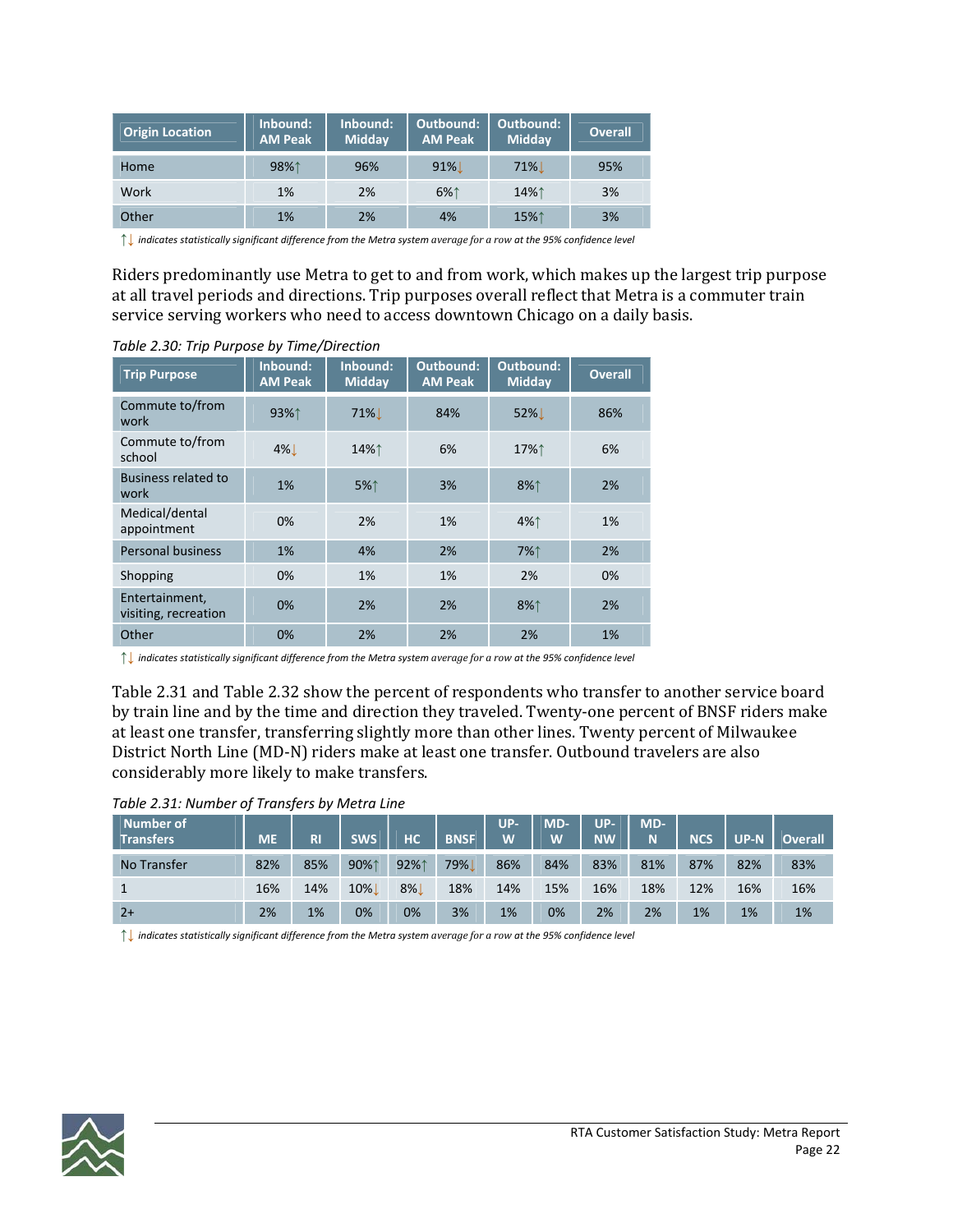| <b>Origin Location</b> | Inbound:<br><b>AM Peak</b> | Inbound:<br><b>Midday</b> | Outbound:<br><b>AM Peak</b> | Outbound:<br>Midday | <b>Overall</b> |
|------------------------|----------------------------|---------------------------|-----------------------------|---------------------|----------------|
| Home                   | 98%1                       | 96%                       | $91\%$                      | <b>71%</b>          | 95%            |
| Work                   | 1%                         | 2%                        | 6%↑                         | 14%↑                | 3%             |
| Other                  | 1%                         | 2%                        | 4%                          | 15%1                | 3%             |

↑↓ indicates statistically significant difference from the Metra system average for a row at the 95% confidence level

Riders predominantly use Metra to get to and from work, which makes up the largest trip purpose at all travel periods and directions. Trip purposes overall reflect that Metra is a commuter train service serving workers who need to access downtown Chicago on a daily basis.

| <b>Trip Purpose</b>                    | Inbound:<br><b>AM Peak</b> | Inbound:<br><b>Midday</b> | Outbound:<br><b>AM Peak</b> | Outbound:<br>Midday | <b>Overall</b> |
|----------------------------------------|----------------------------|---------------------------|-----------------------------|---------------------|----------------|
| Commute to/from<br>work                | 93%↑                       | $71\%$                    | 84%                         | $52\%$              | 86%            |
| Commute to/from<br>school              | $4\%$                      | 14%↑                      | 6%                          | 17%↑                | 6%             |
| <b>Business related to</b><br>work     | 1%                         | 5%                        | 3%                          | 8%↑                 | 2%             |
| Medical/dental<br>appointment          | 0%                         | 2%                        | 1%                          | 4%↑                 | 1%             |
| <b>Personal business</b>               | 1%                         | 4%                        | 2%                          | 7%↑                 | 2%             |
| Shopping                               | 0%                         | 1%                        | 1%                          | 2%                  | 0%             |
| Entertainment,<br>visiting, recreation | 0%                         | 2%                        | 2%                          | 8%↑                 | 2%             |
| Other                                  | 0%                         | 2%                        | 2%                          | 2%                  | 1%             |

*Table 2.30: Trip Purpose by Time/Direction*

indicates statistically significant difference from the Metra system average for a row at the 95% confidence level

Table 2.31 and Table 2.32 show the percent of respondents who transfer to another service board by train line and by the time and direction they traveled. Twenty-one percent of BNSF riders make at least one transfer, transferring slightly more than other lines. Twenty percent of Milwaukee District North Line (MD‐N) riders make at least one transfer. Outbound travelers are also considerably more likely to make transfers.

| Table 2.31: Number of Transfers by Metra Line |  |  |  |  |  |
|-----------------------------------------------|--|--|--|--|--|
|-----------------------------------------------|--|--|--|--|--|

| Number of<br><b>Transfers</b> | <b>ME</b> | <b>RI</b> | <b>SWS</b> | HC    | <b>BNSF</b> | UP-<br>W | MD-<br>W | UP-<br><b>NW</b> | MD-<br>N | <b>NCS</b> | <b>UP-N</b> | <b>Overall</b> |
|-------------------------------|-----------|-----------|------------|-------|-------------|----------|----------|------------------|----------|------------|-------------|----------------|
| No Transfer                   | 82%       | 85%       | 90%1       | 92%1  | 79%         | 86%      | 84%      | 83%              | 81%      | 87%        | 82%         | 83%            |
| 1                             | 16%       | 14%       | $10\%$     | $8\%$ | 18%         | 14%      | 15%      | 16%              | 18%      | 12%        | 16%         | 16%            |
| $2+$                          | 2%        | 1%        | 0%         | 0%    | 3%          | 1%       | 0%       | 2%               | 2%       | 1%         | 1%          | 1%             |

 $\uparrow\downarrow$  indicates statistically significant difference from the Metra system average for a row at the 95% confidence level

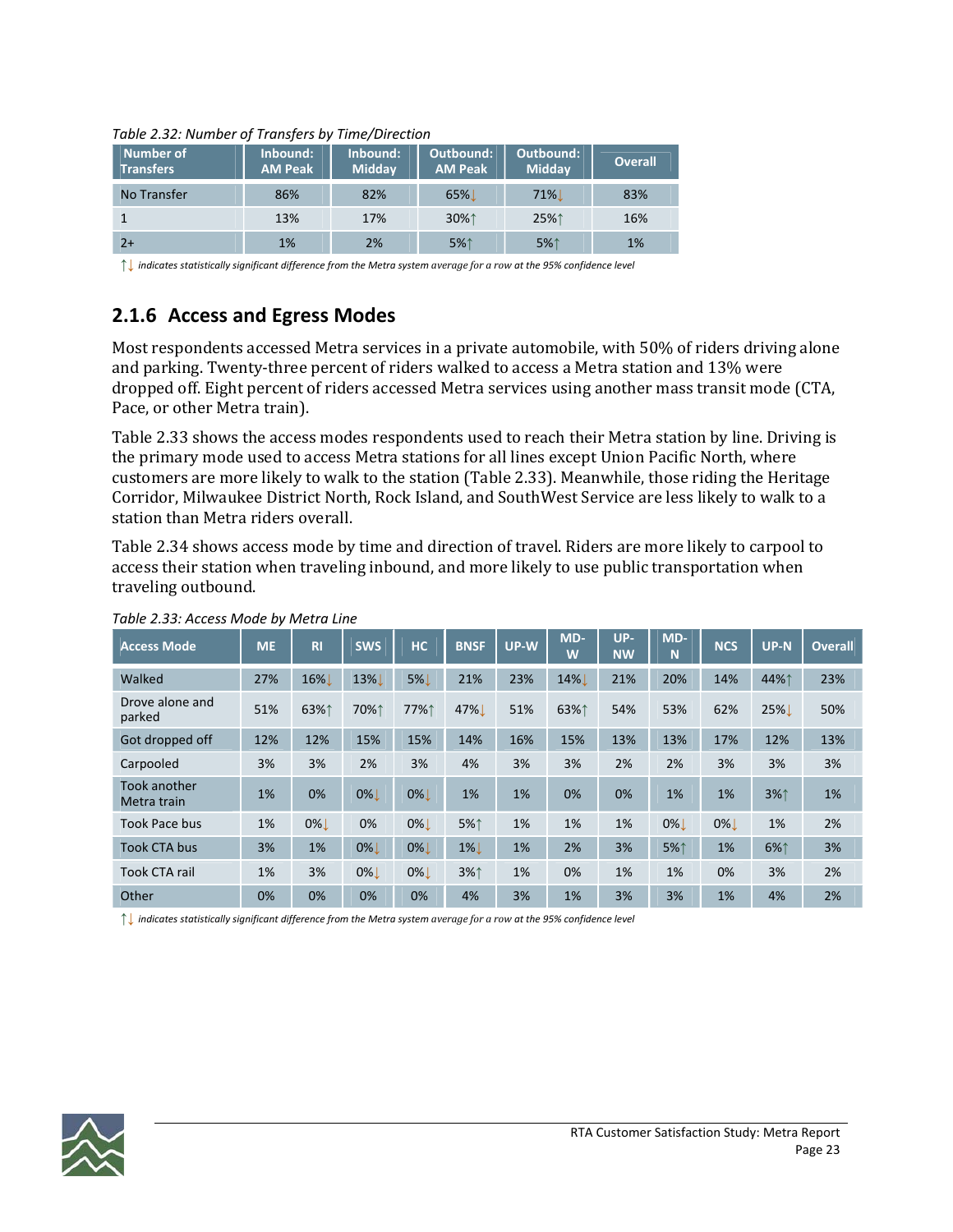| Number of<br><b>Transfers</b> | Inbound:<br><b>AM Peak</b> | Inbound:<br>Midday | Outbound:<br><b>AM Peak</b> | Outbound:<br>Midday | <b>Overall</b> |
|-------------------------------|----------------------------|--------------------|-----------------------------|---------------------|----------------|
| No Transfer                   | 86%                        | 82%                | $65\%$                      | $71\%$              | 83%            |
|                               | 13%                        | 17%                | 30%↑                        | 25%↑                | 16%            |
| $2+$                          | 1%                         | 2%                 | 5%↑                         | 5%1                 | 1%             |

#### *Table 2.32: Number of Transfers by Time/Direction*

indicates statistically significant difference from the Metra system average for a row at the 95% confidence level

### **2.1.6 Access and Egress Modes**

Most respondents accessed Metra services in a private automobile, with 50% of riders driving alone and parking. Twenty-three percent of riders walked to access a Metra station and 13% were dropped off. Eight percent of riders accessed Metra services using another mass transit mode (CTA, Pace, or other Metra train).

Table 2.33 shows the access modes respondents used to reach their Metra station by line. Driving is the primary mode used to access Metra stations for all lines except Union Pacific North, where customers are more likely to walk to the station (Table 2.33). Meanwhile, those riding the Heritage Corridor, Milwaukee District North, Rock Island, and SouthWest Service are less likely to walk to a station than Metra riders overall.

Table 2.34 shows access mode by time and direction of travel. Riders are more likely to carpool to access their station when traveling inbound, and more likely to use public transportation when traveling outbound.

| <b>Access Mode</b>          | <b>ME</b> | R <sub>l</sub> | <b>SWS</b> | <b>HC</b> | <b>BNSF</b> | UP-W | MD-<br>Ŵ | UP-<br><b>NW</b> | MD-<br>Ñ | <b>NCS</b> | $UP-N$ | <b>Overall</b> |
|-----------------------------|-----------|----------------|------------|-----------|-------------|------|----------|------------------|----------|------------|--------|----------------|
| Walked                      | 27%       | 16%L           | 13%        | <b>5%</b> | 21%         | 23%  | 14%      | 21%              | 20%      | 14%        | 44%↑   | 23%            |
| Drove alone and<br>parked   | 51%       | 63%1           | 70%1       | 77%↑      | 47%         | 51%  | 63%↑     | 54%              | 53%      | 62%        | 25%    | 50%            |
| Got dropped off             | 12%       | 12%            | 15%        | 15%       | 14%         | 16%  | 15%      | 13%              | 13%      | 17%        | 12%    | 13%            |
| Carpooled                   | 3%        | 3%             | 2%         | 3%        | 4%          | 3%   | 3%       | 2%               | 2%       | 3%         | 3%     | 3%             |
| Took another<br>Metra train | 1%        | 0%             | $0\%$      | $0\%$     | 1%          | 1%   | 0%       | 0%               | 1%       | 1%         | 3%1    | 1%             |
| <b>Took Pace bus</b>        | 1%        | $0\%$          | 0%         | $0\%$     | 5%↑         | 1%   | 1%       | 1%               | $0\%$    | $0\%$      | 1%     | 2%             |
| <b>Took CTA bus</b>         | 3%        | 1%             | $0\%$      | $0\%$     | $1\%$       | 1%   | 2%       | 3%               | 5%↑      | 1%         | 6%↑    | 3%             |
| <b>Took CTA rail</b>        | 1%        | 3%             | $0\%$      | $0\%$     | 3%↑         | 1%   | 0%       | 1%               | 1%       | 0%         | 3%     | 2%             |
| Other                       | 0%        | 0%             | 0%         | 0%        | 4%          | 3%   | 1%       | 3%               | 3%       | 1%         | 4%     | 2%             |

#### *Table 2.33: Access Mode by Metra Line*

 $\uparrow\downarrow$  indicates statistically significant difference from the Metra system average for a row at the 95% confidence level

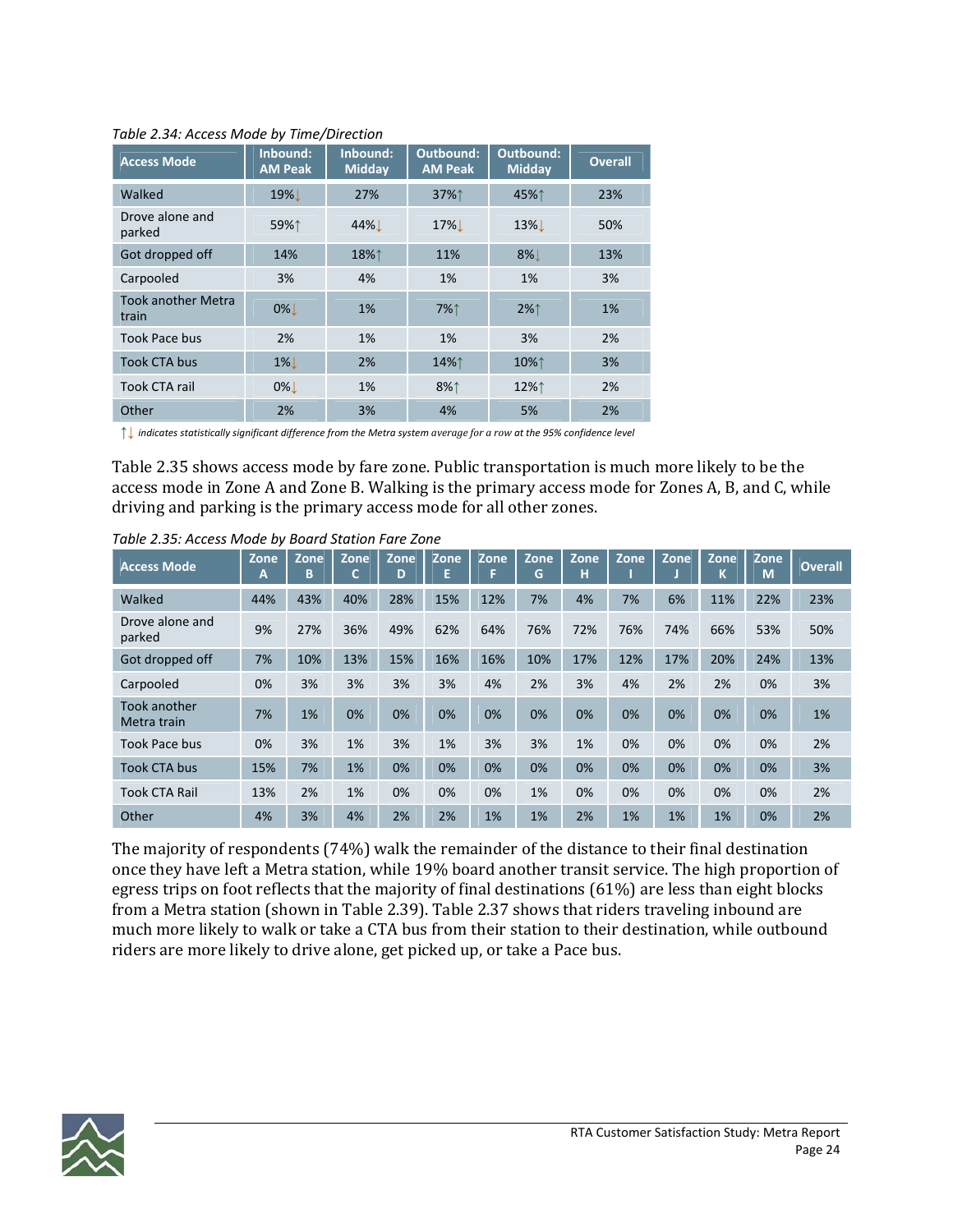| <b>Access Mode</b>                 | Inbound:<br><b>AM Peak</b> | Inbound:<br>Midday | Outbound:<br><b>AM Peak</b> | Outbound:<br>Midday | <b>Overall</b> |
|------------------------------------|----------------------------|--------------------|-----------------------------|---------------------|----------------|
| Walked                             | 19% <b>L</b>               | 27%                | 37%↑                        | 45%↑                | 23%            |
| Drove alone and<br>parked          | 59%↑                       | 44%                | 17%                         | 13%L                | 50%            |
| Got dropped off                    | 14%                        | 18%↑               | 11%                         | $8\%$               | 13%            |
| Carpooled                          | 3%                         | 4%                 | 1%                          | 1%                  | 3%             |
| <b>Took another Metra</b><br>train | 0%!                        | 1%                 | 7%↑                         | $2\%$               | 1%             |
| Took Pace bus                      | 2%                         | 1%                 | 1%                          | 3%                  | 2%             |
| Took CTA bus                       | $1\%$                      | 2%                 | 14%↑                        | 10%↑                | 3%             |
| Took CTA rail                      | $0\%$                      | 1%                 | 8%1                         | 12%↑                | 2%             |
| Other                              | 2%                         | 3%                 | 4%                          | 5%                  | 2%             |

*Table 2.34: Access Mode by Time/Direction*

 $\uparrow\downarrow$  indicates statistically significant difference from the Metra system average for a row at the 95% confidence level

Table 2.35 shows access mode by fare zone. Public transportation is much more likely to be the access mode in Zone A and Zone B. Walking is the primary access mode for Zones A, B, and C, while driving and parking is the primary access mode for all other zones.

| <b>Access Mode</b>          | Zone<br>A | Zone<br>В | Zone | Zone<br>D | Zone | Zone | Zone<br>G | Zone<br>н | Zone | Zone | Zone<br>N | Zone<br>M | <b>Overall</b> |
|-----------------------------|-----------|-----------|------|-----------|------|------|-----------|-----------|------|------|-----------|-----------|----------------|
| Walked                      | 44%       | 43%       | 40%  | 28%       | 15%  | 12%  | 7%        | 4%        | 7%   | 6%   | 11%       | 22%       | 23%            |
| Drove alone and<br>parked   | 9%        | 27%       | 36%  | 49%       | 62%  | 64%  | 76%       | 72%       | 76%  | 74%  | 66%       | 53%       | 50%            |
| Got dropped off             | 7%        | 10%       | 13%  | 15%       | 16%  | 16%  | 10%       | 17%       | 12%  | 17%  | 20%       | 24%       | 13%            |
| Carpooled                   | 0%        | 3%        | 3%   | 3%        | 3%   | 4%   | 2%        | 3%        | 4%   | 2%   | 2%        | 0%        | 3%             |
| Took another<br>Metra train | 7%        | 1%        | 0%   | 0%        | 0%   | 0%   | 0%        | 0%        | 0%   | 0%   | 0%        | 0%        | 1%             |
| Took Pace bus               | 0%        | 3%        | 1%   | 3%        | 1%   | 3%   | 3%        | 1%        | 0%   | 0%   | 0%        | 0%        | 2%             |
| Took CTA bus                | 15%       | 7%        | 1%   | 0%        | 0%   | 0%   | 0%        | 0%        | 0%   | 0%   | 0%        | 0%        | 3%             |
| <b>Took CTA Rail</b>        | 13%       | 2%        | 1%   | 0%        | 0%   | 0%   | 1%        | 0%        | 0%   | 0%   | 0%        | 0%        | 2%             |
| Other                       | 4%        | 3%        | 4%   | 2%        | 2%   | 1%   | 1%        | 2%        | 1%   | 1%   | 1%        | 0%        | 2%             |

*Table 2.35: Access Mode by Board Station Fare Zone*

The majority of respondents (74%) walk the remainder of the distance to their final destination once they have left a Metra station, while 19% board another transit service. The high proportion of egress trips on foot reflects that the majority of final destinations (61%) are less than eight blocks from a Metra station (shown in Table 2.39). Table 2.37 shows that riders traveling inbound are much more likely to walk or take a CTA bus from their station to their destination, while outbound riders are more likely to drive alone, get picked up, or take a Pace bus.

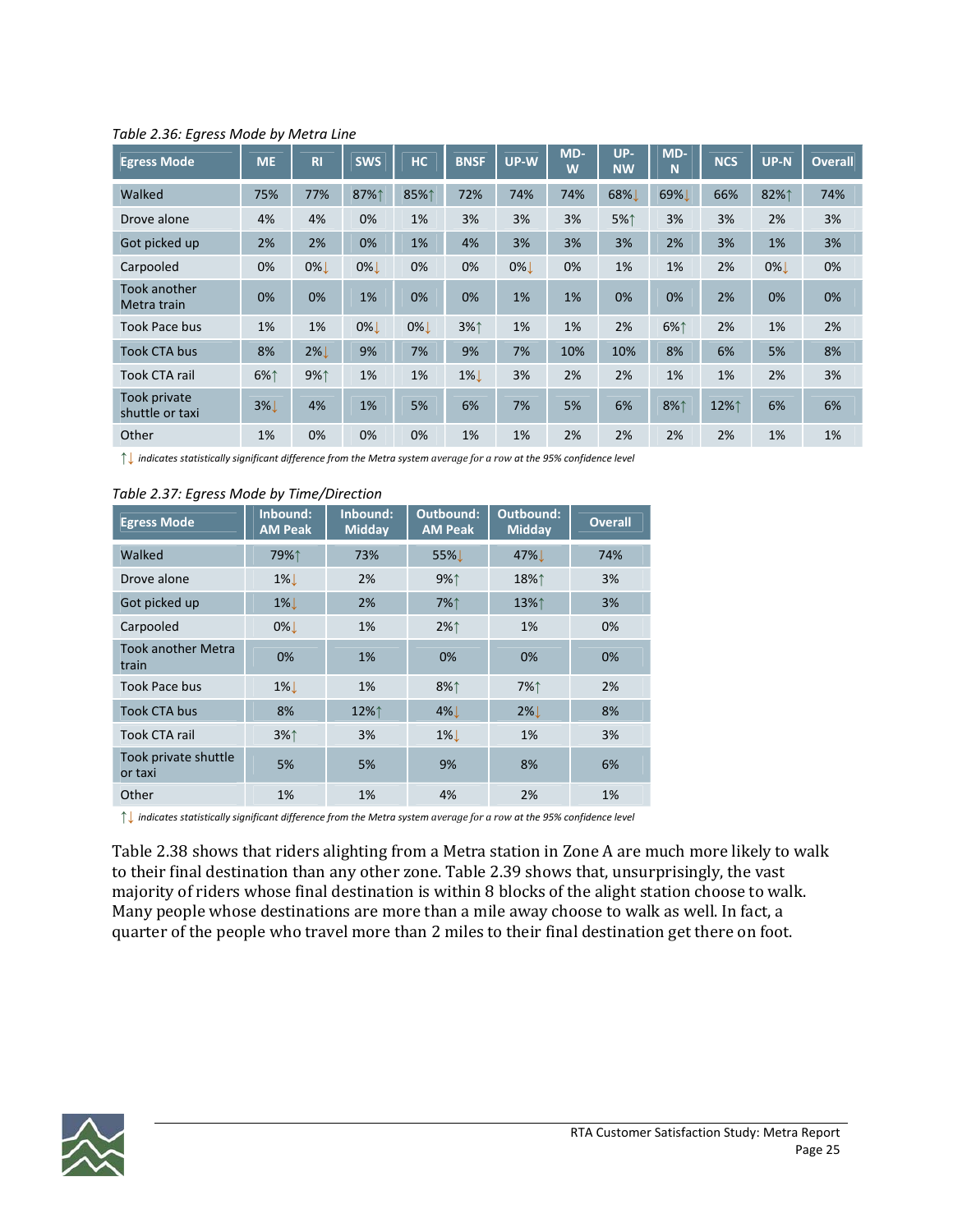| <b>Egress Mode</b>              | <b>ME</b> | R <sub>1</sub> | <b>SWS</b> | <b>HC</b> | <b>BNSF</b> | UP-W  | MD-<br>W | UP-<br><b>NW</b> | MD-<br>N | <b>NCS</b> | UP-N  | <b>Overall</b> |
|---------------------------------|-----------|----------------|------------|-----------|-------------|-------|----------|------------------|----------|------------|-------|----------------|
| Walked                          | 75%       | 77%            | 87%↑       | 85%↑      | 72%         | 74%   | 74%      | 68%              | 69%      | 66%        | 82%↑  | 74%            |
| Drove alone                     | 4%        | 4%             | 0%         | 1%        | 3%          | 3%    | 3%       | 5%↑              | 3%       | 3%         | 2%    | 3%             |
| Got picked up                   | 2%        | 2%             | 0%         | 1%        | 4%          | 3%    | 3%       | 3%               | 2%       | 3%         | 1%    | 3%             |
| Carpooled                       | 0%        | $0\%$          | $0\%$      | 0%        | 0%          | $0\%$ | 0%       | 1%               | 1%       | 2%         | $0\%$ | 0%             |
| Took another<br>Metra train     | 0%        | 0%             | 1%         | 0%        | 0%          | 1%    | 1%       | 0%               | 0%       | 2%         | 0%    | 0%             |
| Took Pace bus                   | 1%        | 1%             | $0\%$      | $0\%$     | 3%↑         | 1%    | 1%       | 2%               | 6%1      | 2%         | 1%    | 2%             |
| <b>Took CTA bus</b>             | 8%        | $2\%$          | 9%         | 7%        | 9%          | 7%    | 10%      | 10%              | 8%       | 6%         | 5%    | 8%             |
| <b>Took CTA rail</b>            | 6%↑       | 9%↑            | 1%         | 1%        | $1\%$       | 3%    | 2%       | 2%               | 1%       | 1%         | 2%    | 3%             |
| Took private<br>shuttle or taxi | $3\%$     | 4%             | 1%         | 5%        | 6%          | 7%    | 5%       | 6%               | 8%1      | 12%↑       | 6%    | 6%             |
| Other                           | 1%        | 0%             | 0%         | 0%        | 1%          | 1%    | 2%       | 2%               | 2%       | 2%         | 1%    | 1%             |

*Table 2.36: Egress Mode by Metra Line*

indicates statistically significant difference from the Metra system average for a row at the 95% confidence level

#### *Table 2.37: Egress Mode by Time/Direction*

| <b>Egress Mode</b>                 | Inbound:<br><b>AM Peak</b> | Inbound:<br><b>Midday</b> | Outbound:<br><b>AM Peak</b> | Outbound:<br><b>Midday</b> | <b>Overall</b> |
|------------------------------------|----------------------------|---------------------------|-----------------------------|----------------------------|----------------|
| Walked                             | 79%↑                       | 73%                       | 55%L                        | 47%                        | 74%            |
| Drove alone                        | $1\%$                      | 2%                        | 9%                          | 18%↑                       | 3%             |
| Got picked up                      | $1\%$                      | 2%                        | 7%↑                         | 13%↑                       | 3%             |
| Carpooled                          | 0%!                        | 1%                        | $2\%$                       | 1%                         | 0%             |
| <b>Took another Metra</b><br>train | 0%                         | 1%                        | 0%                          | 0%                         | 0%             |
| Took Pace bus                      | $1\%$                      | 1%                        | 8%↑                         | 7%↑                        | 2%             |
| <b>Took CTA bus</b>                | 8%                         | 12%↑                      | $4\%$                       | $2\%$                      | 8%             |
| Took CTA rail                      | 3%                         | 3%                        | $1\%$                       | 1%                         | 3%             |
| Took private shuttle<br>or taxi    | 5%                         | 5%                        | 9%                          | 8%                         | 6%             |
| Other                              | 1%                         | 1%                        | 4%                          | 2%                         | 1%             |

↑↓ indicates statistically significant difference from the Metra system average for a row at the 95% confidence level

Table 2.38 shows that riders alighting from a Metra station in Zone A are much more likely to walk to their final destination than any other zone. Table 2.39 shows that, unsurprisingly, the vast majority of riders whose final destination is within 8 blocks of the alight station choose to walk. Many people whose destinations are more than a mile away choose to walk as well. In fact, a quarter of the people who travel more than 2 miles to their final destination get there on foot.

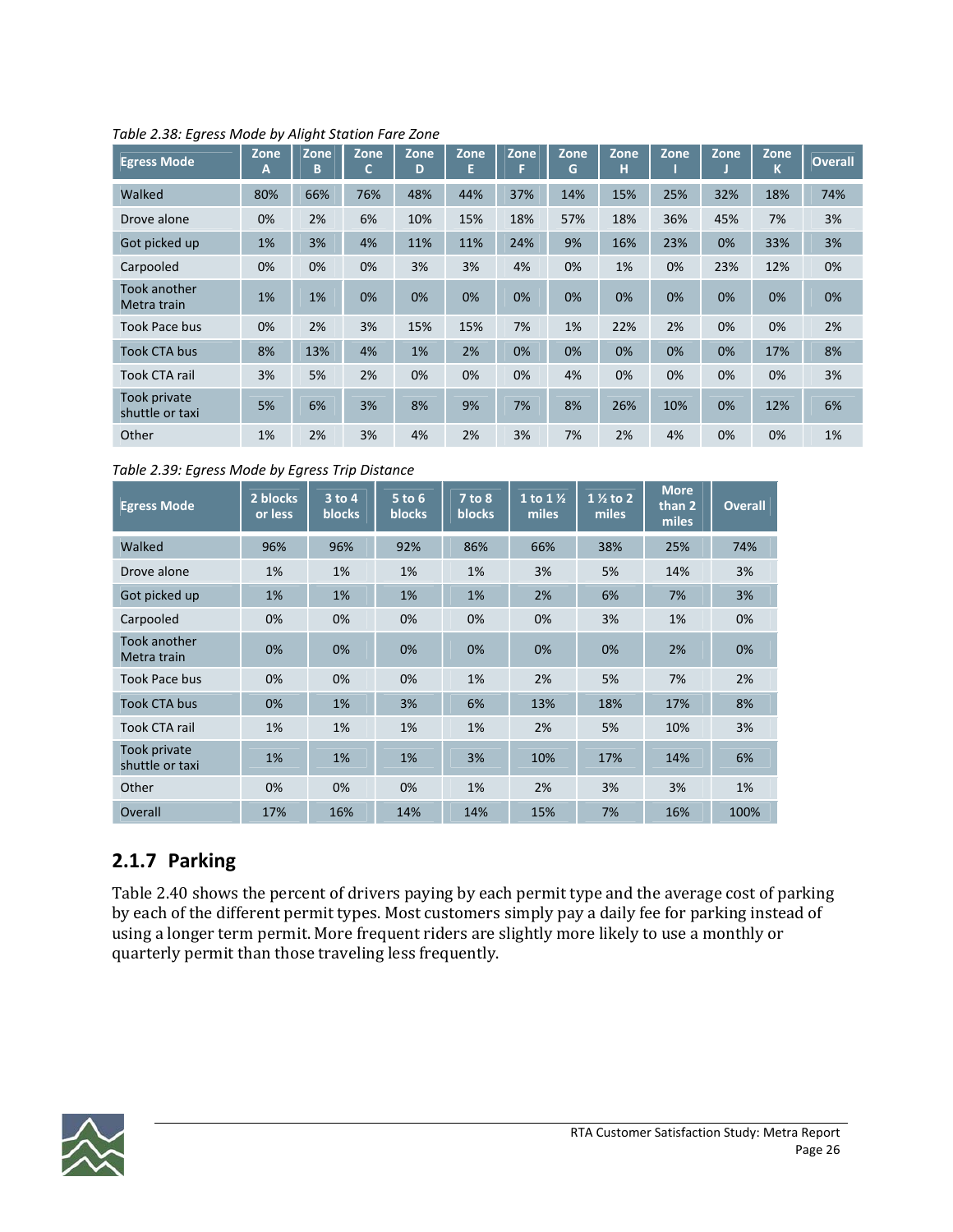| <b>Egress Mode</b>                 | Zone<br>A | Zone<br>B | Zone<br>Ċ | Zone<br>D | Zone<br>E | Zone | Zone<br>G | Zone<br>н | Zone | Zone | Zone<br>Κ | <b>Overall</b> |
|------------------------------------|-----------|-----------|-----------|-----------|-----------|------|-----------|-----------|------|------|-----------|----------------|
| Walked                             | 80%       | 66%       | 76%       | 48%       | 44%       | 37%  | 14%       | 15%       | 25%  | 32%  | 18%       | 74%            |
| Drove alone                        | 0%        | 2%        | 6%        | 10%       | 15%       | 18%  | 57%       | 18%       | 36%  | 45%  | 7%        | 3%             |
| Got picked up                      | 1%        | 3%        | 4%        | 11%       | 11%       | 24%  | 9%        | 16%       | 23%  | 0%   | 33%       | 3%             |
| Carpooled                          | 0%        | 0%        | 0%        | 3%        | 3%        | 4%   | 0%        | 1%        | 0%   | 23%  | 12%       | 0%             |
| <b>Took another</b><br>Metra train | 1%        | 1%        | 0%        | 0%        | 0%        | 0%   | 0%        | 0%        | 0%   | 0%   | 0%        | 0%             |
| Took Pace bus                      | 0%        | 2%        | 3%        | 15%       | 15%       | 7%   | 1%        | 22%       | 2%   | 0%   | 0%        | 2%             |
| <b>Took CTA bus</b>                | 8%        | 13%       | 4%        | 1%        | 2%        | 0%   | 0%        | 0%        | 0%   | 0%   | 17%       | 8%             |
| <b>Took CTA rail</b>               | 3%        | 5%        | 2%        | 0%        | 0%        | 0%   | 4%        | 0%        | 0%   | 0%   | 0%        | 3%             |
| Took private<br>shuttle or taxi    | 5%        | 6%        | 3%        | 8%        | 9%        | 7%   | 8%        | 26%       | 10%  | 0%   | 12%       | 6%             |
| Other                              | 1%        | 2%        | 3%        | 4%        | 2%        | 3%   | 7%        | 2%        | 4%   | 0%   | 0%        | 1%             |

*Table 2.38: Egress Mode by Alight Station Fare Zone*

*Table 2.39: Egress Mode by Egress Trip Distance*

| <b>Egress Mode</b>              | 2 blocks<br>or less | 3 to 4<br><b>blocks</b> | $5$ to $6$<br><b>blocks</b> | 7 to 8<br><b>blocks</b> | 1 to $1\frac{1}{2}$<br>miles | $1\frac{1}{2}$ to 2<br>miles | <b>More</b><br>than 2<br>miles | <b>Overall</b> |
|---------------------------------|---------------------|-------------------------|-----------------------------|-------------------------|------------------------------|------------------------------|--------------------------------|----------------|
| Walked                          | 96%                 | 96%                     | 92%                         | 86%                     | 66%                          | 38%                          | 25%                            | 74%            |
| Drove alone                     | 1%                  | 1%                      | $1\%$                       | 1%                      | 3%                           | 5%                           | 14%                            | 3%             |
| Got picked up                   | 1%                  | 1%                      | 1%                          | 1%                      | 2%                           | 6%                           | 7%                             | 3%             |
| Carpooled                       | 0%                  | 0%                      | 0%                          | 0%                      | 0%                           | 3%                           | 1%                             | 0%             |
| Took another<br>Metra train     | 0%                  | 0%                      | $0\%$                       | 0%                      | 0%                           | 0%                           | 2%                             | 0%             |
| Took Pace bus                   | 0%                  | 0%                      | 0%                          | 1%                      | 2%                           | 5%                           | 7%                             | 2%             |
| <b>Took CTA bus</b>             | 0%                  | 1%                      | 3%                          | 6%                      | 13%                          | 18%                          | 17%                            | 8%             |
| Took CTA rail                   | 1%                  | 1%                      | 1%                          | 1%                      | 2%                           | 5%                           | 10%                            | 3%             |
| Took private<br>shuttle or taxi | 1%                  | 1%                      | $1\%$                       | 3%                      | 10%                          | 17%                          | 14%                            | 6%             |
| Other                           | 0%                  | 0%                      | 0%                          | 1%                      | 2%                           | 3%                           | 3%                             | 1%             |
| Overall                         | 17%                 | 16%                     | 14%                         | 14%                     | 15%                          | 7%                           | 16%                            | 100%           |

### **2.1.7 Parking**

Table 2.40 shows the percent of drivers paying by each permit type and the average cost of parking by each of the different permit types. Most customers simply pay a daily fee for parking instead of using a longer term permit. More frequent riders are slightly more likely to use a monthly or quarterly permit than those traveling less frequently.

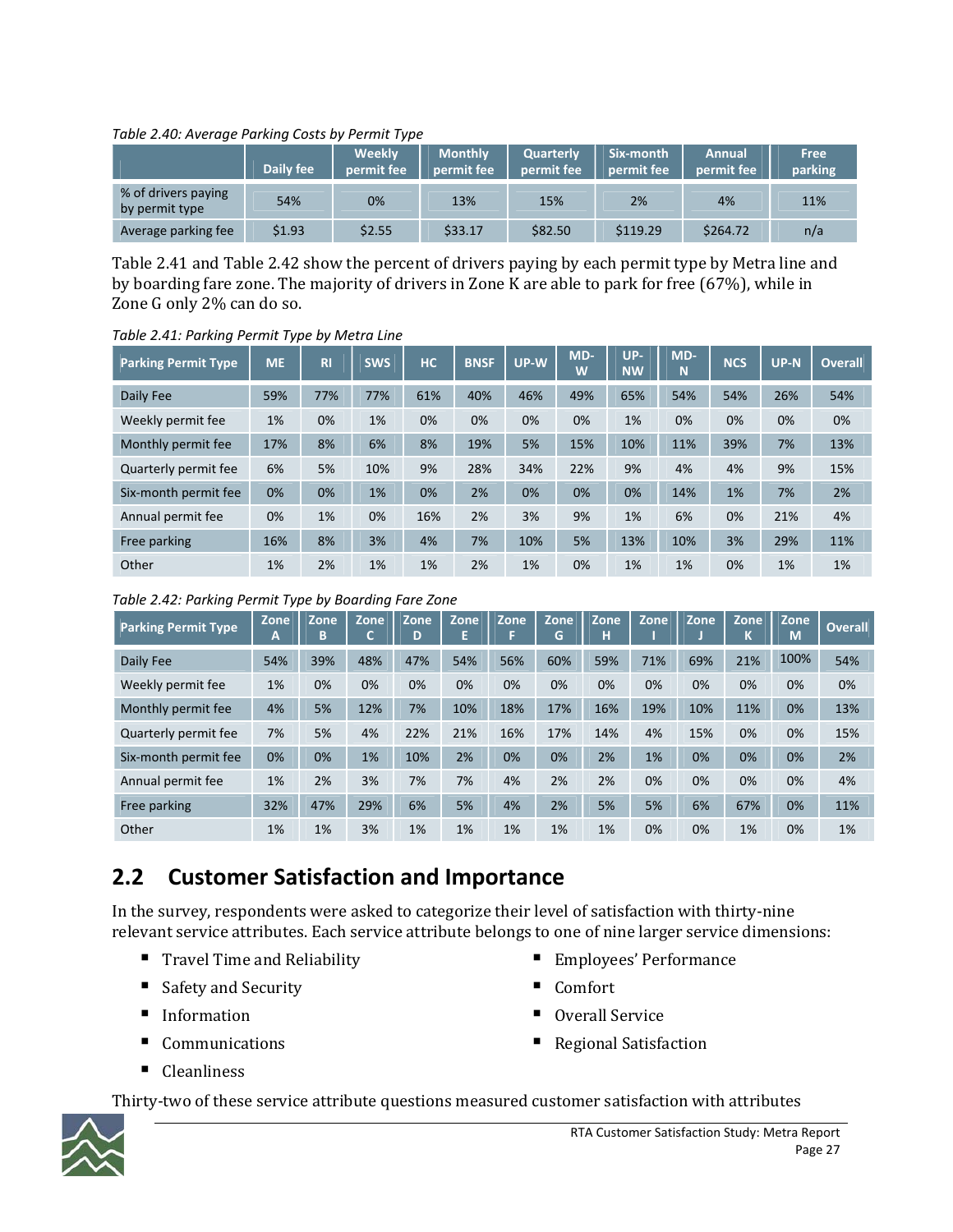#### *Table 2.40: Average Parking Costs by Permit Type*

| <b>-</b>                              | Daily fee | Weekly<br>permit fee | <b>Monthly</b><br>permit fee | <b>Quarterly</b><br>permit fee | Six-month<br>permit fee | Annual<br>permit fee | Free<br>parking |
|---------------------------------------|-----------|----------------------|------------------------------|--------------------------------|-------------------------|----------------------|-----------------|
| % of drivers paying<br>by permit type | 54%       | 0%                   | 13%                          | 15%                            | 2%                      | 4%                   | 11%             |
| Average parking fee                   | \$1.93    | \$2.55               | \$33.17                      | \$82.50                        | \$119.29                | \$264.72             | n/a             |

Table 2.41 and Table 2.42 show the percent of drivers paying by each permit type by Metra line and by boarding fare zone. The majority of drivers in Zone K are able to park for free (67%), while in Zone G only 2% can do so.

*Table 2.41: Parking Permit Type by Metra Line*

| <b>Parking Permit Type</b> | <b>ME</b> | R <sub>1</sub> | <b>SWS</b> | <b>HC</b> | <b>BNSF</b> | UP-W | MD-<br>W | UP-<br><b>NW</b> | MD-<br>N | <b>NCS</b> | <b>UP-N</b> | <b>Overall</b> |
|----------------------------|-----------|----------------|------------|-----------|-------------|------|----------|------------------|----------|------------|-------------|----------------|
| Daily Fee                  | 59%       | 77%            | 77%        | 61%       | 40%         | 46%  | 49%      | 65%              | 54%      | 54%        | 26%         | 54%            |
| Weekly permit fee          | 1%        | 0%             | 1%         | 0%        | 0%          | 0%   | 0%       | 1%               | 0%       | 0%         | 0%          | 0%             |
| Monthly permit fee         | 17%       | 8%             | 6%         | 8%        | 19%         | 5%   | 15%      | 10%              | 11%      | 39%        | 7%          | 13%            |
| Quarterly permit fee       | 6%        | 5%             | 10%        | 9%        | 28%         | 34%  | 22%      | 9%               | 4%       | 4%         | 9%          | 15%            |
| Six-month permit fee       | 0%        | 0%             | 1%         | 0%        | 2%          | 0%   | 0%       | 0%               | 14%      | 1%         | 7%          | 2%             |
| Annual permit fee          | 0%        | 1%             | 0%         | 16%       | 2%          | 3%   | 9%       | 1%               | 6%       | 0%         | 21%         | 4%             |
| Free parking               | 16%       | 8%             | 3%         | 4%        | 7%          | 10%  | 5%       | 13%              | 10%      | 3%         | 29%         | 11%            |
| Other                      | 1%        | 2%             | 1%         | 1%        | 2%          | 1%   | 0%       | 1%               | 1%       | 0%         | 1%          | 1%             |

*Table 2.42: Parking Permit Type by Boarding Fare Zone*

| <b>Parking Permit Type,</b> | Zone<br>$\blacktriangle$ | Zone<br>B | Zone<br>◠ | Zone<br>D | Zone<br>E | Zone<br>F | Zone<br>G | Zone<br>н | Zone | Zone | Zone<br>N | Zone<br>M | <b>Overall</b> |
|-----------------------------|--------------------------|-----------|-----------|-----------|-----------|-----------|-----------|-----------|------|------|-----------|-----------|----------------|
| Daily Fee                   | 54%                      | 39%       | 48%       | 47%       | 54%       | 56%       | 60%       | 59%       | 71%  | 69%  | 21%       | 100%      | 54%            |
| Weekly permit fee           | 1%                       | 0%        | 0%        | 0%        | 0%        | 0%        | 0%        | 0%        | 0%   | 0%   | 0%        | 0%        | 0%             |
| Monthly permit fee          | 4%                       | 5%        | 12%       | 7%        | 10%       | 18%       | 17%       | 16%       | 19%  | 10%  | 11%       | 0%        | 13%            |
| Quarterly permit fee        | 7%                       | 5%        | 4%        | 22%       | 21%       | 16%       | 17%       | 14%       | 4%   | 15%  | 0%        | 0%        | 15%            |
| Six-month permit fee        | 0%                       | 0%        | 1%        | 10%       | 2%        | 0%        | 0%        | 2%        | 1%   | 0%   | 0%        | 0%        | 2%             |
| Annual permit fee           | 1%                       | 2%        | 3%        | 7%        | 7%        | 4%        | 2%        | 2%        | 0%   | 0%   | 0%        | 0%        | 4%             |
| Free parking                | 32%                      | 47%       | 29%       | 6%        | 5%        | 4%        | 2%        | 5%        | 5%   | 6%   | 67%       | 0%        | 11%            |
| Other                       | 1%                       | 1%        | 3%        | 1%        | 1%        | 1%        | 1%        | 1%        | 0%   | 0%   | 1%        | 0%        | 1%             |

### **2.2 Customer Satisfaction and Importance**

In the survey, respondents were asked to categorize their level of satisfaction with thirty-nine relevant service attributes. Each service attribute belongs to one of nine larger service dimensions:

- Travel Time and Reliability
- Safety and Security
- **Information**
- Communications
- Cleanliness
- Employees' Performance
- Comfort
- Overall Service
- Regional Satisfaction

Thirty-two of these service attribute questions measured customer satisfaction with attributes

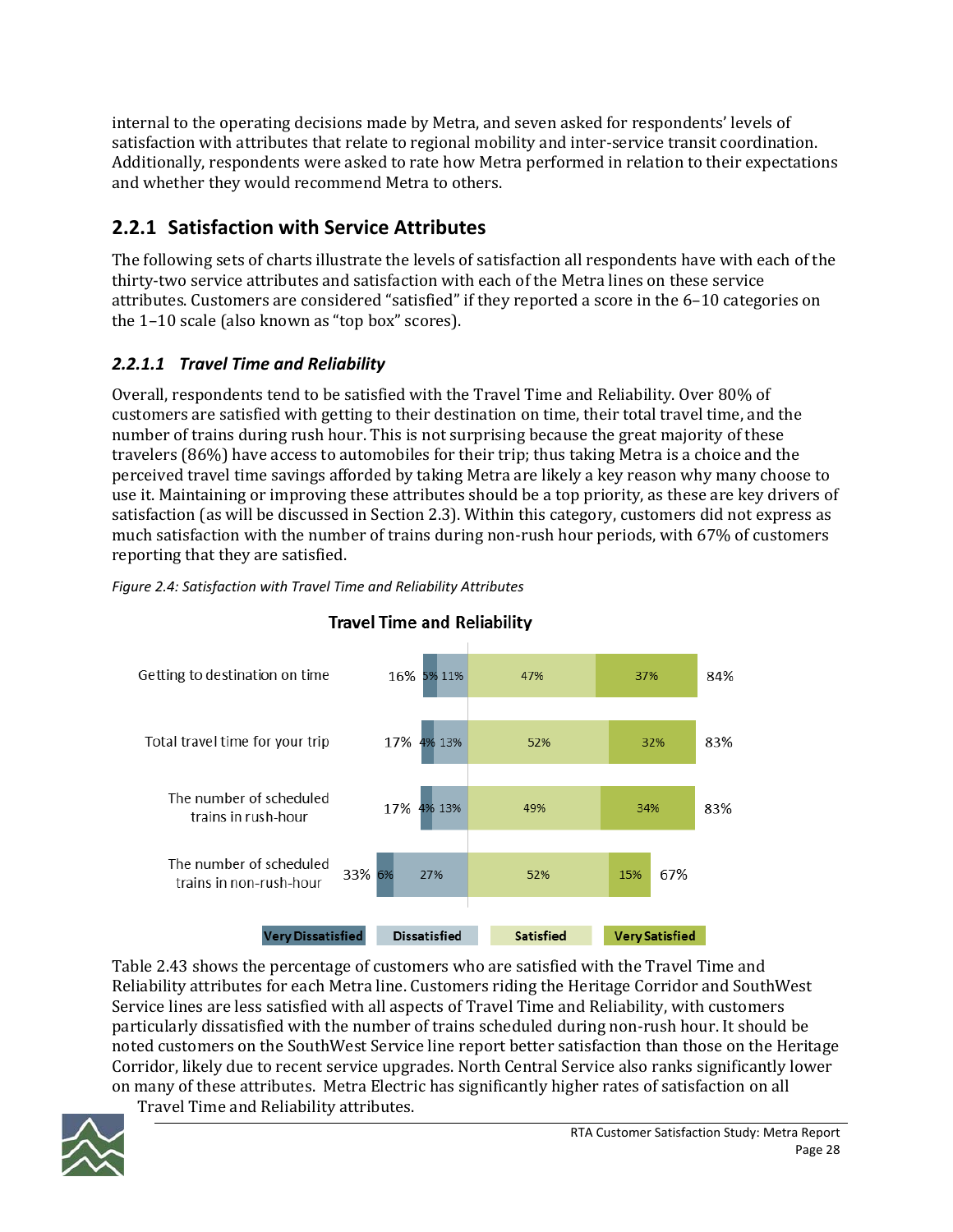internal to the operating decisions made by Metra, and seven asked for respondents' levels of satisfaction with attributes that relate to regional mobility and inter‐service transit coordination. Additionally, respondents were asked to rate how Metra performed in relation to their expectations and whether they would recommend Metra to others.

### **2.2.1 Satisfaction with Service Attributes**

The following sets of charts illustrate the levels of satisfaction all respondents have with each of the thirty‐two service attributes and satisfaction with each of the Metra lines on these service attributes. Customers are considered "satisfied" if they reported a score in the 6–10 categories on the 1–10 scale (also known as "top box" scores).

### *2.2.1.1 Travel Time and Reliability*

Overall, respondents tend to be satisfied with the Travel Time and Reliability. Over 80% of customers are satisfied with getting to their destination on time, their total travel time, and the number of trains during rush hour. This is not surprising because the great majority of these travelers (86%) have access to automobiles for their trip; thus taking Metra is a choice and the perceived travel time savings afforded by taking Metra are likely a key reason why many choose to use it. Maintaining or improving these attributes should be a top priority, as these are key drivers of satisfaction (as will be discussed in Section 2.3). Within this category, customers did not express as much satisfaction with the number of trains during non-rush hour periods, with 67% of customers reporting that they are satisfied.



### *Figure 2.4: Satisfaction with Travel Time and Reliability Attributes*

Table 2.43 shows the percentage of customers who are satisfied with the Travel Time and Reliability attributes for each Metra line. Customers riding the Heritage Corridor and SouthWest Service lines are less satisfied with all aspects of Travel Time and Reliability, with customers particularly dissatisfied with the number of trains scheduled during non‐rush hour. It should be noted customers on the SouthWest Service line report better satisfaction than those on the Heritage Corridor, likely due to recent service upgrades. North Central Service also ranks significantly lower on many of these attributes. Metra Electric has significantly higher rates of satisfaction on all Travel Time and Reliability attributes.

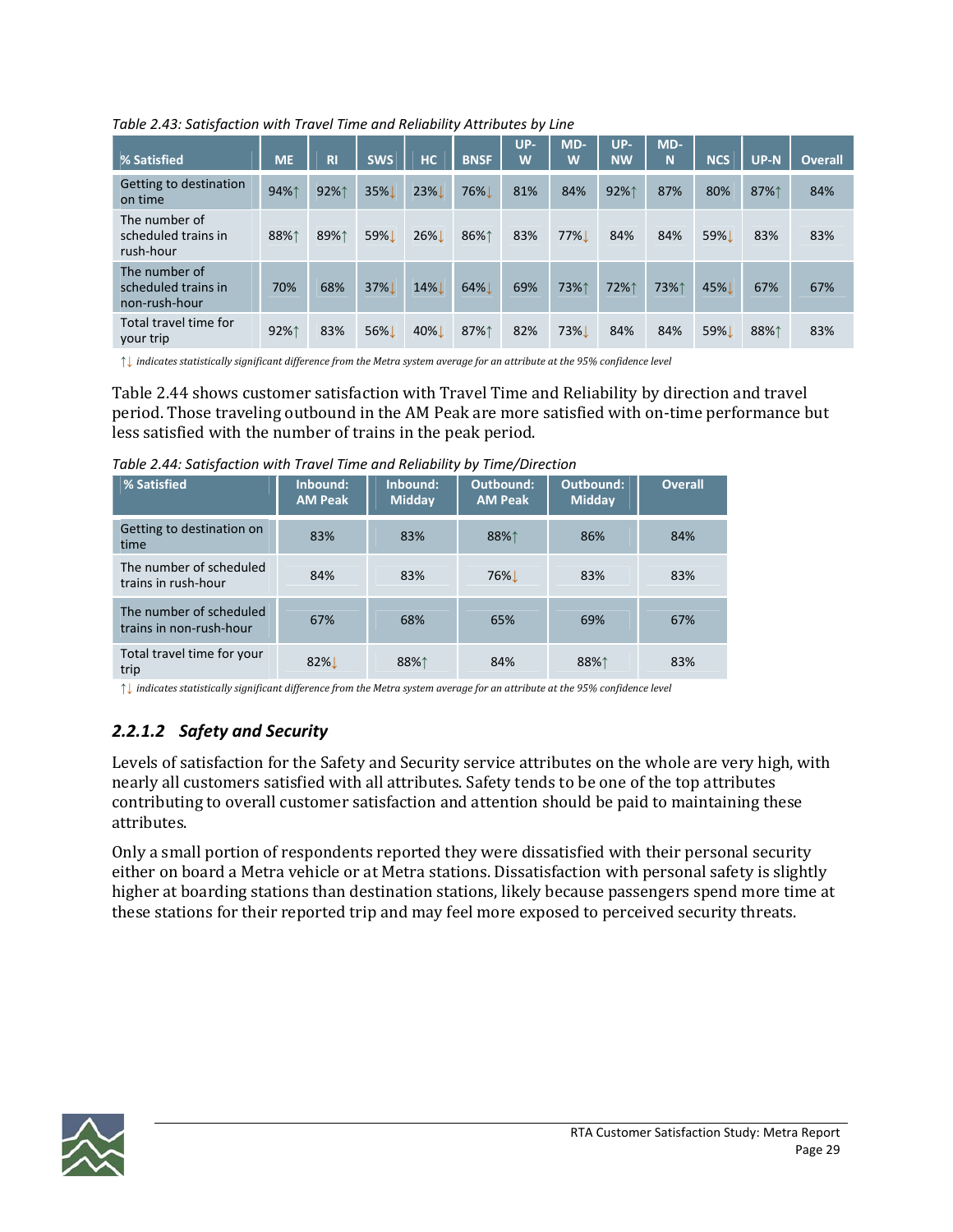*Table 2.43: Satisfaction with Travel Time and Reliability Attributes by Line*

| % Satisfied                                           | <b>ME</b> | <b>RI</b> | <b>SWS</b> | <b>HC</b> | <b>BNSF</b> | UP-<br>W | MD-<br>W   | UP-<br><b>NW</b> | $MD-$<br>N | <b>NCS</b> | $UP-N$ | <b>Overall</b> |
|-------------------------------------------------------|-----------|-----------|------------|-----------|-------------|----------|------------|------------------|------------|------------|--------|----------------|
| Getting to destination<br>on time                     | 94%1      | 92%1      | 35%        | 23%       | 76%         | 81%      | 84%        | 92%1             | 87%        | 80%        | 87%↑   | 84%            |
| The number of<br>scheduled trains in<br>rush-hour     | 88%1      | 89%1      | 59%L       | 26%       | 86%↑        | 83%      | 77%        | 84%              | 84%        | 59%L       | 83%    | 83%            |
| The number of<br>scheduled trains in<br>non-rush-hour | 70%       | 68%       | 37%        | 14%       | 64%         | 69%      | 73%↑       | 72%1             | 73%↑       | 45%        | 67%    | 67%            |
| Total travel time for<br>your trip                    | 92%1      | 83%       | 56%L       | 40%       | 87%↑        | 82%      | <b>73%</b> | 84%              | 84%        | 59%        | 88%1   | 83%            |

 $\uparrow\downarrow$  indicates statistically significant difference from the Metra system average for an attribute at the 95% confidence level

Table 2.44 shows customer satisfaction with Travel Time and Reliability by direction and travel period. Those traveling outbound in the AM Peak are more satisfied with on‐time performance but less satisfied with the number of trains in the peak period.

*Table 2.44: Satisfaction with Travel Time and Reliability by Time/Direction*

| % Satisfied                                        | Inbound:<br><b>AM Peak</b> | Inbound:<br><b>Midday</b> | <b>Outbound:</b><br><b>AM Peak</b> | Outbound:<br><b>Midday</b> | <b>Overall</b> |
|----------------------------------------------------|----------------------------|---------------------------|------------------------------------|----------------------------|----------------|
| Getting to destination on<br>time                  | 83%                        | 83%                       | 88%1                               | 86%                        | 84%            |
| The number of scheduled<br>trains in rush-hour     | 84%                        | 83%                       | 76% <u>L</u>                       | 83%                        | 83%            |
| The number of scheduled<br>trains in non-rush-hour | 67%                        | 68%                       | 65%                                | 69%                        | 67%            |
| Total travel time for your<br>trip                 | 82% L                      | 88%↑                      | 84%                                | 88%↑                       | 83%            |

 $\uparrow\downarrow$  indicates statistically significant difference from the Metra system average for an attribute at the 95% confidence level

### *2.2.1.2 Safety and Security*

Levels of satisfaction for the Safety and Security service attributes on the whole are very high, with nearly all customers satisfied with all attributes. Safety tends to be one of the top attributes contributing to overall customer satisfaction and attention should be paid to maintaining these attributes.

Only a small portion of respondents reported they were dissatisfied with their personal security either on board a Metra vehicle or at Metra stations. Dissatisfaction with personal safety is slightly higher at boarding stations than destination stations, likely because passengers spend more time at these stations for their reported trip and may feel more exposed to perceived security threats.

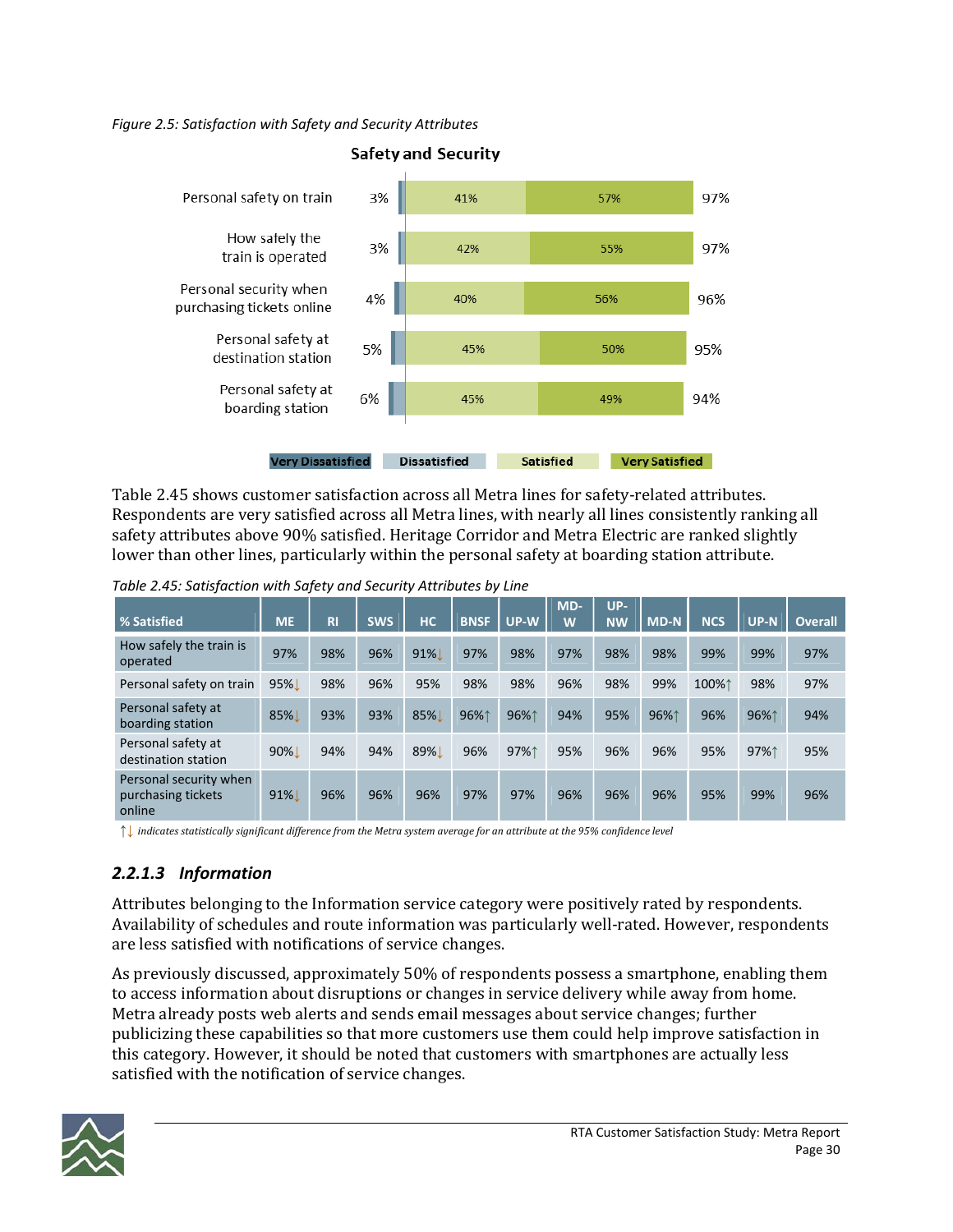*Figure 2.5: Satisfaction with Safety and Security Attributes*



**Safety and Security** 

Table 2.45 shows customer satisfaction across all Metra lines for safety‐related attributes. Respondents are very satisfied across all Metra lines, with nearly all lines consistently ranking all safety attributes above 90% satisfied. Heritage Corridor and Metra Electric are ranked slightly lower than other lines, particularly within the personal safety at boarding station attribute.

| % Satisfied                                            | <b>ME</b> | R <sub>l</sub> | <b>SWS</b> | <b>HC</b> | <b>BNSF</b> | UP-W | MD-<br>W | UP-<br><b>NW</b> | <b>MD-N</b> | <b>NCS</b> | <b>UP-N</b> | <b>Overall</b> |
|--------------------------------------------------------|-----------|----------------|------------|-----------|-------------|------|----------|------------------|-------------|------------|-------------|----------------|
| How safely the train is<br>operated                    | 97%       | 98%            | 96%        | 91%       | 97%         | 98%  | 97%      | 98%              | 98%         | 99%        | 99%         | 97%            |
| Personal safety on train                               | 95%L      | 98%            | 96%        | 95%       | 98%         | 98%  | 96%      | 98%              | 99%         | 100%1      | 98%         | 97%            |
| Personal safety at<br>boarding station                 | 85%       | 93%            | 93%        | 85%       | 96%1        | 96%1 | 94%      | 95%              | 96%1        | 96%        | 96%1        | 94%            |
| Personal safety at<br>destination station              | 90%L      | 94%            | 94%        | 89%       | 96%         | 97%↑ | 95%      | 96%              | 96%         | 95%        | 97%1        | 95%            |
| Personal security when<br>purchasing tickets<br>online | $91\%$    | 96%            | 96%        | 96%       | 97%         | 97%  | 96%      | 96%              | 96%         | 95%        | 99%         | 96%            |

*Table 2.45: Satisfaction with Safety and Security Attributes by Line*

 $\uparrow\downarrow$  indicates statistically significant difference from the Metra system average for an attribute at the 95% confidence level

### *2.2.1.3 Information*

Attributes belonging to the Information service category were positively rated by respondents. Availability of schedules and route information was particularly well‐rated. However, respondents are less satisfied with notifications of service changes.

As previously discussed, approximately 50% of respondents possess a smartphone, enabling them to access information about disruptions or changes in service delivery while away from home. Metra already posts web alerts and sends email messages about service changes; further publicizing these capabilities so that more customers use them could help improve satisfaction in this category. However, it should be noted that customers with smartphones are actually less satisfied with the notification of service changes.

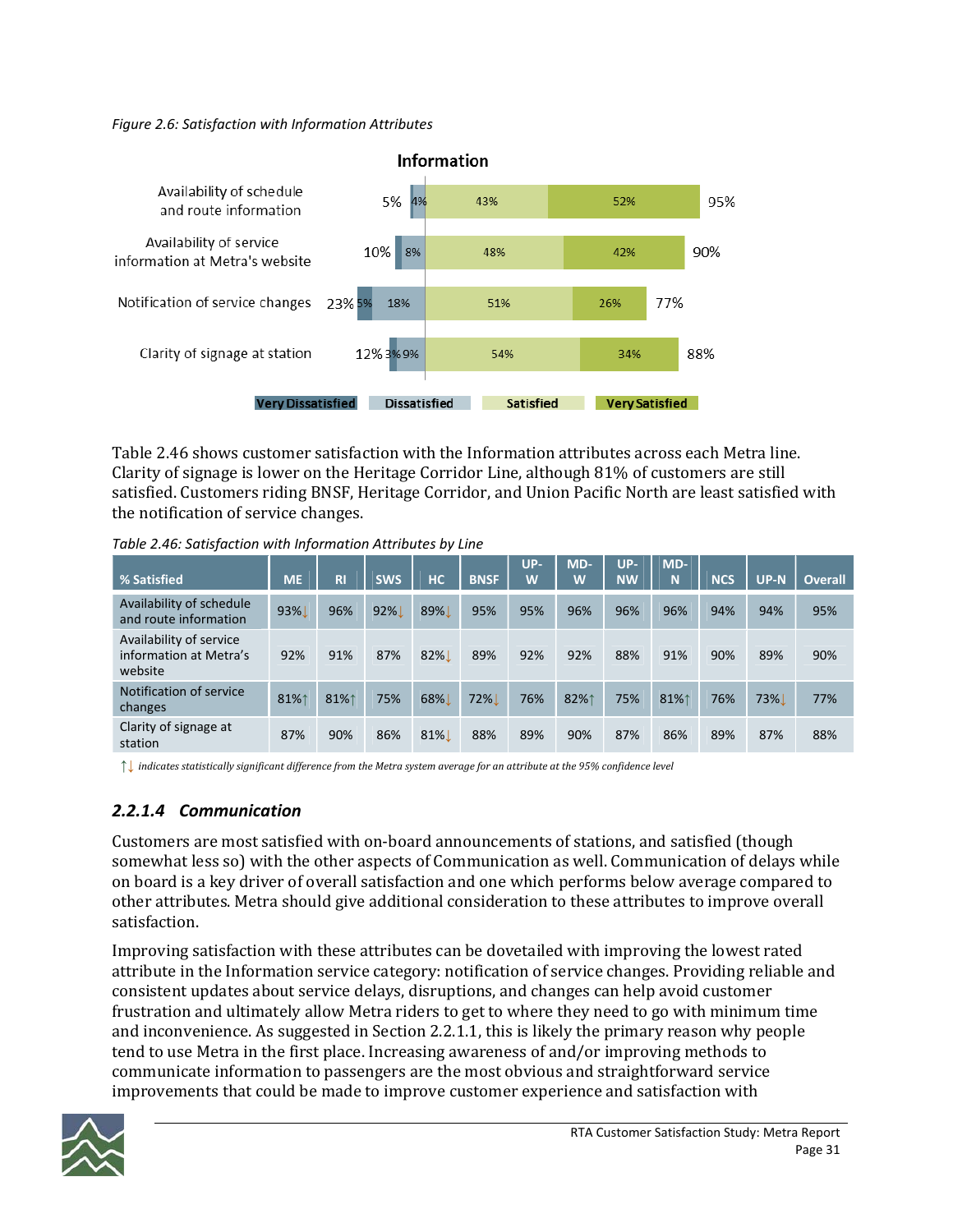*Figure 2.6: Satisfaction with Information Attributes*



Table 2.46 shows customer satisfaction with the Information attributes across each Metra line. Clarity of signage is lower on the Heritage Corridor Line, although 81% of customers are still satisfied. Customers riding BNSF, Heritage Corridor, and Union Pacific North are least satisfied with the notification of service changes.

| % Satisfied                                                  | <b>ME</b> | <b>RI</b> | <b>SWS</b> | <b>HC</b> | <b>BNSF</b> | UP-<br>W | MD-<br>W | UP-<br><b>NW</b> | $MD-$<br>N | <b>NCS</b> | UP-N | <b>Overall</b> |
|--------------------------------------------------------------|-----------|-----------|------------|-----------|-------------|----------|----------|------------------|------------|------------|------|----------------|
| Availability of schedule<br>and route information            | 93%L      | 96%       | 92%        | 89%       | 95%         | 95%      | 96%      | 96%              | 96%        | 94%        | 94%  | 95%            |
| Availability of service<br>information at Metra's<br>website | 92%       | 91%       | 87%        | 82%       | 89%         | 92%      | 92%      | 88%              | 91%        | 90%        | 89%  | 90%            |
| Notification of service<br>changes                           | 81%1      | 81%1      | 75%        | 68%       | 72%         | 76%      | 82%1     | 75%              | 81%1       | 76%        | 73%  | 77%            |
| Clarity of signage at<br>station                             | 87%       | 90%       | 86%        | $81\%$    | 88%         | 89%      | 90%      | 87%              | 86%        | 89%        | 87%  | 88%            |

*Table 2.46: Satisfaction with Information Attributes by Line*

↑↓ indicates statistically significant difference from the Metra system average for an attribute at the 95% confidence level

### *2.2.1.4 Communication*

Customers are most satisfied with on‐board announcements of stations, and satisfied (though somewhat less so) with the other aspects of Communication as well. Communication of delays while on board is a key driver of overall satisfaction and one which performs below average compared to other attributes. Metra should give additional consideration to these attributes to improve overall satisfaction.

Improving satisfaction with these attributes can be dovetailed with improving the lowest rated attribute in the Information service category: notification of service changes. Providing reliable and consistent updates about service delays, disruptions, and changes can help avoid customer frustration and ultimately allow Metra riders to get to where they need to go with minimum time and inconvenience. As suggested in Section 2.2.1.1, this is likely the primary reason why people tend to use Metra in the first place. Increasing awareness of and/or improving methods to communicate information to passengers are the most obvious and straightforward service improvements that could be made to improve customer experience and satisfaction with

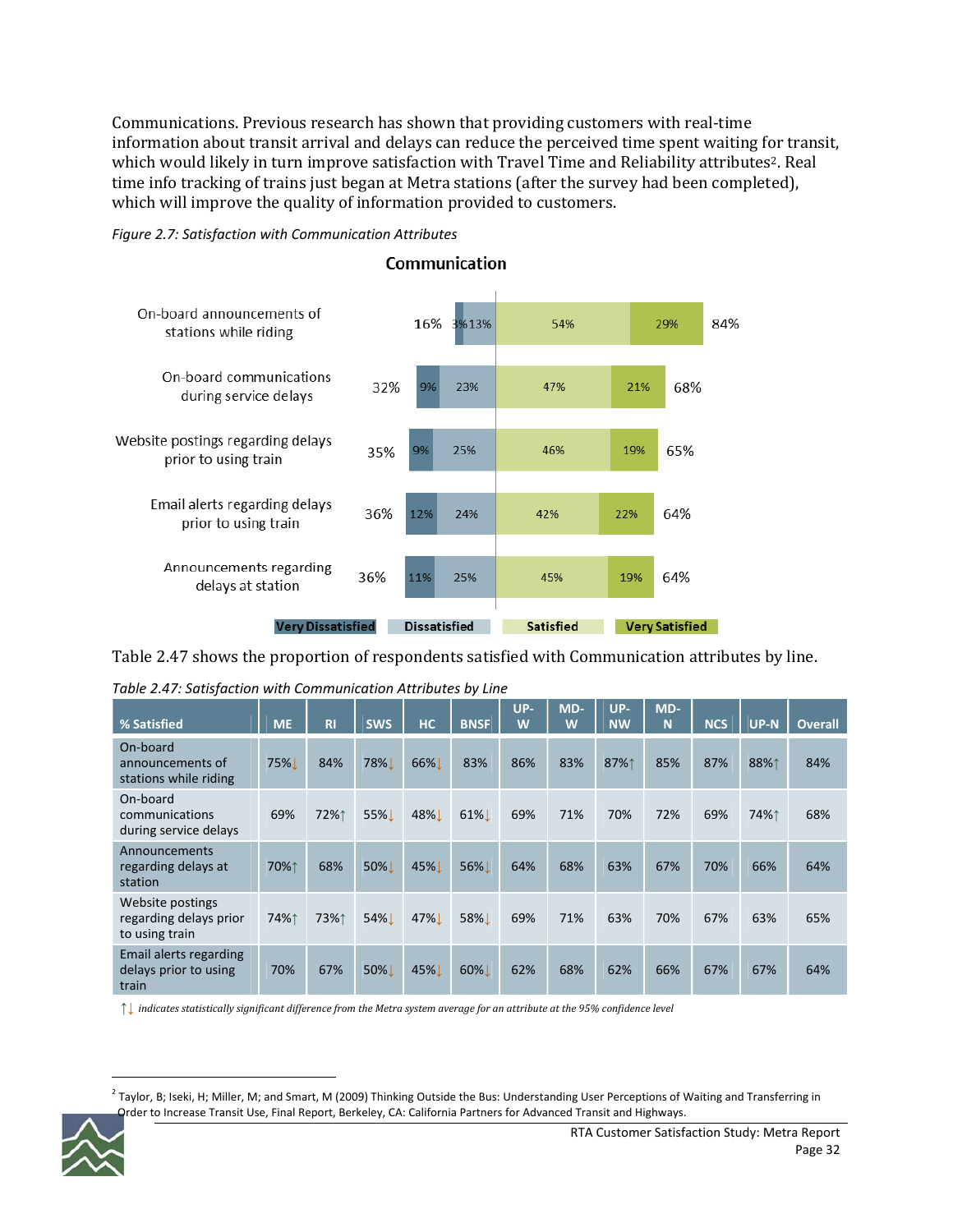Communications. Previous research has shown that providing customers with real‐time information about transit arrival and delays can reduce the perceived time spent waiting for transit, which would likely in turn improve satisfaction with Travel Time and Reliability attributes<sup>2</sup>. Real time info tracking of trains just began at Metra stations (after the survey had been completed), which will improve the quality of information provided to customers.





Communication

Table 2.47 shows the proportion of respondents satisfied with Communication attributes by line.

*Table 2.47: Satisfaction with Communication Attributes by Line*

| % Satisfied                                                  | <b>ME</b> | <b>RI</b> | <b>SWS</b> | <b>HC</b> | <b>BNSF</b> | UP-<br>W | MD-<br>W | UP-<br><b>NW</b> | MD-<br>N | <b>NCS</b> | <b>UP-N</b> | <b>Overall</b> |
|--------------------------------------------------------------|-----------|-----------|------------|-----------|-------------|----------|----------|------------------|----------|------------|-------------|----------------|
| On-board<br>announcements of<br>stations while riding        | 75%       | 84%       | 78%        | 66%       | 83%         | 86%      | 83%      | 87%↑             | 85%      | 87%        | 88%1        | 84%            |
| On-board<br>communications<br>during service delays          | 69%       | 72%↑      | 55%        | 48%       | $61\%$      | 69%      | 71%      | 70%              | 72%      | 69%        | 74%↑        | 68%            |
| Announcements<br>regarding delays at<br>station              | 70%↑      | 68%       | 50%L       | 45%L      | <b>56%</b>  | 64%      | 68%      | 63%              | 67%      | 70%        | 66%         | 64%            |
| Website postings<br>regarding delays prior<br>to using train | 74%↑      | 73%↑      | 54%L       | 47%       | 58%L        | 69%      | 71%      | 63%              | 70%      | 67%        | 63%         | 65%            |
| Email alerts regarding<br>delays prior to using<br>train     | 70%       | 67%       | 50%L       | 45%       | 60%         | 62%      | 68%      | 62%              | 66%      | 67%        | 67%         | 64%            |

↑↓ indicates statistically significant difference from the Metra system average for an attribute at the 95% confidence level

 $2$  Taylor, B; Iseki, H; Miller, M; and Smart, M (2009) Thinking Outside the Bus: Understanding User Perceptions of Waiting and Transferring in Order to Increase Transit Use, Final Report, Berkeley, CA: California Partners for Advanced Transit and Highways.

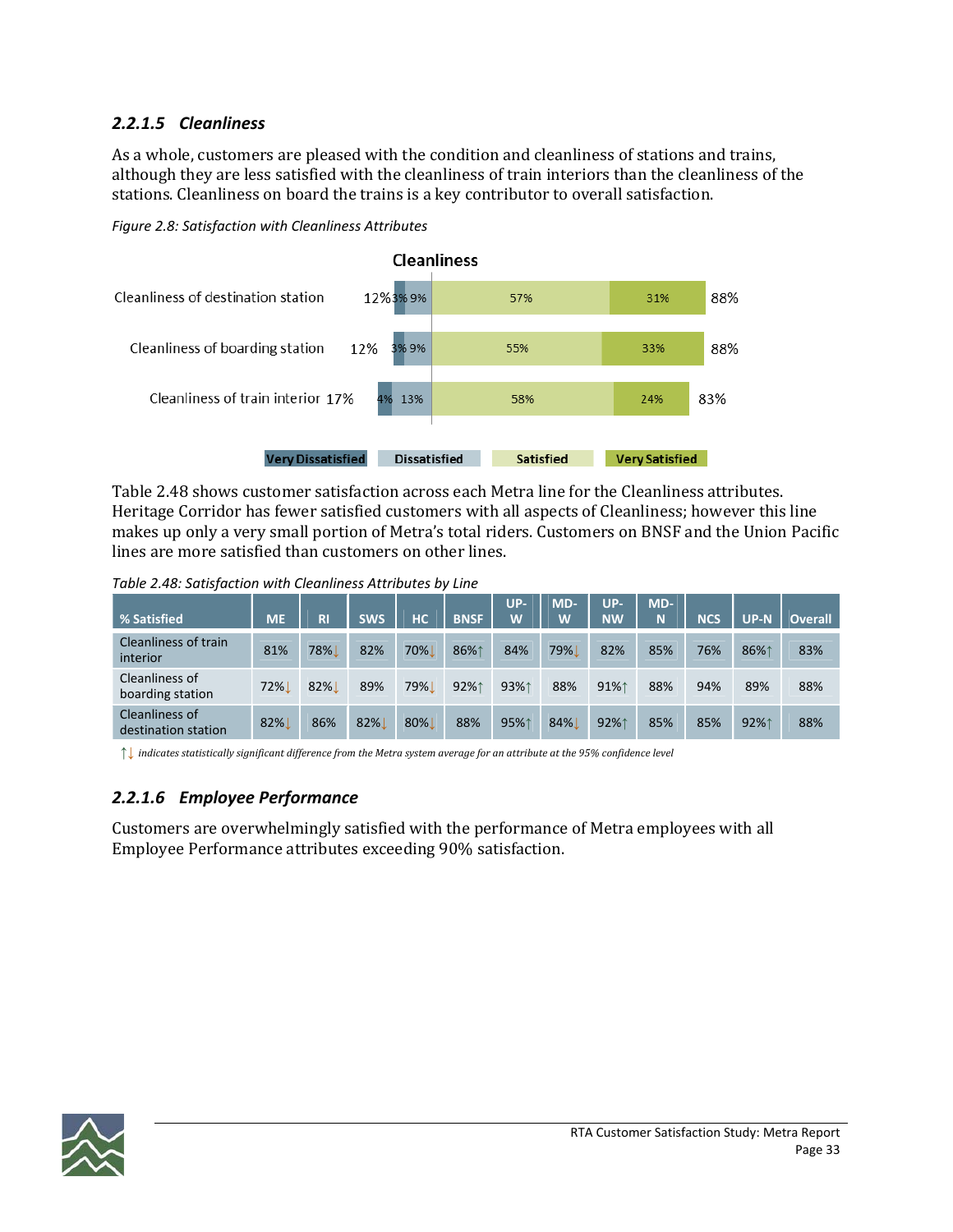### *2.2.1.5 Cleanliness*

As a whole, customers are pleased with the condition and cleanliness of stations and trains, although they are less satisfied with the cleanliness of train interiors than the cleanliness of the stations. Cleanliness on board the trains is a key contributor to overall satisfaction.

*Figure 2.8: Satisfaction with Cleanliness Attributes*



Table 2.48 shows customer satisfaction across each Metra line for the Cleanliness attributes. Heritage Corridor has fewer satisfied customers with all aspects of Cleanliness; however this line makes up only a very small portion of Metra's total riders. Customers on BNSF and the Union Pacific lines are more satisfied than customers on other lines.

*Table 2.48: Satisfaction with Cleanliness Attributes by Line*

| % Satisfied                           | <b>ME</b> | <b>RI</b> | <b>SWS</b> | НC         | <b>BNSF</b> | UP-<br>W | MD-<br>W | UP-<br><b>NW</b> | MD-<br>N | <b>NCS</b> | $UP-N$ | <b>Overall</b> |
|---------------------------------------|-----------|-----------|------------|------------|-------------|----------|----------|------------------|----------|------------|--------|----------------|
| Cleanliness of train<br>interior      | 81%       | 78%       | 82%        | 70%        | 86%1        | 84%      | 79%      | 82%              | 85%      | 76%        | 86%1   | 83%            |
| Cleanliness of<br>boarding station    | 72%       | $82\%$    | 89%        | <b>79%</b> | 92%1        | 93%1     | 88%      | 91%1             | 88%      | 94%        | 89%    | 88%            |
| Cleanliness of<br>destination station | 82%       | 86%       | 82%        | 80%        | 88%         | 95%1     | 84%      | 92%1             | 85%      | 85%        | 92%1   | 88%            |

 $\uparrow$  indicates statistically significant difference from the Metra system average for an attribute at the 95% confidence level

### *2.2.1.6 Employee Performance*

Customers are overwhelmingly satisfied with the performance of Metra employees with all Employee Performance attributes exceeding 90% satisfaction.

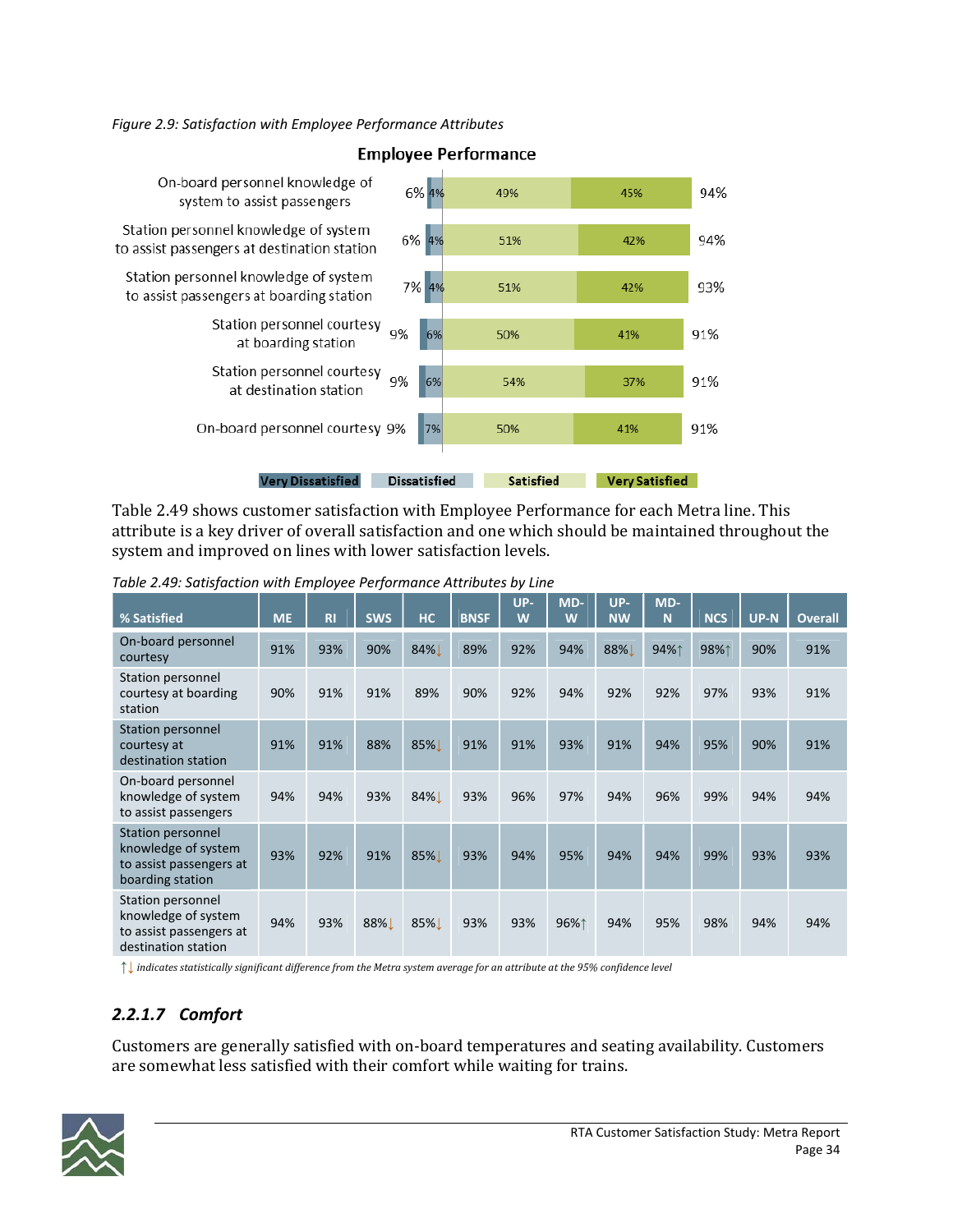*Figure 2.9: Satisfaction with Employee Performance Attributes*



### **Employee Performance**

Table 2.49 shows customer satisfaction with Employee Performance for each Metra line. This attribute is a key driver of overall satisfaction and one which should be maintained throughout the system and improved on lines with lower satisfaction levels.

| % Satisfied                                                                                | <b>ME</b> | <b>RI</b> | <b>SWS</b> | <b>HC</b> | <b>BNSF</b> | UP-<br>W | MD-<br>W | UP-<br><b>NW</b> | MD-<br>N | <b>NCS</b> | UP-N | <b>Overall</b> |
|--------------------------------------------------------------------------------------------|-----------|-----------|------------|-----------|-------------|----------|----------|------------------|----------|------------|------|----------------|
| On-board personnel<br>courtesy                                                             | 91%       | 93%       | 90%        | 84%       | 89%         | 92%      | 94%      | 88%              | 94%↑     | 98%↑       | 90%  | 91%            |
| Station personnel<br>courtesy at boarding<br>station                                       | 90%       | 91%       | 91%        | 89%       | 90%         | 92%      | 94%      | 92%              | 92%      | 97%        | 93%  | 91%            |
| <b>Station personnel</b><br>courtesy at<br>destination station                             | 91%       | 91%       | 88%        | 85%L      | 91%         | 91%      | 93%      | 91%              | 94%      | 95%        | 90%  | 91%            |
| On-board personnel<br>knowledge of system<br>to assist passengers                          | 94%       | 94%       | 93%        | 84%       | 93%         | 96%      | 97%      | 94%              | 96%      | 99%        | 94%  | 94%            |
| Station personnel<br>knowledge of system<br>to assist passengers at<br>boarding station    | 93%       | 92%       | 91%        | 85%       | 93%         | 94%      | 95%      | 94%              | 94%      | 99%        | 93%  | 93%            |
| Station personnel<br>knowledge of system<br>to assist passengers at<br>destination station | 94%       | 93%       | 88%L       | 85%L      | 93%         | 93%      | 96%↑     | 94%              | 95%      | 98%        | 94%  | 94%            |

*Table 2.49: Satisfaction with Employee Performance Attributes by Line*

 $\uparrow\downarrow$  indicates statistically significant difference from the Metra system average for an attribute at the 95% confidence level

### *2.2.1.7 Comfort*

Customers are generally satisfied with on‐board temperatures and seating availability. Customers are somewhat less satisfied with their comfort while waiting for trains.

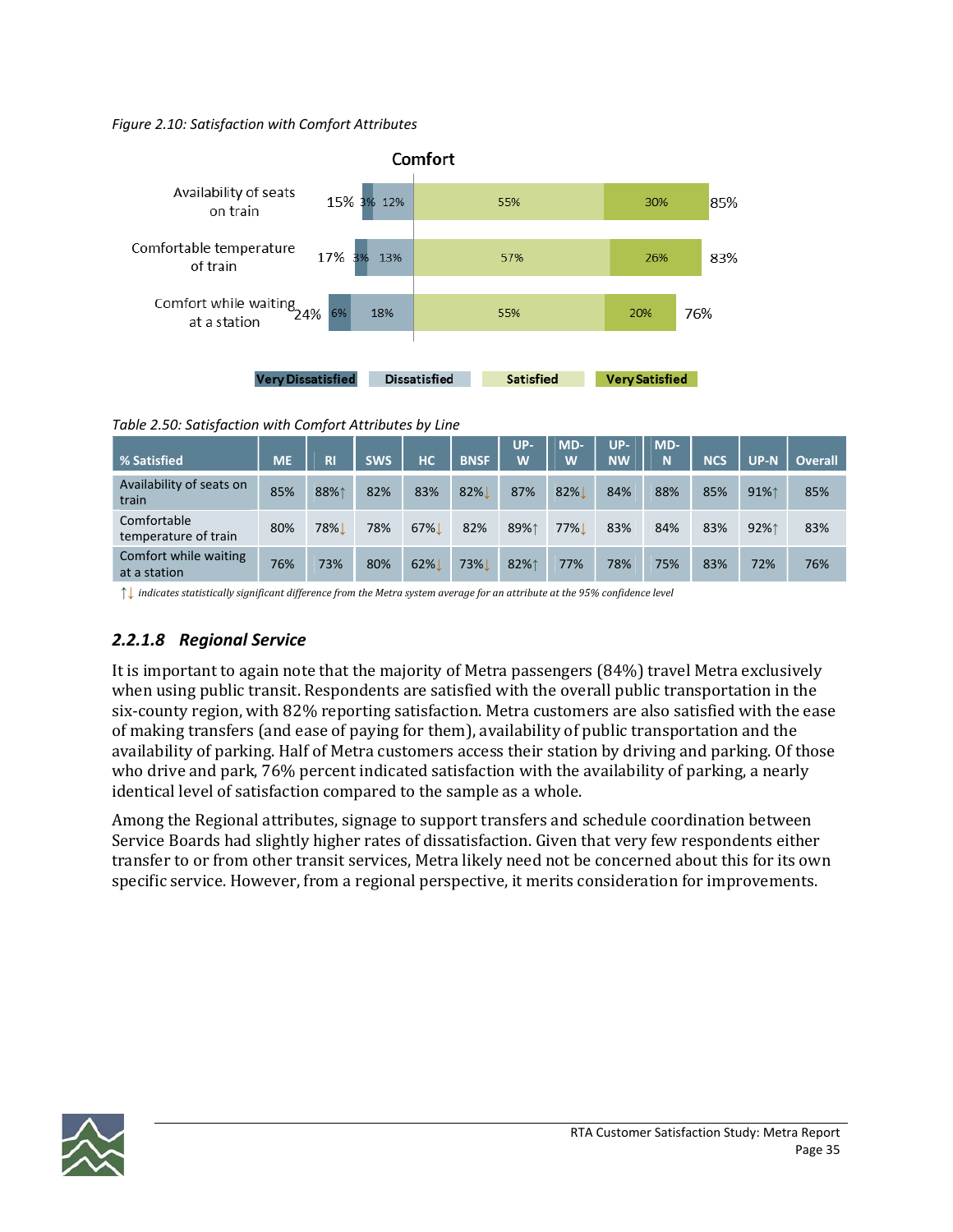#### *Figure 2.10: Satisfaction with Comfort Attributes*



*Table 2.50: Satisfaction with Comfort Attributes by Line*

| % Satisfied                           | <b>ME</b> | <b>RI</b> | <b>SWS</b> | HС  | <b>BNSF</b>      | UP-<br>W | MD-<br>W | UP-<br><b>NW</b> | MD-<br>N | <b>NCS</b> | $UP-N$ | <b>Overall</b> |
|---------------------------------------|-----------|-----------|------------|-----|------------------|----------|----------|------------------|----------|------------|--------|----------------|
| Availability of seats on<br>train     | 85%       | 88%1      | 82%        | 83% | 82%              | 87%      | 82%      | 84%              | 88%      | 85%        | 91%1   | 85%            |
| Comfortable<br>temperature of train   | 80%       | 78%       | 78%        | 67% | 82%              | 89%1     | $77\%$   | 83%              | 84%      | 83%        | 92%1   | 83%            |
| Comfort while waiting<br>at a station | 76%       | 73%       | 80%        | 62% | 73% <sub>1</sub> | 82%1     | 77%      | 78%              | 75%      | 83%        | 72%    | 76%            |

 $\uparrow\downarrow$  indicates statistically significant difference from the Metra system average for an attribute at the 95% confidence level

### *2.2.1.8 Regional Service*

It is important to again note that the majority of Metra passengers (84%) travel Metra exclusively when using public transit. Respondents are satisfied with the overall public transportation in the six-county region, with 82% reporting satisfaction. Metra customers are also satisfied with the ease of making transfers (and ease of paying for them), availability of public transportation and the availability of parking. Half of Metra customers access their station by driving and parking. Of those who drive and park, 76% percent indicated satisfaction with the availability of parking, a nearly identical level of satisfaction compared to the sample as a whole.

Among the Regional attributes, signage to support transfers and schedule coordination between Service Boards had slightly higher rates of dissatisfaction. Given that very few respondents either transfer to or from other transit services, Metra likely need not be concerned about this for its own specific service. However, from a regional perspective, it merits consideration for improvements.

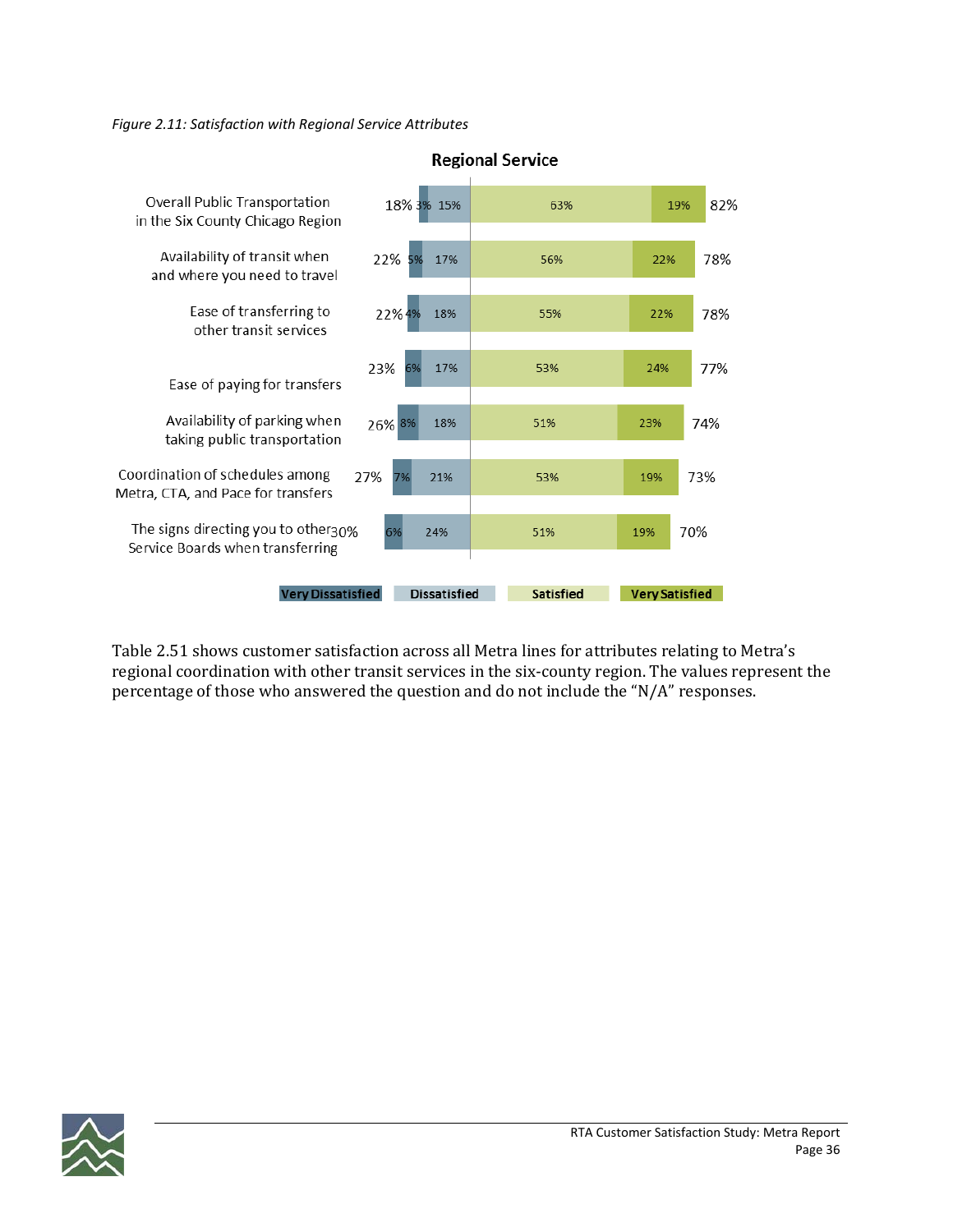*Figure 2.11: Satisfaction with Regional Service Attributes*



**Regional Service** 

Table 2.51 shows customer satisfaction across all Metra lines for attributes relating to Metra's regional coordination with other transit services in the six‐county region. The values represent the percentage of those who answered the question and do not include the "N/A" responses.

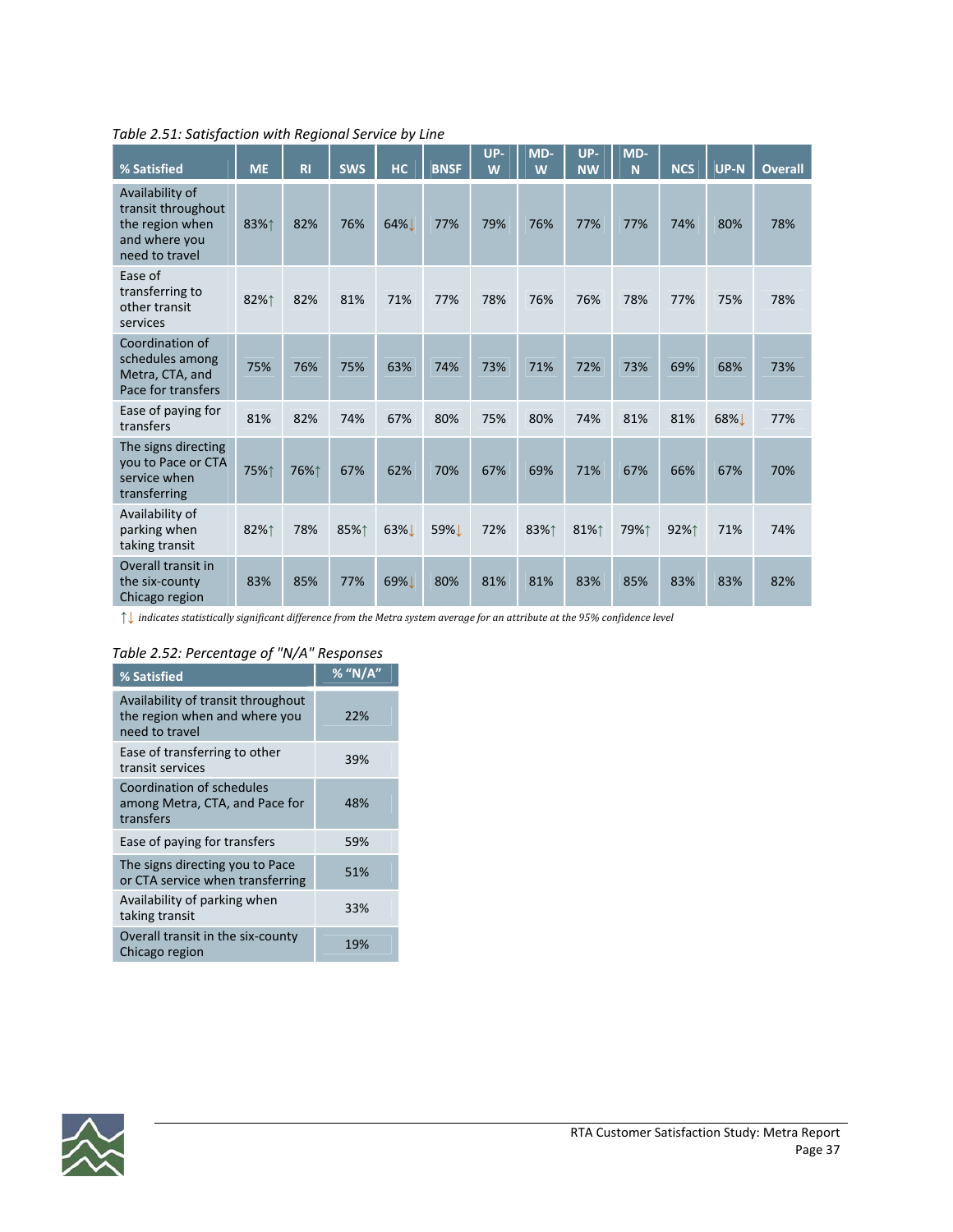| % Satisfied                                                                                 | <b>ME</b> | R1   | <b>SWS</b> | <b>HC</b> | <b>BNSF</b> | UP-<br>W | MD-<br>W | UP-<br><b>NW</b> | MD-<br>N | <b>NCS</b> | <b>UP-N</b> | <b>Overall</b> |
|---------------------------------------------------------------------------------------------|-----------|------|------------|-----------|-------------|----------|----------|------------------|----------|------------|-------------|----------------|
| Availability of<br>transit throughout<br>the region when<br>and where you<br>need to travel | 83%↑      | 82%  | 76%        | 64%       | 77%         | 79%      | 76%      | 77%              | 77%      | 74%        | 80%         | 78%            |
| Ease of<br>transferring to<br>other transit<br>services                                     | 82%↑      | 82%  | 81%        | 71%       | 77%         | 78%      | 76%      | 76%              | 78%      | 77%        | 75%         | 78%            |
| Coordination of<br>schedules among<br>Metra, CTA, and<br>Pace for transfers                 | 75%       | 76%  | 75%        | 63%       | 74%         | 73%      | 71%      | 72%              | 73%      | 69%        | 68%         | 73%            |
| Ease of paying for<br>transfers                                                             | 81%       | 82%  | 74%        | 67%       | 80%         | 75%      | 80%      | 74%              | 81%      | 81%        | 68%L        | 77%            |
| The signs directing<br>you to Pace or CTA<br>service when<br>transferring                   | 75%↑      | 76%↑ | 67%        | 62%       | 70%         | 67%      | 69%      | 71%              | 67%      | 66%        | 67%         | 70%            |
| Availability of<br>parking when<br>taking transit                                           | 82%↑      | 78%  | 85%↑       | 63%L      | 59%L        | 72%      | 83%↑     | 81%↑             | 79%↑     | 92%↑       | 71%         | 74%            |
| Overall transit in<br>the six-county<br>Chicago region                                      | 83%       | 85%  | 77%        | 69%       | 80%         | 81%      | 81%      | 83%              | 85%      | 83%        | 83%         | 82%            |

*Table 2.51: Satisfaction with Regional Service by Line*

 $\uparrow\downarrow$  indicates statistically significant difference from the Metra system average for an attribute at the 95% confidence level

### *Table 2.52: Percentage of "N/A" Responses*

| % Satisfied                                                                           | $%$ "N/A" |
|---------------------------------------------------------------------------------------|-----------|
| Availability of transit throughout<br>the region when and where you<br>need to travel | 22%       |
| Ease of transferring to other<br>transit services                                     | 39%       |
| Coordination of schedules<br>among Metra, CTA, and Pace for<br>transfers              | 48%       |
| Ease of paying for transfers                                                          | 59%       |
| The signs directing you to Pace<br>or CTA service when transferring                   | 51%       |
| Availability of parking when<br>taking transit                                        | 33%       |
| Overall transit in the six-county<br>Chicago region                                   | 19%       |

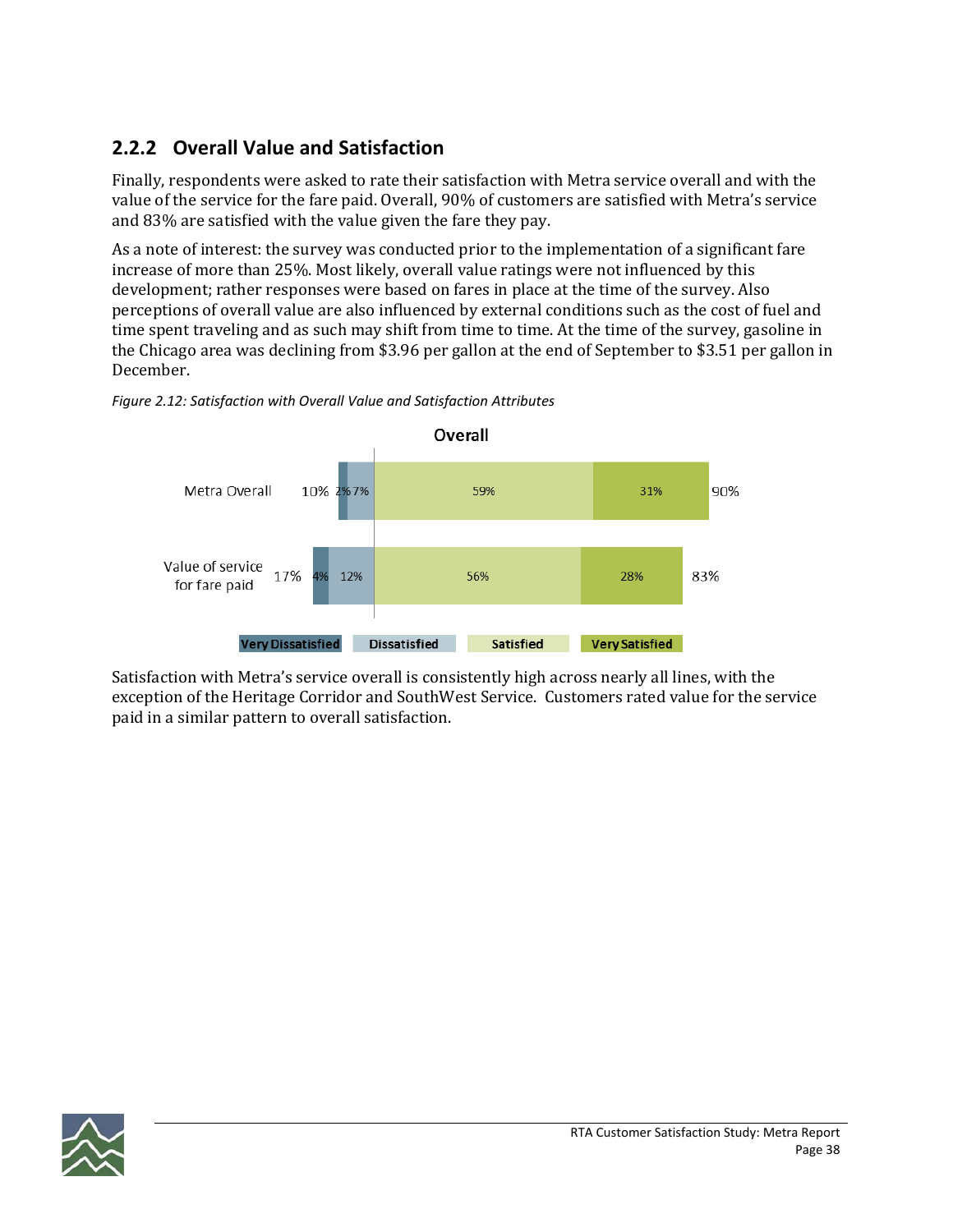### **2.2.2 Overall Value and Satisfaction**

Finally, respondents were asked to rate their satisfaction with Metra service overall and with the value of the service for the fare paid. Overall, 90% of customers are satisfied with Metra's service and 83% are satisfied with the value given the fare they pay.

As a note of interest: the survey was conducted prior to the implementation of a significant fare increase of more than 25%. Most likely, overall value ratings were not influenced by this development; rather responses were based on fares in place at the time of the survey. Also perceptions of overall value are also influenced by external conditions such as the cost of fuel and time spent traveling and as such may shift from time to time. At the time of the survey, gasoline in the Chicago area was declining from \$3.96 per gallon at the end of September to \$3.51 per gallon in December.



*Figure 2.12: Satisfaction with Overall Value and Satisfaction Attributes*

Satisfaction with Metra's service overall is consistently high across nearly all lines, with the exception of the Heritage Corridor and SouthWest Service. Customers rated value for the service paid in a similar pattern to overall satisfaction.

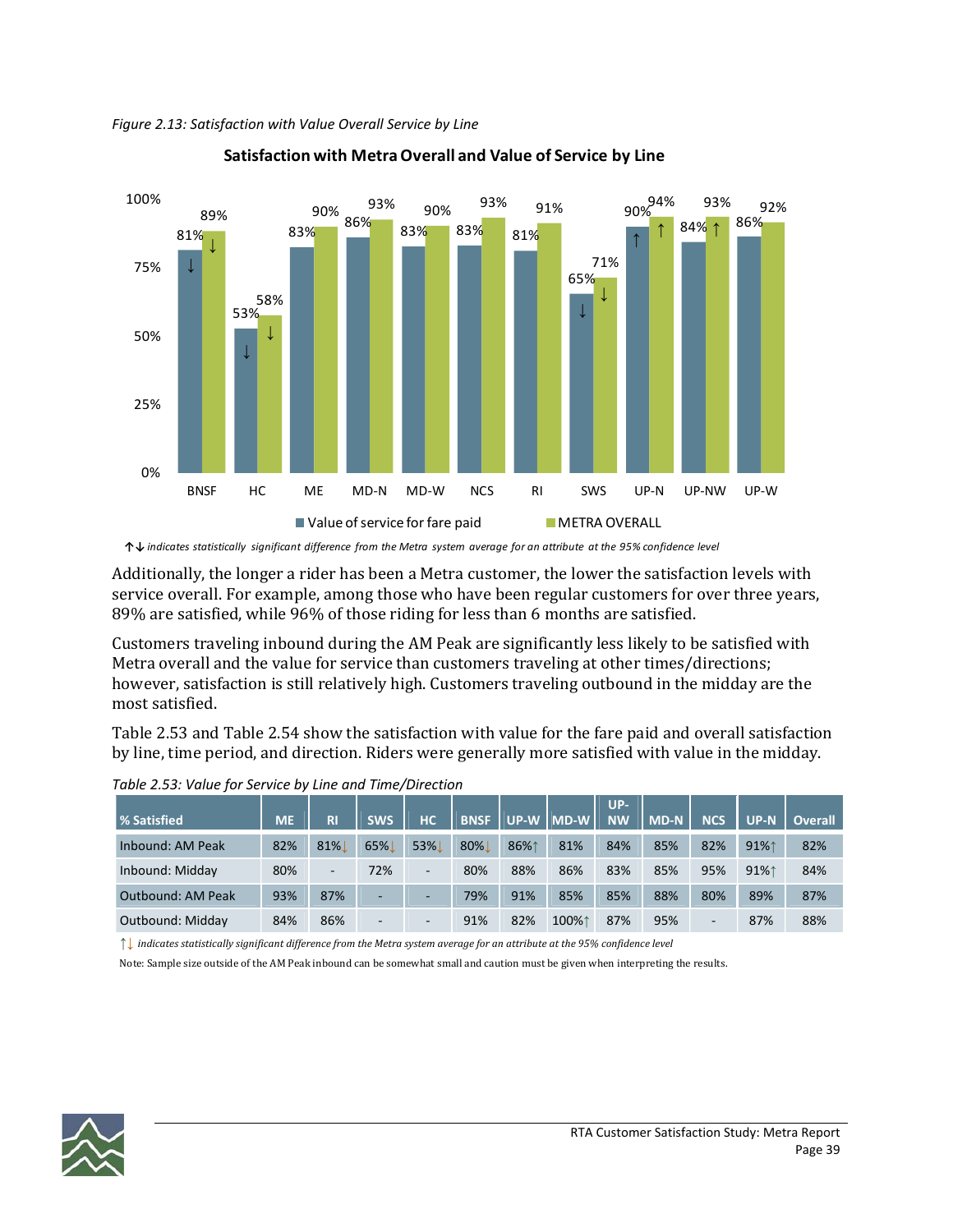*Figure 2.13: Satisfaction with Value Overall Service by Line*



### **Satisfaction with MetraOverall and Value of Service by Line**

Additionally, the longer a rider has been a Metra customer, the lower the satisfaction levels with service overall. For example, among those who have been regular customers for over three years, 89% are satisfied, while 96% of those riding for less than 6 months are satisfied.

Customers traveling inbound during the AM Peak are significantly less likely to be satisfied with Metra overall and the value for service than customers traveling at other times/directions; however, satisfaction is still relatively high. Customers traveling outbound in the midday are the most satisfied.

Table 2.53 and Table 2.54 show the satisfaction with value for the fare paid and overall satisfaction by line, time period, and direction. Riders were generally more satisfied with value in the midday.

|                          |           |        |            |     |             |        |         | $UP-$     |        |            |        |                |
|--------------------------|-----------|--------|------------|-----|-------------|--------|---------|-----------|--------|------------|--------|----------------|
| <b>% Satisfied</b>       | <b>ME</b> | R1     | <b>SWS</b> | HC  | <b>BNSF</b> | l UP-W | $IMD-W$ | <b>NW</b> | l MD-N | <b>NCS</b> | $UP-N$ | <b>Overall</b> |
| Inbound: AM Peak         | 82%       | $81\%$ | 65%        | 53% | 80%         | 86%1   | 81%     | 84%       | 85%    | 82%        | 91%1   | 82%            |
| Inbound: Midday          | 80%       | ٠      | 72%        | ٠   | 80%         | 88%    | 86%     | 83%       | 85%    | 95%        | 91%1   | 84%            |
| <b>Outbound: AM Peak</b> | 93%       | 87%    | ۰          | -   | 79%         | 91%    | 85%     | 85%       | 88%    | 80%        | 89%    | 87%            |
| Outbound: Midday         | 84%       | 86%    | -          |     | 91%         | 82%    | 100%1   | 87%       | 95%    | -          | 87%    | 88%            |

*Table 2.53: Value for Service by Line and Time/Direction*

 $\uparrow$  indicates statistically significant difference from the Metra system average for an attribute at the 95% confidence level

Note: Sample size outside of the AM Peak inbound can be somewhat small and caution must be given when interpreting the results.



<sup>↑↓</sup> indicates statistically significant difference from the Metra system average for an attribute at the 95% confidence level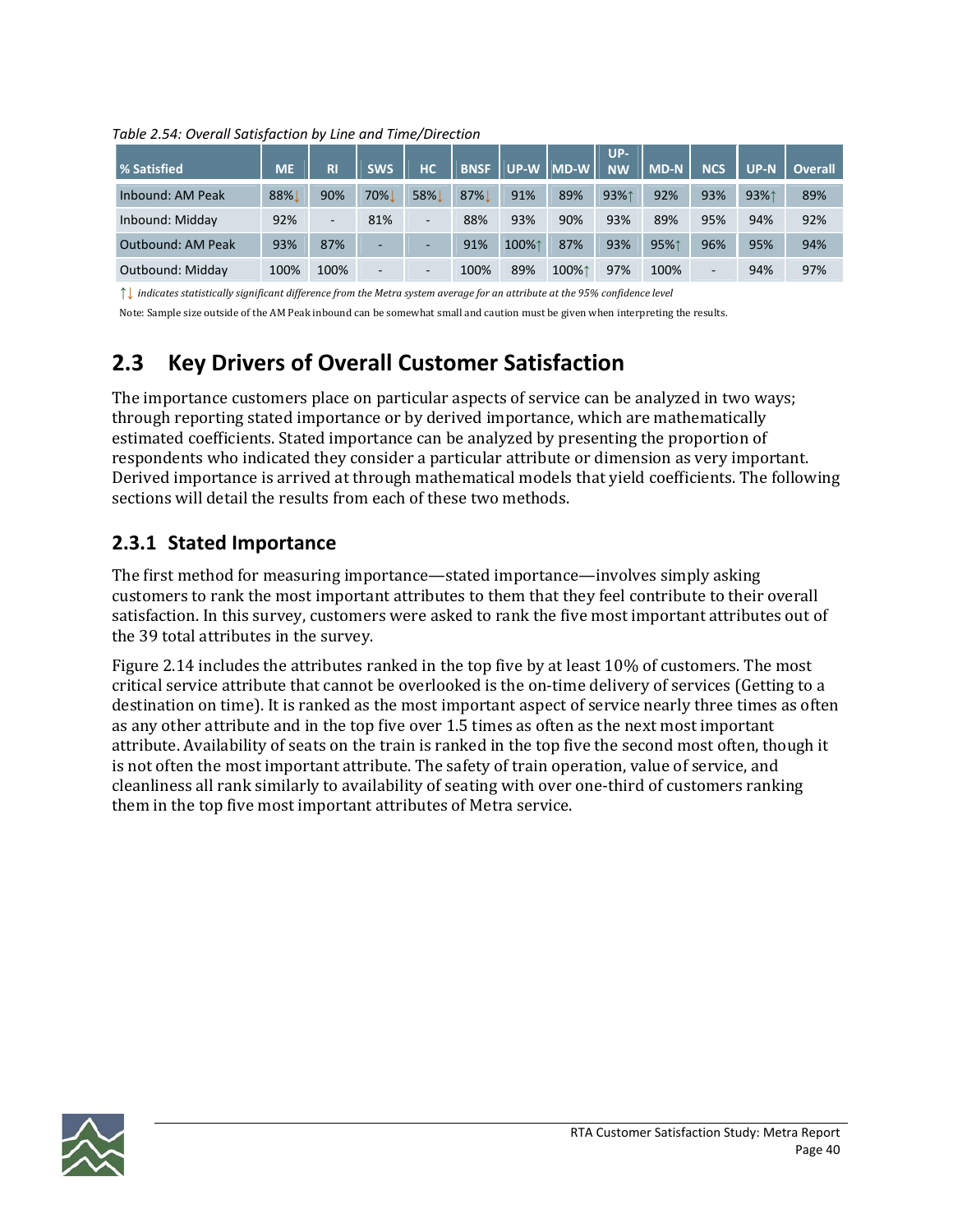*Table 2.54: Overall Satisfaction by Line and Time/Direction*

| <b>% Satisfied</b>       | <b>ME</b> | <b>RI</b> | <b>SWS</b>               | HC.                      | <b>BNSF</b> |       | UP-W MD-W | $UP-$<br><b>NW</b> | $M$ D-N | <b>NCS</b> | $UP-N$ | <b>Overall</b> |
|--------------------------|-----------|-----------|--------------------------|--------------------------|-------------|-------|-----------|--------------------|---------|------------|--------|----------------|
| Inbound: AM Peak         | 88%       | 90%       | 70%                      | 58%                      | 87%         | 91%   | 89%       | 93%1               | 92%     | 93%        | 93%1   | 89%            |
| Inbound: Midday          | 92%       | -         | 81%                      | -                        | 88%         | 93%   | 90%       | 93%                | 89%     | 95%        | 94%    | 92%            |
| <b>Outbound: AM Peak</b> | 93%       | 87%       | ۰                        |                          | 91%         | 100%1 | 87%       | 93%                | 95%1    | 96%        | 95%    | 94%            |
| Outbound: Midday         | 100%      | 100%      | $\overline{\phantom{0}}$ | $\overline{\phantom{0}}$ | 100%        | 89%   | 100%1     | 97%                | 100%    | -          | 94%    | 97%            |

 $\uparrow\downarrow$  indicates statistically significant difference from the Metra system average for an attribute at the 95% confidence level

Note: Sample size outside of the AM Peak inbound can be somewhat small and caution must be given when interpreting the results.

# **2.3 Key Drivers of Overall Customer Satisfaction**

The importance customers place on particular aspects of service can be analyzed in two ways; through reporting stated importance or by derived importance, which are mathematically estimated coefficients. Stated importance can be analyzed by presenting the proportion of respondents who indicated they consider a particular attribute or dimension as very important. Derived importance is arrived at through mathematical models that yield coefficients. The following sections will detail the results from each of these two methods.

### **2.3.1 Stated Importance**

The first method for measuring importance—stated importance—involves simply asking customers to rank the most important attributes to them that they feel contribute to their overall satisfaction. In this survey, customers were asked to rank the five most important attributes out of the 39 total attributes in the survey.

Figure 2.14 includes the attributes ranked in the top five by at least 10% of customers. The most critical service attribute that cannot be overlooked is the on‐time delivery of services (Getting to a destination on time). It is ranked as the most important aspect of service nearly three times as often as any other attribute and in the top five over 1.5 times as often as the next most important attribute. Availability of seats on the train is ranked in the top five the second most often, though it is not often the most important attribute. The safety of train operation, value of service, and cleanliness all rank similarly to availability of seating with over one‐third of customers ranking them in the top five most important attributes of Metra service.

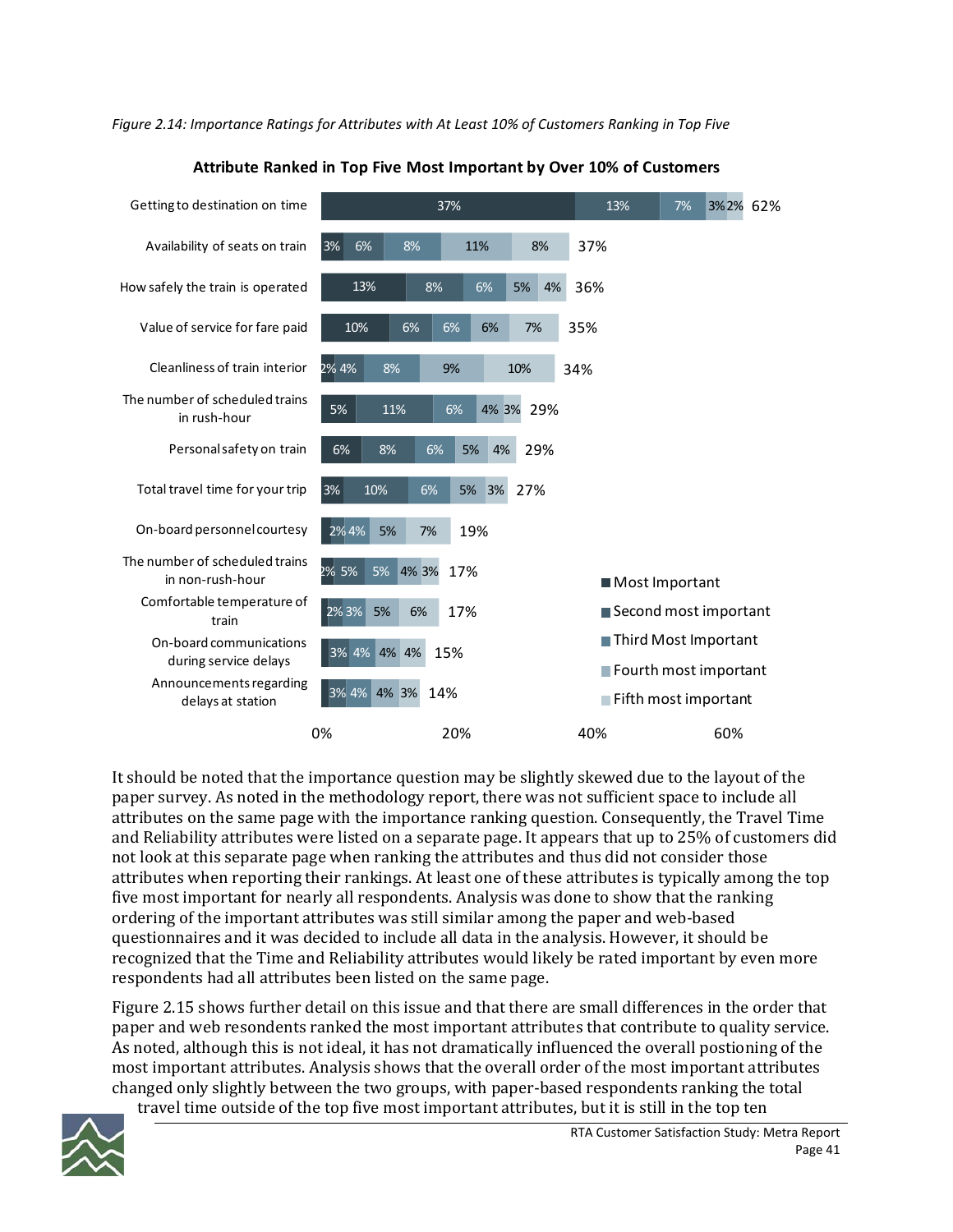*Figure 2.14: Importance Ratings for Attributes with At Least 10% of Customers Ranking in Top Five*



**Attribute Ranked in Top Five Most Important by Over 10% of Customers**

It should be noted that the importance question may be slightly skewed due to the layout of the paper survey. As noted in the methodology report, there was not sufficient space to include all attributes on the same page with the importance ranking question. Consequently, the Travel Time and Reliability attributes were listed on a separate page. It appears that up to 25% of customers did not look at this separate page when ranking the attributes and thus did not consider those attributes when reporting their rankings. At least one of these attributes is typically among the top five most important for nearly all respondents. Analysis was done to show that the ranking ordering of the important attributes was still similar among the paper and web‐based questionnaires and it was decided to include all data in the analysis. However, it should be recognized that the Time and Reliability attributes would likely be rated important by even more respondents had all attributes been listed on the same page.

Figure 2.15 shows further detail on this issue and that there are small differences in the order that paper and web resondents ranked the most important attributes that contribute to quality service. As noted, although this is not ideal, it has not dramatically influenced the overall postioning of the most important attributes. Analysis shows that the overall order of the most important attributes changed only slightly between the two groups, with paper‐based respondents ranking the total travel time outside of the top five most important attributes, but it is still in the top ten

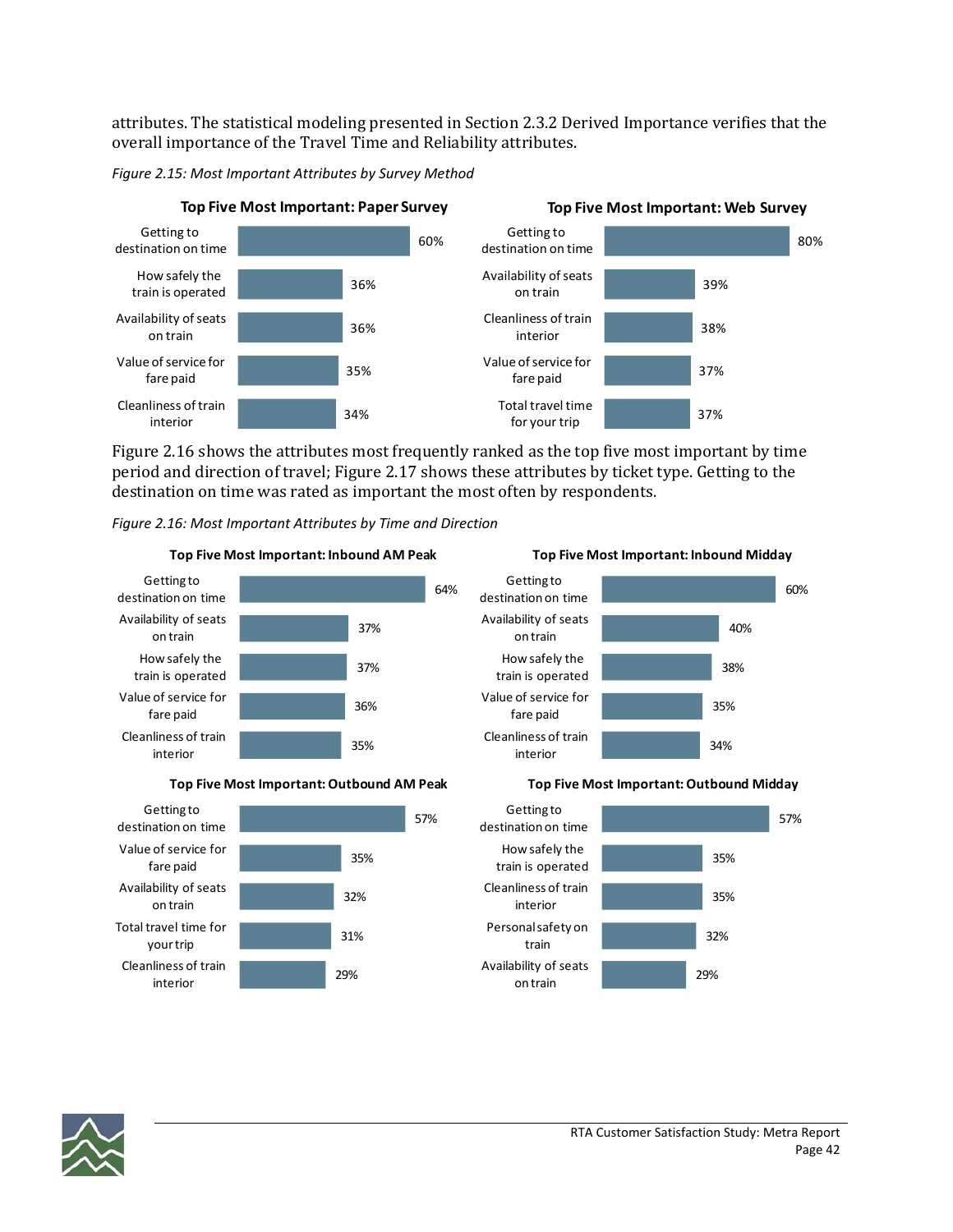attributes. The statistical modeling presented in Section 2.3.2 Derived Importance verifies that the overall importance of the Travel Time and Reliability attributes.

#### *Figure 2.15: Most Important Attributes by Survey Method*



Figure 2.16 shows the attributes most frequently ranked as the top five most important by time period and direction of travel; Figure 2.17 shows these attributes by ticket type. Getting to the destination on time was rated as important the most often by respondents.





#### **Top Five Most Important:Outbound AM Peak**



#### 34% 35% 38% 40% 60% Cleanliness of train interior Value of service for fare paid How safely the train is operated Availability of seats on train Getting to destination on time



### **Top Five Most Important: Inbound Midday**

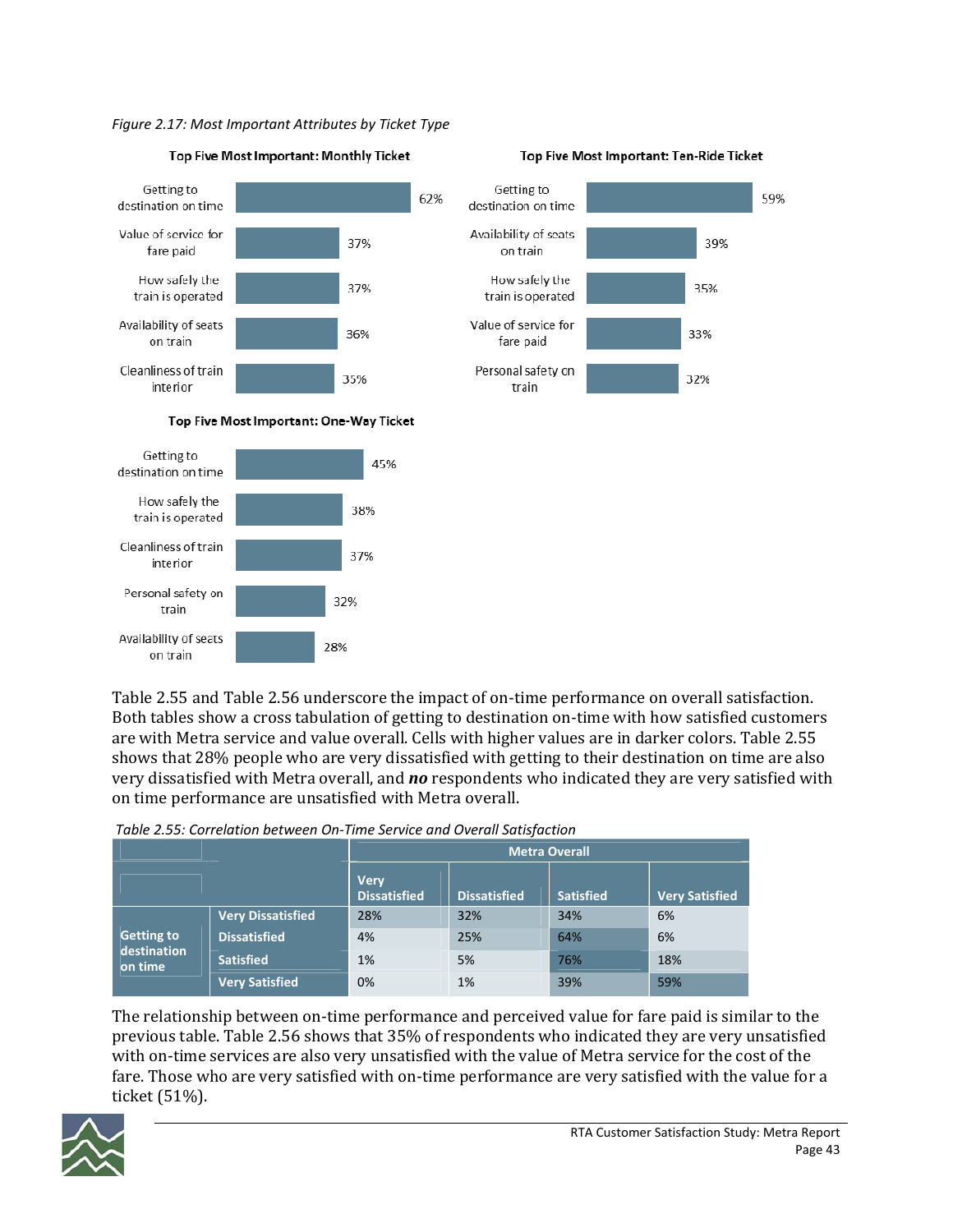*Figure 2.17: Most Important Attributes by Ticket Type*



#### Top Five Most Important: Monthly Ticket





#### Top Five Most Important: One-Way Ticket



Table 2.55 and Table 2.56 underscore the impact of on-time performance on overall satisfaction. Both tables show a cross tabulation of getting to destination on-time with how satisfied customers are with Metra service and value overall. Cells with higher values are in darker colors. Table 2.55 shows that 28% people who are very dissatisfied with getting to their destination on time are also very dissatisfied with Metra overall, and *no* respondents who indicated they are very satisfied with on time performance are unsatisfied with Metra overall.

|                        |                          | Metra Overall                      |                     |                  |                       |  |  |  |  |
|------------------------|--------------------------|------------------------------------|---------------------|------------------|-----------------------|--|--|--|--|
|                        |                          | <b>Very</b><br><b>Dissatisfied</b> | <b>Dissatisfied</b> | <b>Satisfied</b> | <b>Very Satisfied</b> |  |  |  |  |
|                        | <b>Very Dissatisfied</b> | 28%                                | 32%                 | 34%              | 6%                    |  |  |  |  |
| <b>Getting to</b>      | <b>Dissatisfied</b>      | 4%                                 | 25%                 | 64%              | 6%                    |  |  |  |  |
| destination<br>on time | <b>Satisfied</b>         | 1%                                 | 5%                  | 76%              | 18%                   |  |  |  |  |
|                        | <b>Very Satisfied</b>    | 0%                                 | 1%                  | 39%              | 59%                   |  |  |  |  |

*Table 2.55: Correlation between On‐Time Service and Overall Satisfaction*

The relationship between on-time performance and perceived value for fare paid is similar to the previous table. Table 2.56 shows that 35% of respondents who indicated they are very unsatisfied with on-time services are also very unsatisfied with the value of Metra service for the cost of the fare. Those who are very satisfied with on-time performance are very satisfied with the value for a ticket (51%).

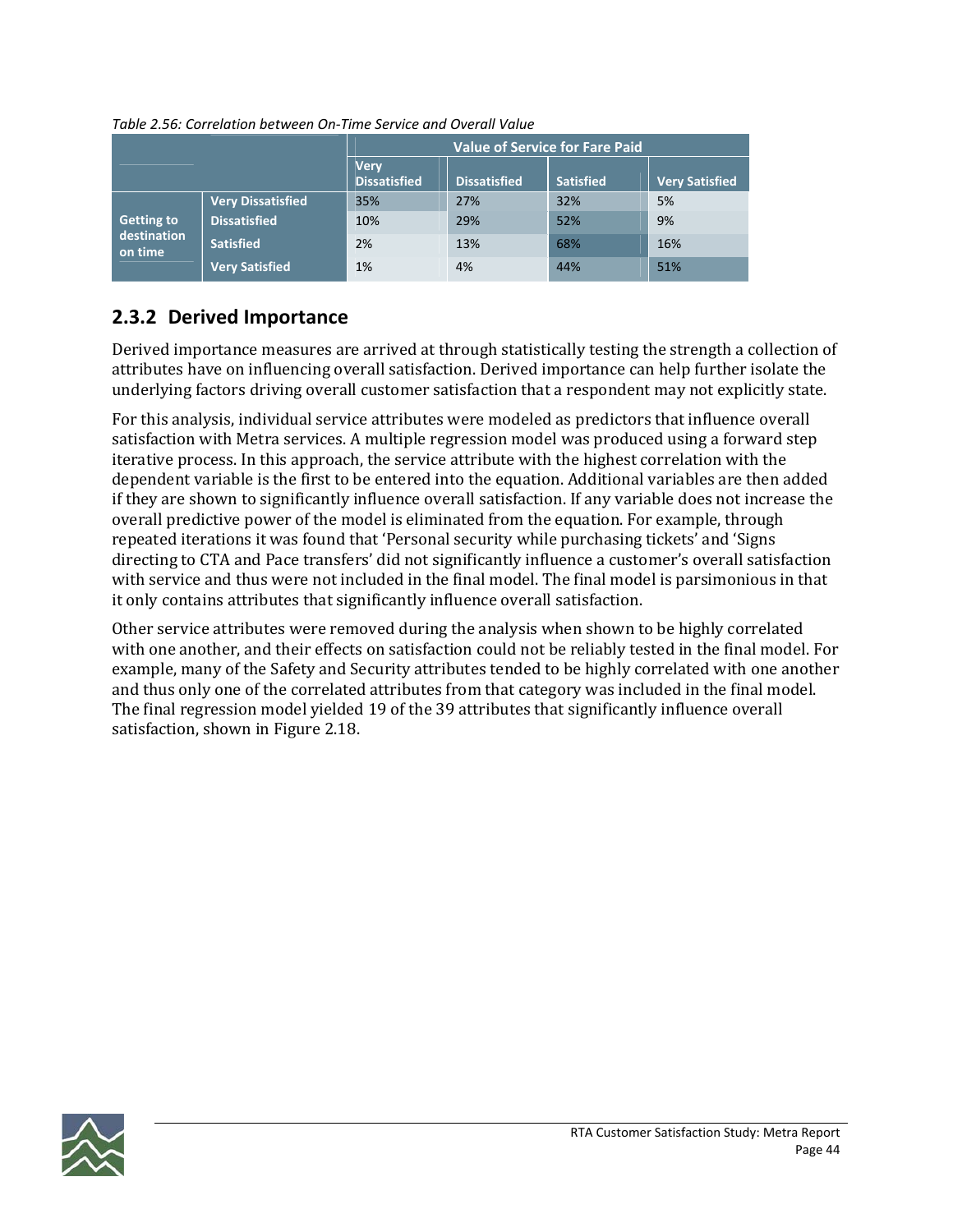|                        |                          | <b>Value of Service for Fare Paid</b> |                     |                  |                       |  |  |  |
|------------------------|--------------------------|---------------------------------------|---------------------|------------------|-----------------------|--|--|--|
|                        |                          | <b>Very</b><br><b>Dissatisfied</b>    | <b>Dissatisfied</b> | <b>Satisfied</b> | <b>Very Satisfied</b> |  |  |  |
|                        | <b>Very Dissatisfied</b> | 35%                                   | 27%                 | 32%              | 5%                    |  |  |  |
| <b>Getting to</b>      | <b>Dissatisfied</b>      | 10%                                   | 29%                 | 52%              | 9%                    |  |  |  |
| destination<br>on time | <b>Satisfied</b>         | 2%                                    | 13%                 | 68%              | 16%                   |  |  |  |
|                        | <b>Very Satisfied</b>    | 1%                                    | 4%                  | 44%              | 51%                   |  |  |  |

*Table 2.56: Correlation between On‐Time Service and Overall Value*

### **2.3.2 Derived Importance**

Derived importance measures are arrived at through statistically testing the strength a collection of attributes have on influencing overall satisfaction. Derived importance can help further isolate the underlying factors driving overall customer satisfaction that a respondent may not explicitly state.

For this analysis, individual service attributes were modeled as predictors that influence overall satisfaction with Metra services. A multiple regression model was produced using a forward step iterative process. In this approach, the service attribute with the highest correlation with the dependent variable is the first to be entered into the equation. Additional variables are then added if they are shown to significantly influence overall satisfaction. If any variable does not increase the overall predictive power of the model is eliminated from the equation. For example, through repeated iterations it was found that 'Personal security while purchasing tickets' and 'Signs directing to CTA and Pace transfers' did not significantly influence a customer's overall satisfaction with service and thus were not included in the final model. The final model is parsimonious in that it only contains attributes that significantly influence overall satisfaction.

Other service attributes were removed during the analysis when shown to be highly correlated with one another, and their effects on satisfaction could not be reliably tested in the final model. For example, many of the Safety and Security attributes tended to be highly correlated with one another and thus only one of the correlated attributes from that category was included in the final model. The final regression model yielded 19 of the 39 attributes that significantly influence overall satisfaction, shown in Figure 2.18.

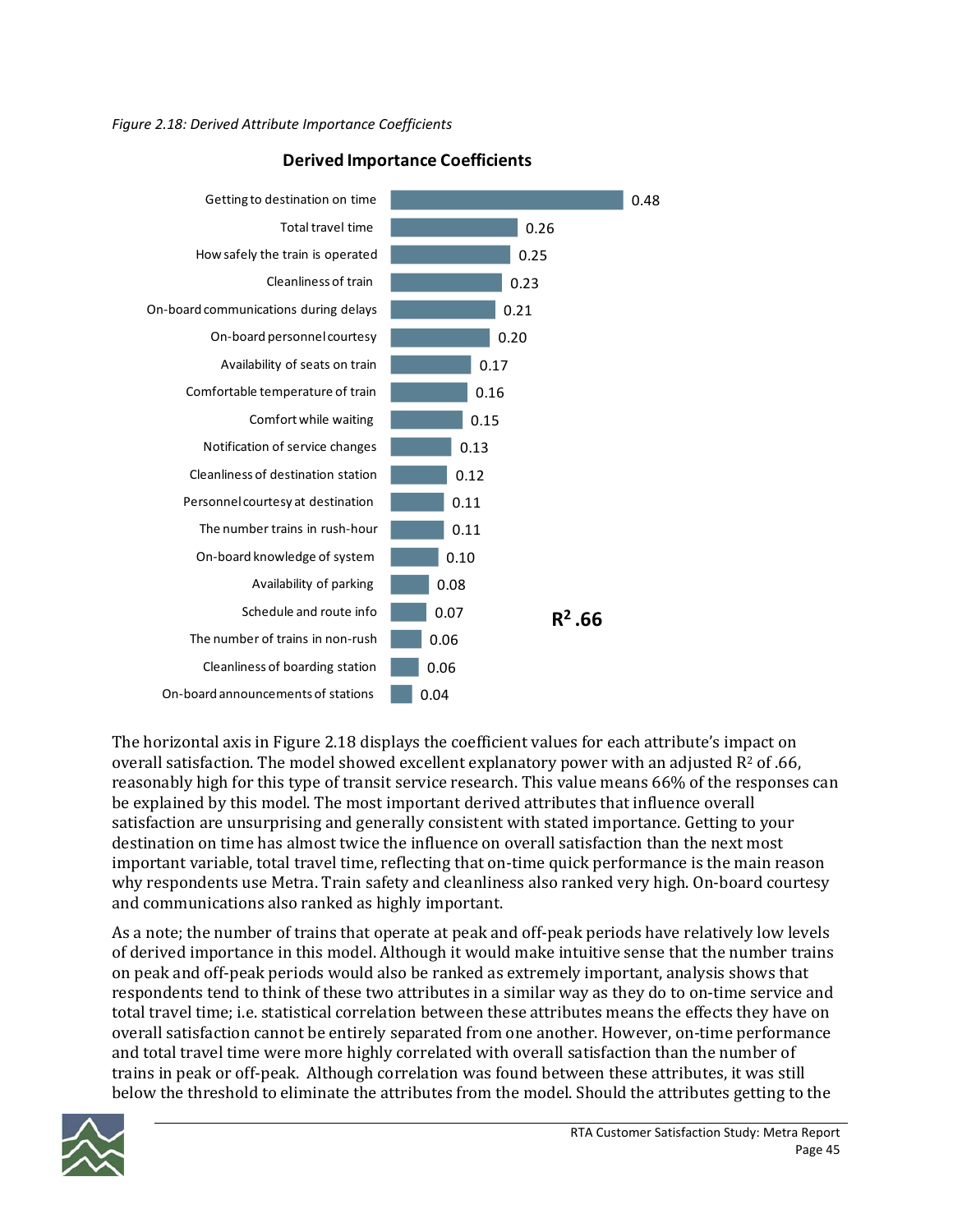

### **Derived Importance Coefficients**

The horizontal axis in Figure 2.18 displays the coefficient values for each attribute's impact on overall satisfaction. The model showed excellent explanatory power with an adjusted  $R^2$  of .66, reasonably high for this type of transit service research. This value means 66% of the responses can be explained by this model. The most important derived attributes that influence overall satisfaction are unsurprising and generally consistent with stated importance. Getting to your destination on time has almost twice the influence on overall satisfaction than the next most important variable, total travel time, reflecting that on-time quick performance is the main reason why respondents use Metra. Train safety and cleanliness also ranked very high. On-board courtesy and communications also ranked as highly important.

As a note; the number of trains that operate at peak and off-peak periods have relatively low levels of derived importance in this model. Although it would make intuitive sense that the number trains on peak and off‐peak periods would also be ranked as extremely important, analysis shows that respondents tend to think of these two attributes in a similar way as they do to on-time service and total travel time; i.e. statistical correlation between these attributes means the effects they have on overall satisfaction cannot be entirely separated from one another. However, on‐time performance and total travel time were more highly correlated with overall satisfaction than the number of trains in peak or off‐peak. Although correlation was found between these attributes, it was still below the threshold to eliminate the attributes from the model. Should the attributes getting to the

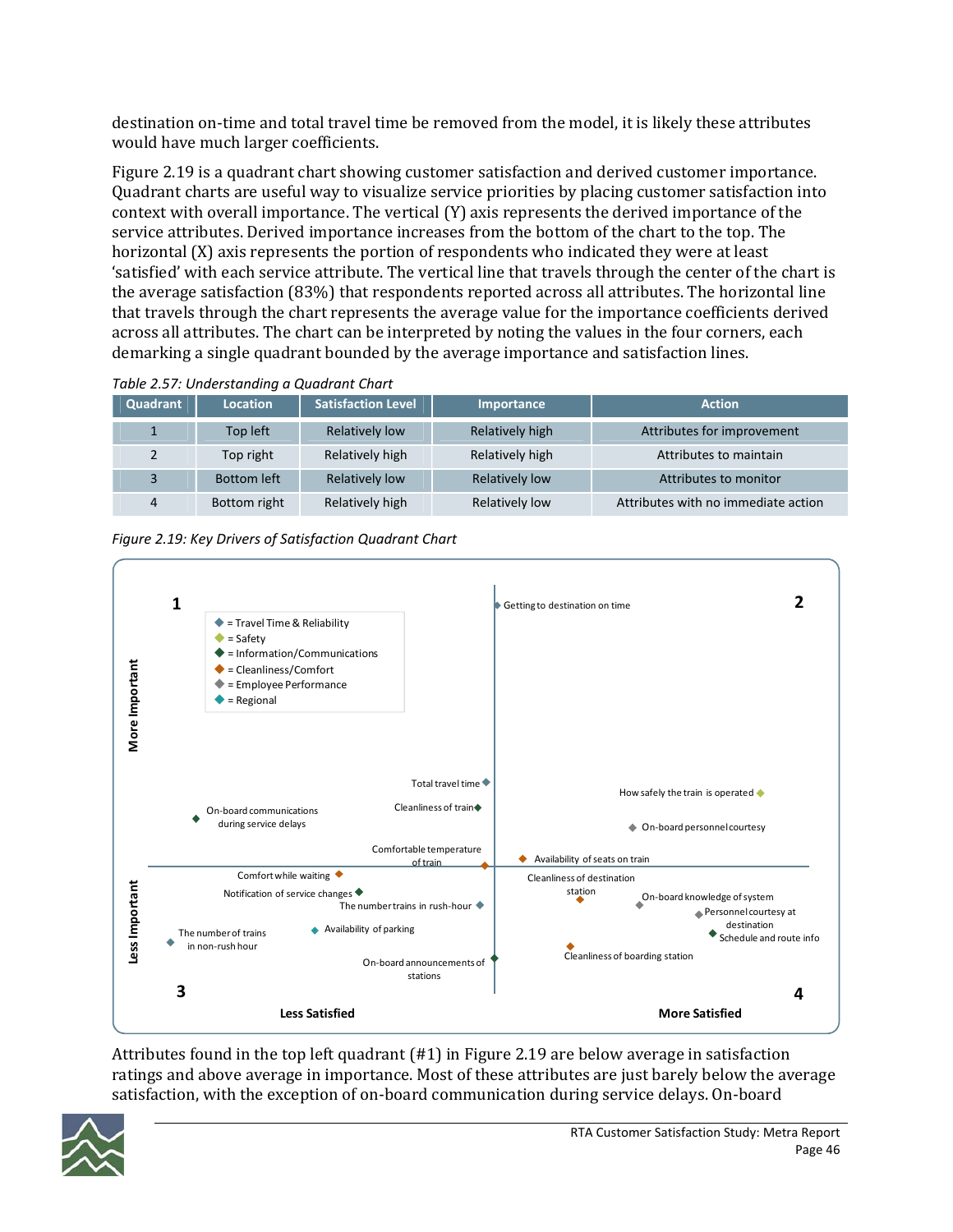destination on-time and total travel time be removed from the model, it is likely these attributes would have much larger coefficients.

Figure 2.19 is a quadrant chart showing customer satisfaction and derived customer importance. Quadrant charts are useful way to visualize service priorities by placing customer satisfaction into context with overall importance. The vertical (Y) axis represents the derived importance of the service attributes. Derived importance increases from the bottom of the chart to the top. The horizontal (X) axis represents the portion of respondents who indicated they were at least 'satisfied' with each service attribute. The vertical line that travels through the center of the chart is the average satisfaction (83%) that respondents reported across all attributes. The horizontal line that travels through the chart represents the average value for the importance coefficients derived across all attributes. The chart can be interpreted by noting the values in the four corners, each demarking a single quadrant bounded by the average importance and satisfaction lines.

| Quadrant | <b>Location</b>    | <b>Satisfaction Level</b> | Importance            | <b>Action</b>                       |
|----------|--------------------|---------------------------|-----------------------|-------------------------------------|
|          | Top left           | Relatively low            | Relatively high       | Attributes for improvement          |
| 2        | Top right          | Relatively high           | Relatively high       | Attributes to maintain              |
| 3        | <b>Bottom left</b> | Relatively low            | <b>Relatively low</b> | Attributes to monitor               |
| 4        | Bottom right       | Relatively high           | Relatively low        | Attributes with no immediate action |

*Table 2.57: Understanding a Quadrant Chart*



Attributes found in the top left quadrant (#1) in Figure 2.19 are below average in satisfaction ratings and above average in importance. Most of these attributes are just barely below the average satisfaction, with the exception of on-board communication during service delays. On-board

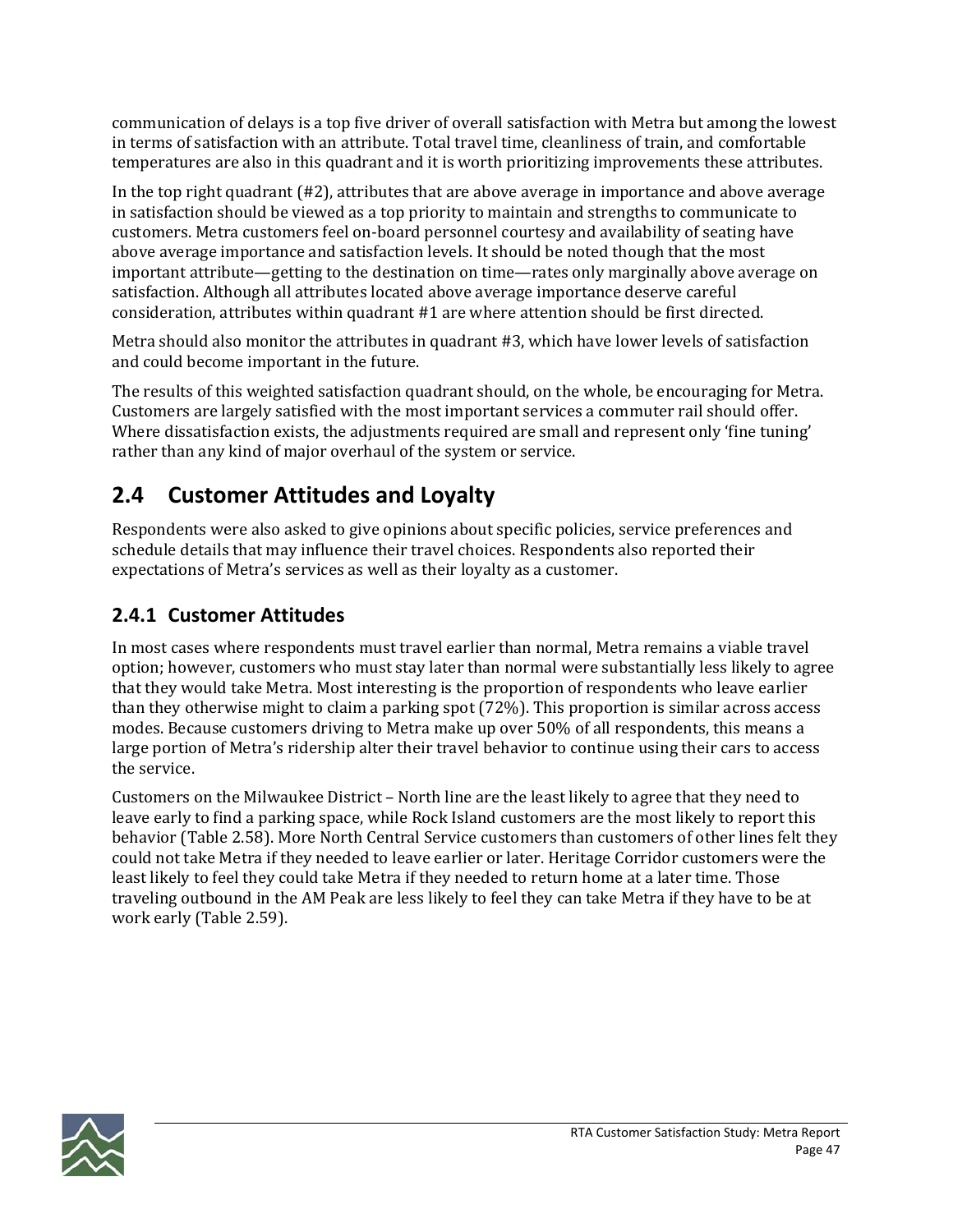communication of delays is a top five driver of overall satisfaction with Metra but among the lowest in terms of satisfaction with an attribute. Total travel time, cleanliness of train, and comfortable temperatures are also in this quadrant and it is worth prioritizing improvements these attributes.

In the top right quadrant (#2), attributes that are above average in importance and above average in satisfaction should be viewed as a top priority to maintain and strengths to communicate to customers. Metra customers feel on‐board personnel courtesy and availability of seating have above average importance and satisfaction levels. It should be noted though that the most important attribute—getting to the destination on time—rates only marginally above average on satisfaction. Although all attributes located above average importance deserve careful consideration, attributes within quadrant #1 are where attention should be first directed.

Metra should also monitor the attributes in quadrant #3, which have lower levels of satisfaction and could become important in the future.

The results of this weighted satisfaction quadrant should, on the whole, be encouraging for Metra. Customers are largely satisfied with the most important services a commuter rail should offer. Where dissatisfaction exists, the adjustments required are small and represent only 'fine tuning' rather than any kind of major overhaul of the system or service.

# **2.4 Customer Attitudes and Loyalty**

Respondents were also asked to give opinions about specific policies, service preferences and schedule details that may influence their travel choices. Respondents also reported their expectations of Metra's services as well as their loyalty as a customer.

## **2.4.1 Customer Attitudes**

In most cases where respondents must travel earlier than normal, Metra remains a viable travel option; however, customers who must stay later than normal were substantially less likely to agree that they would take Metra. Most interesting is the proportion of respondents who leave earlier than they otherwise might to claim a parking spot (72%). This proportion is similar across access modes. Because customers driving to Metra make up over 50% of all respondents, this means a large portion of Metra's ridership alter their travel behavior to continue using their cars to access the service.

Customers on the Milwaukee District – North line are the least likely to agree that they need to leave early to find a parking space, while Rock Island customers are the most likely to report this behavior (Table 2.58). More North Central Service customers than customers of other lines felt they could not take Metra if they needed to leave earlier or later. Heritage Corridor customers were the least likely to feel they could take Metra if they needed to return home at a later time. Those traveling outbound in the AM Peak are less likely to feel they can take Metra if they have to be at work early (Table 2.59).

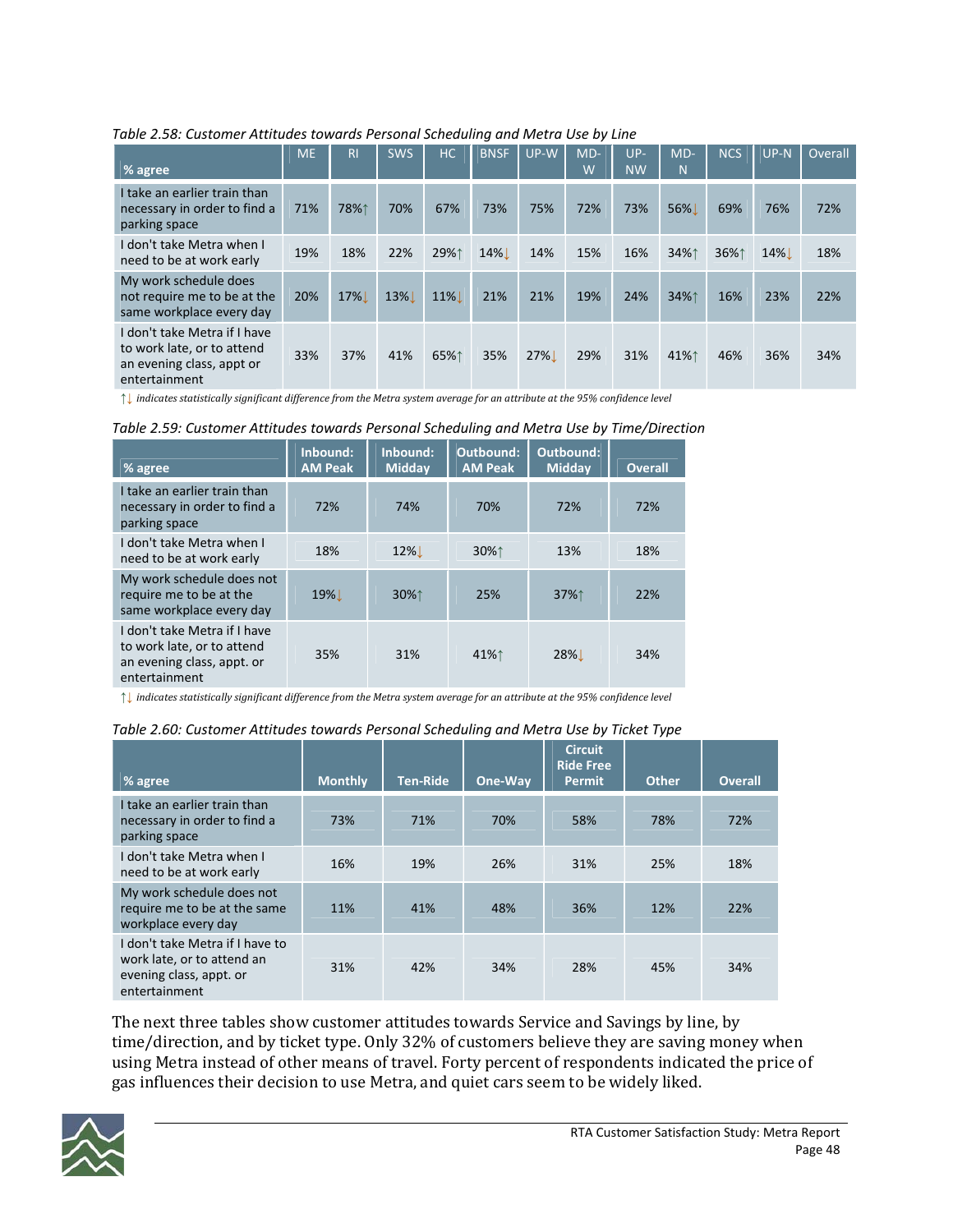| $%$ agree                                                                                                | <b>ME</b> | <b>RI</b> | <b>SWS</b> | HC     | <b>BNSF</b> | UP-W | $MD-$<br>W | $UP-$<br><b>NW</b> | $MD-$<br>N | <b>NCS</b> | $UP-N$ | Overall |
|----------------------------------------------------------------------------------------------------------|-----------|-----------|------------|--------|-------------|------|------------|--------------------|------------|------------|--------|---------|
| I take an earlier train than<br>necessary in order to find a<br>parking space                            | 71%       | 78%↑      | 70%        | 67%    | 73%         | 75%  | 72%        | 73%                | 56%        | 69%        | 76%    | 72%     |
| I don't take Metra when I<br>need to be at work early                                                    | 19%       | 18%       | 22%        | 29%1   | $14\%$      | 14%  | 15%        | 16%                | 34%↑       | 36%↑       | 14%    | 18%     |
| My work schedule does<br>not require me to be at the<br>same workplace every day                         | 20%       | 17%       | 13%        | $11\%$ | 21%         | 21%  | 19%        | 24%                | 34%↑       | 16%        | 23%    | 22%     |
| I don't take Metra if I have<br>to work late, or to attend<br>an evening class, appt or<br>entertainment | 33%       | 37%       | 41%        | 65%↑   | 35%         | 27%  | 29%        | 31%                | 41%↑       | 46%        | 36%    | 34%     |

*Table 2.58: Customer Attitudes towards Personal Scheduling and Metra Use by Line*

 $\uparrow\downarrow$  indicates statistically significant difference from the Metra system average for an attribute at the 95% confidence level

| % agree                                                                                                   | Inbound:<br><b>AM Peak</b> | Inbound:<br><b>Midday</b> | Outbound:<br><b>AM Peak</b>             | Outbound:<br>Midday | <b>Overall</b> |
|-----------------------------------------------------------------------------------------------------------|----------------------------|---------------------------|-----------------------------------------|---------------------|----------------|
| I take an earlier train than<br>necessary in order to find a<br>parking space                             | 72%                        | 74%                       | 70%                                     | 72%                 | 72%            |
| I don't take Metra when I<br>need to be at work early                                                     | 18%                        | $12\%$                    | $30\%$ <sup><math>\uparrow</math></sup> | 13%                 | 18%            |
| My work schedule does not<br>require me to be at the<br>same workplace every day                          | 19%!                       | $30\%$                    | 25%                                     | $37\%$              | 22%            |
| I don't take Metra if I have<br>to work late, or to attend<br>an evening class, appt. or<br>entertainment | 35%                        | 31%                       | 41%↑                                    | 28%                 | 34%            |

 $\uparrow\downarrow$  indicates statistically significant difference from the Metra system average for an attribute at the 95% confidence level

| % agree                                                                                                   | <b>Monthly</b> | <b>Ten-Ride</b> | One-Way | <b>Circuit</b><br><b>Ride Free</b><br>Permit | <b>Other</b> | <b>Overall</b> |
|-----------------------------------------------------------------------------------------------------------|----------------|-----------------|---------|----------------------------------------------|--------------|----------------|
| I take an earlier train than<br>necessary in order to find a<br>parking space                             | 73%            | 71%             | 70%     | 58%                                          | 78%          | 72%            |
| I don't take Metra when I<br>need to be at work early                                                     | 16%            | 19%             | 26%     | 31%                                          | 25%          | 18%            |
| My work schedule does not<br>require me to be at the same<br>workplace every day                          | 11%            | 41%             | 48%     | 36%                                          | 12%          | 22%            |
| I don't take Metra if I have to<br>work late, or to attend an<br>evening class, appt. or<br>entertainment | 31%            | 42%             | 34%     | 28%                                          | 45%          | 34%            |

The next three tables show customer attitudes towards Service and Savings by line, by time/direction, and by ticket type. Only 32% of customers believe they are saving money when using Metra instead of other means of travel. Forty percent of respondents indicated the price of gas influences their decision to use Metra, and quiet cars seem to be widely liked.

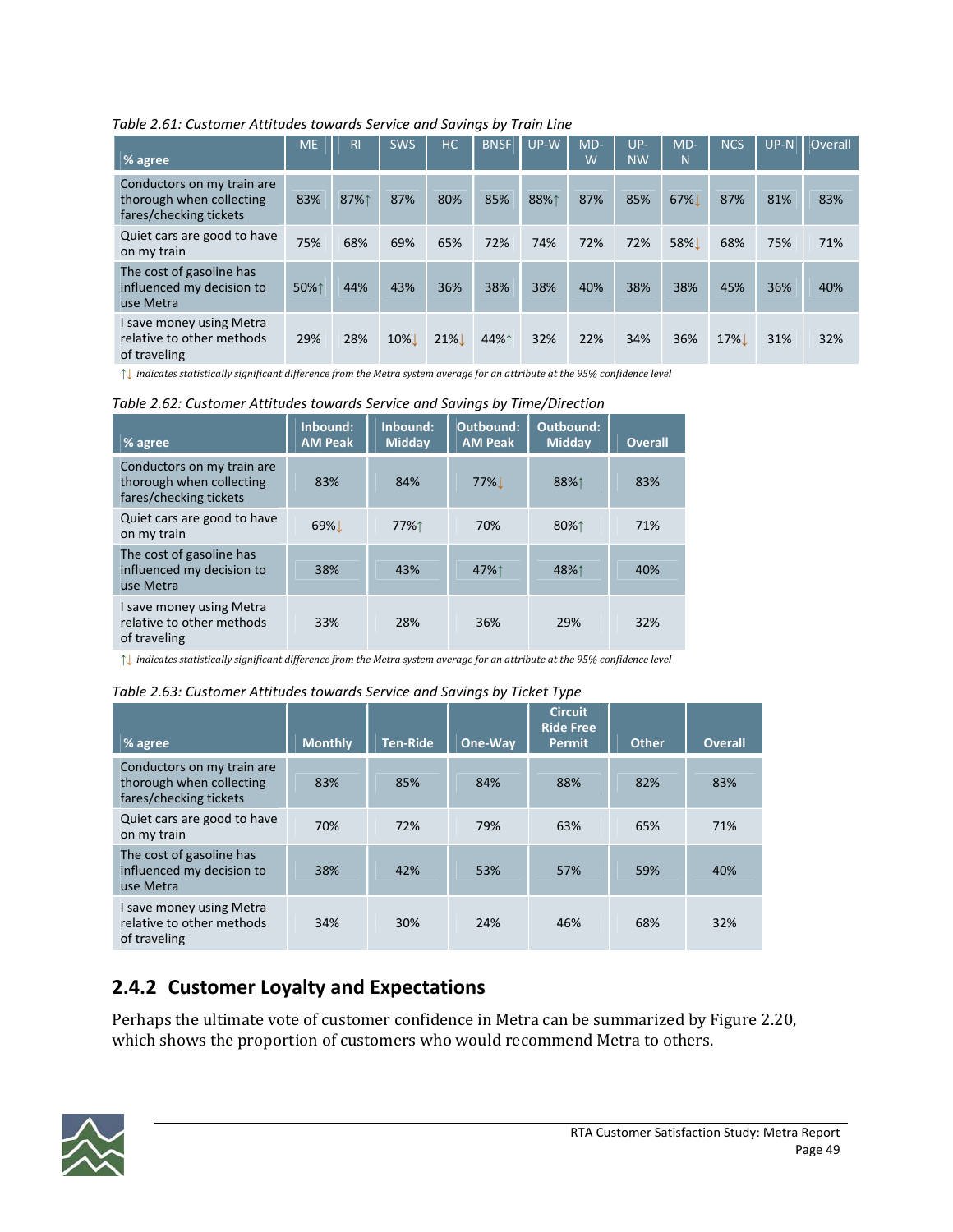*Table 2.61: Customer Attitudes towards Service and Savings by Train Line*

| % agree                                                                          | <b>ME</b> | R <sub>l</sub> | <b>SWS</b>       | HC     | <b>BNSF</b> | UP-W | $MD-$<br>W | $UP-$<br><b>NW</b> | $MD-$<br>N | <b>NCS</b> | $UP-N$ | Overall |
|----------------------------------------------------------------------------------|-----------|----------------|------------------|--------|-------------|------|------------|--------------------|------------|------------|--------|---------|
| Conductors on my train are<br>thorough when collecting<br>fares/checking tickets | 83%       | 87%↑           | 87%              | 80%    | 85%         | 88%1 | 87%        | 85%                | 67%        | 87%        | 81%    | 83%     |
| Quiet cars are good to have<br>on my train                                       | 75%       | 68%            | 69%              | 65%    | 72%         | 74%  | 72%        | 72%                | 58%        | 68%        | 75%    | 71%     |
| The cost of gasoline has<br>influenced my decision to<br>use Metra               | 50%1      | 44%            | 43%              | 36%    | 38%         | 38%  | 40%        | 38%                | 38%        | 45%        | 36%    | 40%     |
| I save money using Metra<br>relative to other methods<br>of traveling            | 29%       | 28%            | 10% <sup>1</sup> | $21\%$ | 44%↑        | 32%  | 22%        | 34%                | 36%        | 17%        | 31%    | 32%     |

 $\uparrow\downarrow$  indicates statistically significant difference from the Metra system average for an attribute at the 95% confidence level

*Table 2.62: Customer Attitudes towards Service and Savings by Time/Direction*

| % agree                                                                          | Inbound:<br><b>AM Peak</b> | Inbound:<br><b>Midday</b> | Outbound:<br><b>AM Peak</b> | Outbound:<br><b>Midday</b> | <b>Overall</b> |
|----------------------------------------------------------------------------------|----------------------------|---------------------------|-----------------------------|----------------------------|----------------|
| Conductors on my train are<br>thorough when collecting<br>fares/checking tickets | 83%                        | 84%                       | <b>77%</b>                  | 88%↑                       | 83%            |
| Quiet cars are good to have<br>on my train                                       | 69%                        | 77%↑                      | 70%                         | 80%↑                       | 71%            |
| The cost of gasoline has<br>influenced my decision to<br>use Metra               | 38%                        | 43%                       | 47%↑                        | 48%↑                       | 40%            |
| I save money using Metra<br>relative to other methods<br>of traveling            | 33%                        | 28%                       | 36%                         | 29%                        | 32%            |

 $\uparrow\downarrow$  indicates statistically significant difference from the Metra system average for an attribute at the 95% confidence level

#### *Table 2.63: Customer Attitudes towards Service and Savings by Ticket Type*

| % agree                                                                          | <b>Monthly</b> | <b>Ten-Ride</b> | One-Way | <b>Circuit</b><br><b>Ride Free</b><br><b>Permit</b> | <b>Other</b> | <b>Overall</b> |
|----------------------------------------------------------------------------------|----------------|-----------------|---------|-----------------------------------------------------|--------------|----------------|
| Conductors on my train are<br>thorough when collecting<br>fares/checking tickets | 83%            | 85%             | 84%     | 88%                                                 | 82%          | 83%            |
| Quiet cars are good to have<br>on my train                                       | 70%            | 72%             | 79%     | 63%                                                 | 65%          | 71%            |
| The cost of gasoline has<br>influenced my decision to<br>use Metra               | 38%            | 42%             | 53%     | 57%                                                 | 59%          | 40%            |
| I save money using Metra<br>relative to other methods<br>of traveling            | 34%            | 30%             | 24%     | 46%                                                 | 68%          | 32%            |

### **2.4.2 Customer Loyalty and Expectations**

Perhaps the ultimate vote of customer confidence in Metra can be summarized by Figure 2.20, which shows the proportion of customers who would recommend Metra to others.

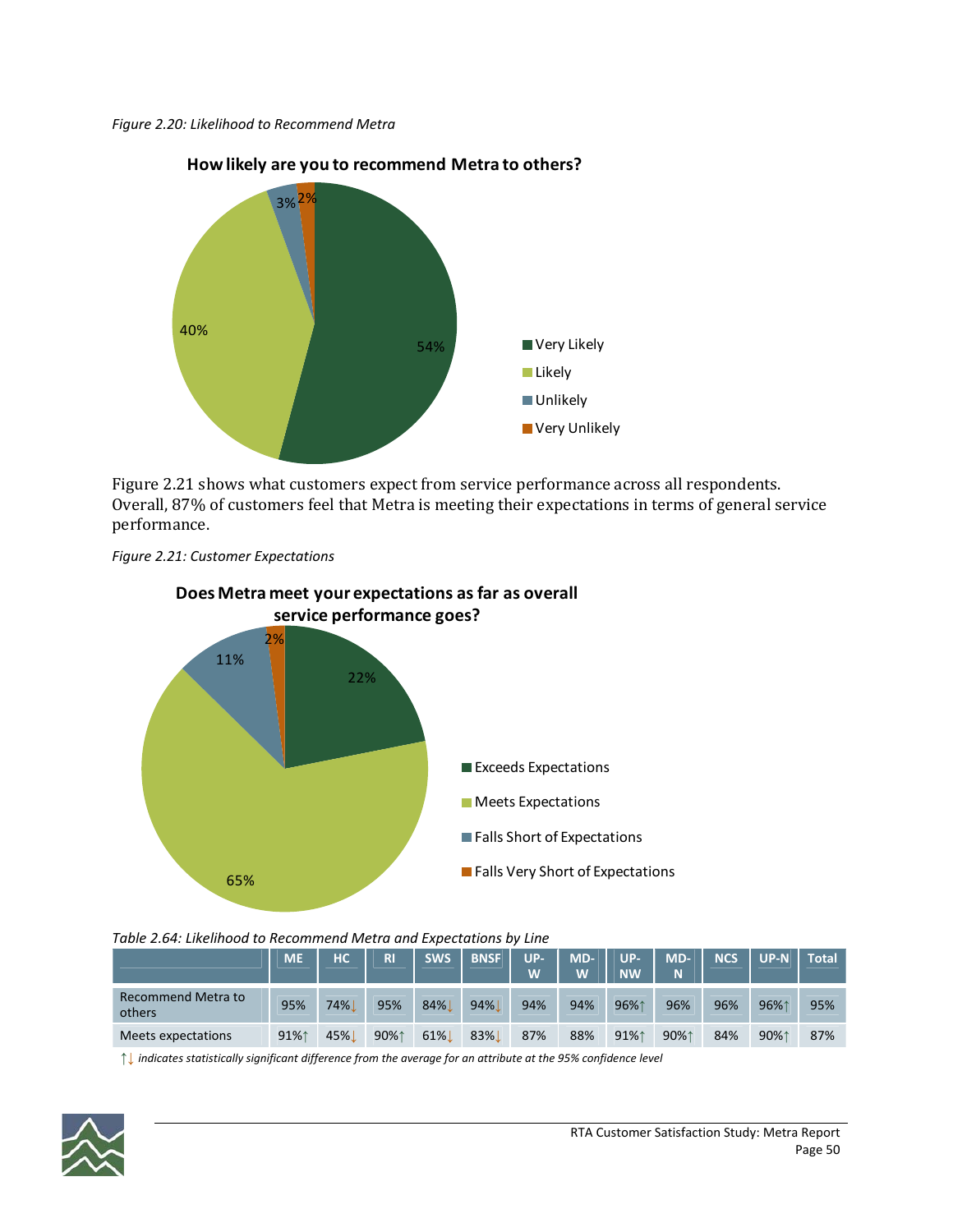



**How likely are you to recommend Metra to others?**

Figure 2.21 shows what customers expect from service performance across all respondents. Overall, 87% of customers feel that Metra is meeting their expectations in terms of general service performance.





**Does Metra meet your expectations as far as overall**

*Table 2.64: Likelihood to Recommend Metra and Expectations by Line*

|                              | <b>ME</b> | HC  | R    | <b>SWS</b> | <b>BNSF</b> | <b>UP-</b><br>W | MD-<br>W | <b>UP-</b><br><b>NW</b> | MD-<br>N | <b>NCS</b> | $UP-N$ | <b>Total</b> |
|------------------------------|-----------|-----|------|------------|-------------|-----------------|----------|-------------------------|----------|------------|--------|--------------|
| Recommend Metra to<br>others | 95%       | 74% | 95%  | 84%        | 94%         | 94%             | 94%      | 96%1                    | 96%      | 96%        | 96%1   | 95%          |
| Meets expectations           | 91%1      | 45% | 90%1 | 61%        | 83%         | 87%             | 88%      | 91%1                    | 90%1     | 84%        | 90%1   | 87%          |

**↑↓** *indicates statistically significant difference from the average for an attribute at the 95% confidence level*